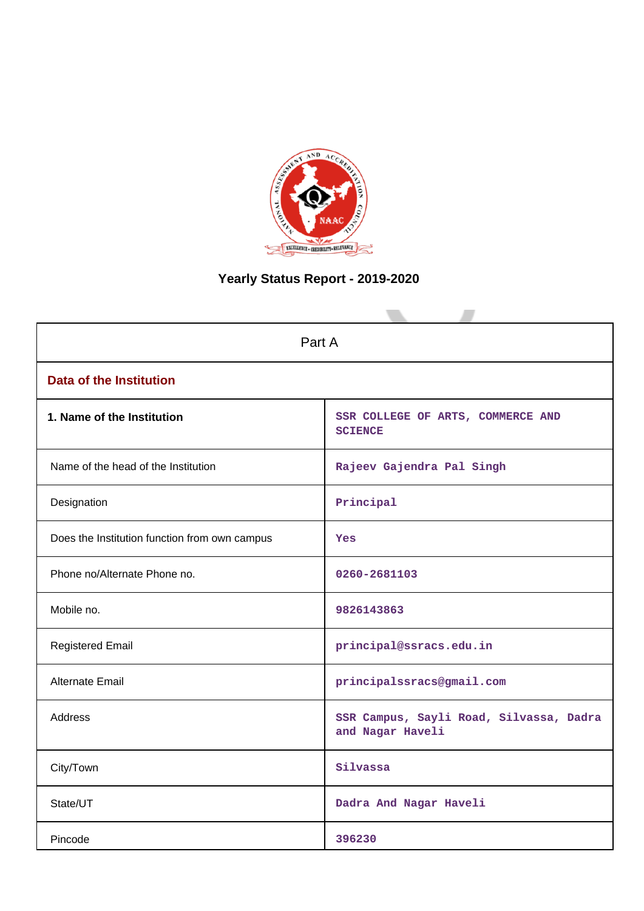

# **Yearly Status Report - 2019-2020**

| Part A                                        |                                                             |  |  |  |
|-----------------------------------------------|-------------------------------------------------------------|--|--|--|
| <b>Data of the Institution</b>                |                                                             |  |  |  |
| 1. Name of the Institution                    | SSR COLLEGE OF ARTS, COMMERCE AND<br><b>SCIENCE</b>         |  |  |  |
| Name of the head of the Institution           | Rajeev Gajendra Pal Singh                                   |  |  |  |
| Designation                                   | Principal                                                   |  |  |  |
| Does the Institution function from own campus | Yes                                                         |  |  |  |
| Phone no/Alternate Phone no.                  | 0260-2681103                                                |  |  |  |
| Mobile no.                                    | 9826143863                                                  |  |  |  |
| <b>Registered Email</b>                       | principal@ssracs.edu.in                                     |  |  |  |
| <b>Alternate Email</b>                        | principalssracs@gmail.com                                   |  |  |  |
| <b>Address</b>                                | SSR Campus, Sayli Road, Silvassa, Dadra<br>and Nagar Haveli |  |  |  |
| City/Town                                     | Silvassa                                                    |  |  |  |
| State/UT                                      | Dadra And Nagar Haveli                                      |  |  |  |
| Pincode                                       | 396230                                                      |  |  |  |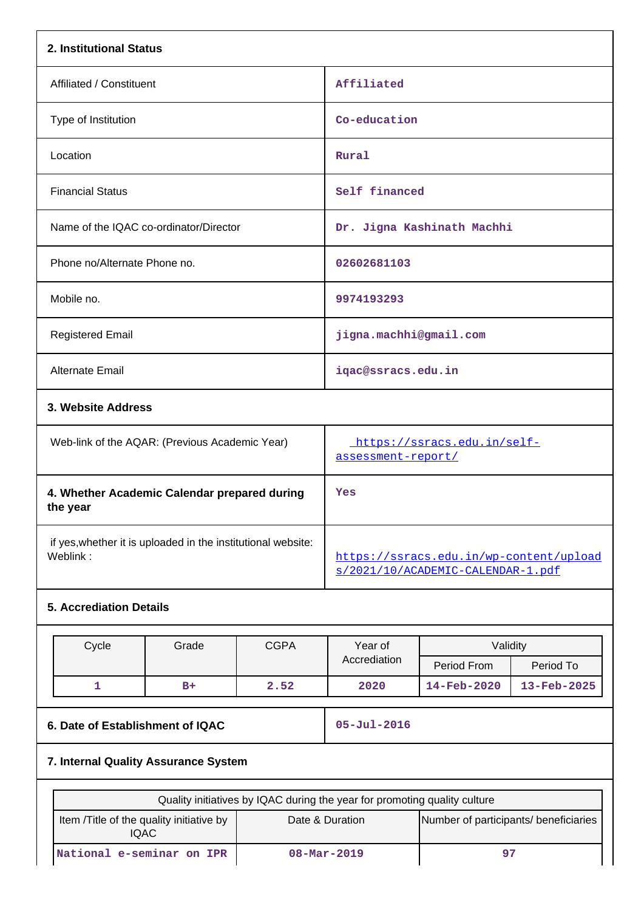| 2. Institutional Status                                                  |                                                                           |             |                                                                              |                                       |             |
|--------------------------------------------------------------------------|---------------------------------------------------------------------------|-------------|------------------------------------------------------------------------------|---------------------------------------|-------------|
| Affiliated / Constituent                                                 |                                                                           |             | Affiliated                                                                   |                                       |             |
| Type of Institution                                                      |                                                                           |             | Co-education                                                                 |                                       |             |
| Location                                                                 |                                                                           |             | Rural                                                                        |                                       |             |
| <b>Financial Status</b>                                                  |                                                                           |             | Self financed                                                                |                                       |             |
| Name of the IQAC co-ordinator/Director                                   |                                                                           |             |                                                                              | Dr. Jigna Kashinath Machhi            |             |
| Phone no/Alternate Phone no.                                             |                                                                           |             | 02602681103                                                                  |                                       |             |
| Mobile no.                                                               |                                                                           |             | 9974193293                                                                   |                                       |             |
| <b>Registered Email</b>                                                  |                                                                           |             | jigna.machhi@gmail.com                                                       |                                       |             |
| Alternate Email                                                          |                                                                           |             | iqac@ssracs.edu.in                                                           |                                       |             |
|                                                                          | 3. Website Address                                                        |             |                                                                              |                                       |             |
| Web-link of the AQAR: (Previous Academic Year)                           |                                                                           |             | https://ssracs.edu.in/self-<br>assessment-report/                            |                                       |             |
| 4. Whether Academic Calendar prepared during<br>the year                 |                                                                           |             | Yes                                                                          |                                       |             |
| if yes, whether it is uploaded in the institutional website:<br>Weblink: |                                                                           |             | https://ssracs.edu.in/wp-content/upload<br>s/2021/10/ACADEMIC-CALENDAR-1.pdf |                                       |             |
| <b>5. Accrediation Details</b>                                           |                                                                           |             |                                                                              |                                       |             |
|                                                                          |                                                                           | <b>CGPA</b> | Year of                                                                      | Validity                              |             |
|                                                                          | Cycle<br>Grade                                                            |             | Accrediation                                                                 | Period From                           | Period To   |
| $\mathbf{1}$                                                             | $B+$                                                                      | 2.52        | 2020                                                                         | 14-Feb-2020                           | 13-Feb-2025 |
|                                                                          | 6. Date of Establishment of IQAC                                          |             | $05 - Jul - 2016$                                                            |                                       |             |
| 7. Internal Quality Assurance System                                     |                                                                           |             |                                                                              |                                       |             |
|                                                                          | Quality initiatives by IQAC during the year for promoting quality culture |             |                                                                              |                                       |             |
| Item /Title of the quality initiative by<br><b>IQAC</b>                  |                                                                           |             | Date & Duration                                                              | Number of participants/ beneficiaries |             |

**National e-seminar on IPR 08-Mar-2019 97**

 $\overline{\phantom{a}}$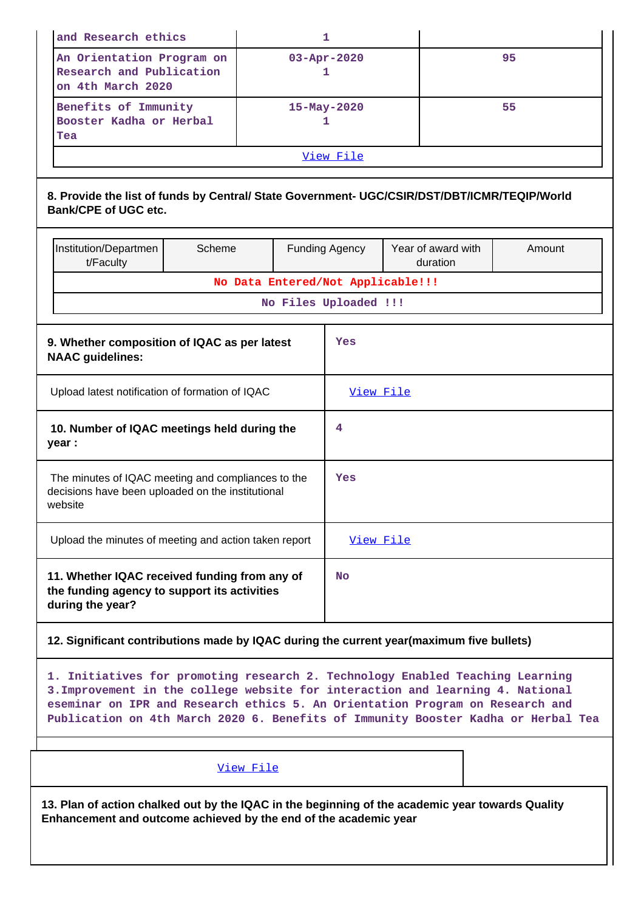|                                                            | and Research ethics                                                                                                                                                                                                                                                                                                                   |        |                                   | 1                      |                                |        |  |
|------------------------------------------------------------|---------------------------------------------------------------------------------------------------------------------------------------------------------------------------------------------------------------------------------------------------------------------------------------------------------------------------------------|--------|-----------------------------------|------------------------|--------------------------------|--------|--|
|                                                            | An Orientation Program on<br>Research and Publication<br>on 4th March 2020                                                                                                                                                                                                                                                            |        |                                   | $03 - Apr - 2020$<br>1 |                                | 95     |  |
|                                                            | Benefits of Immunity<br>Booster Kadha or Herbal<br>Tea                                                                                                                                                                                                                                                                                |        |                                   | 15-May-2020<br>1       |                                | 55     |  |
|                                                            |                                                                                                                                                                                                                                                                                                                                       |        |                                   | View File              |                                |        |  |
|                                                            | 8. Provide the list of funds by Central/ State Government- UGC/CSIR/DST/DBT/ICMR/TEQIP/World<br><b>Bank/CPE of UGC etc.</b>                                                                                                                                                                                                           |        |                                   |                        |                                |        |  |
|                                                            | Institution/Departmen<br>t/Faculty                                                                                                                                                                                                                                                                                                    | Scheme |                                   | <b>Funding Agency</b>  | Year of award with<br>duration | Amount |  |
|                                                            |                                                                                                                                                                                                                                                                                                                                       |        | No Data Entered/Not Applicable!!! |                        |                                |        |  |
|                                                            |                                                                                                                                                                                                                                                                                                                                       |        | No Files Uploaded !!!             |                        |                                |        |  |
|                                                            | 9. Whether composition of IQAC as per latest<br>Yes<br><b>NAAC</b> guidelines:                                                                                                                                                                                                                                                        |        |                                   |                        |                                |        |  |
|                                                            | Upload latest notification of formation of IQAC                                                                                                                                                                                                                                                                                       |        |                                   | View File              |                                |        |  |
| 10. Number of IQAC meetings held during the<br>4<br>year : |                                                                                                                                                                                                                                                                                                                                       |        |                                   |                        |                                |        |  |
|                                                            | The minutes of IQAC meeting and compliances to the<br>decisions have been uploaded on the institutional<br>website                                                                                                                                                                                                                    |        |                                   | Yes                    |                                |        |  |
|                                                            | Upload the minutes of meeting and action taken report                                                                                                                                                                                                                                                                                 |        |                                   | View File              |                                |        |  |
|                                                            | 11. Whether IQAC received funding from any of<br>the funding agency to support its activities<br>during the year?                                                                                                                                                                                                                     |        |                                   | <b>No</b>              |                                |        |  |
|                                                            | 12. Significant contributions made by IQAC during the current year(maximum five bullets)                                                                                                                                                                                                                                              |        |                                   |                        |                                |        |  |
|                                                            | 1. Initiatives for promoting research 2. Technology Enabled Teaching Learning<br>3. Improvement in the college website for interaction and learning 4. National<br>eseminar on IPR and Research ethics 5. An Orientation Program on Research and<br>Publication on 4th March 2020 6. Benefits of Immunity Booster Kadha or Herbal Tea |        |                                   |                        |                                |        |  |
|                                                            | View File                                                                                                                                                                                                                                                                                                                             |        |                                   |                        |                                |        |  |
|                                                            | 13. Plan of action chalked out by the IQAC in the beginning of the academic year towards Quality<br>Enhancement and outcome achieved by the end of the academic year                                                                                                                                                                  |        |                                   |                        |                                |        |  |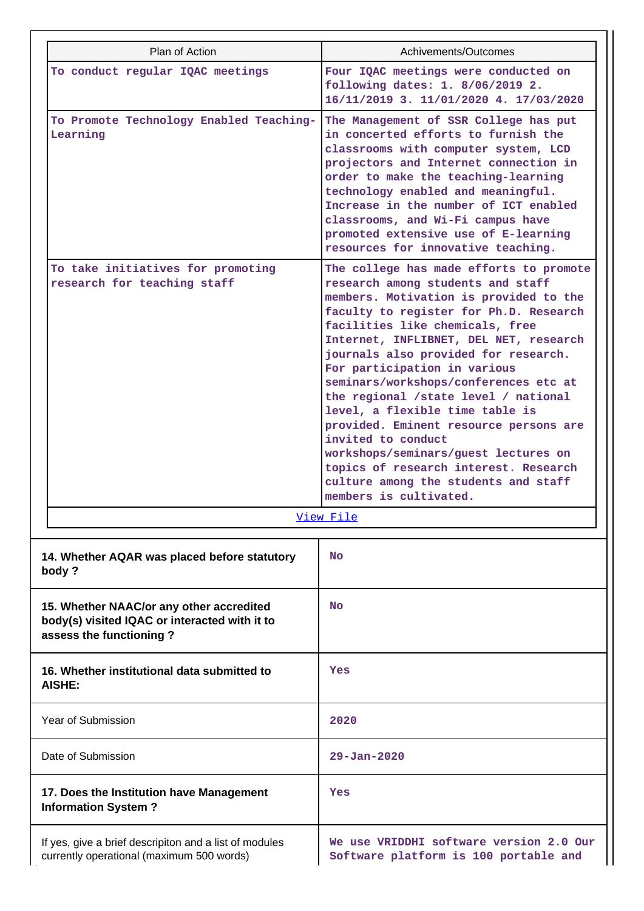| Plan of Action                                                                                                       | Achivements/Outcomes                                                                                                                                                                                                                                                                                                                                                                                                                                                                                                                                                                                                                                         |  |
|----------------------------------------------------------------------------------------------------------------------|--------------------------------------------------------------------------------------------------------------------------------------------------------------------------------------------------------------------------------------------------------------------------------------------------------------------------------------------------------------------------------------------------------------------------------------------------------------------------------------------------------------------------------------------------------------------------------------------------------------------------------------------------------------|--|
| To conduct regular IQAC meetings                                                                                     | Four IQAC meetings were conducted on<br>following dates: 1. 8/06/2019 2.<br>16/11/2019 3. 11/01/2020 4. 17/03/2020                                                                                                                                                                                                                                                                                                                                                                                                                                                                                                                                           |  |
| To Promote Technology Enabled Teaching-<br>Learning                                                                  | The Management of SSR College has put<br>in concerted efforts to furnish the<br>classrooms with computer system, LCD<br>projectors and Internet connection in<br>order to make the teaching-learning<br>technology enabled and meaningful.<br>Increase in the number of ICT enabled<br>classrooms, and Wi-Fi campus have<br>promoted extensive use of E-learning<br>resources for innovative teaching.                                                                                                                                                                                                                                                       |  |
| To take initiatives for promoting<br>research for teaching staff                                                     | The college has made efforts to promote<br>research among students and staff<br>members. Motivation is provided to the<br>faculty to register for Ph.D. Research<br>facilities like chemicals, free<br>Internet, INFLIBNET, DEL NET, research<br>journals also provided for research.<br>For participation in various<br>seminars/workshops/conferences etc at<br>the regional /state level / national<br>level, a flexible time table is<br>provided. Eminent resource persons are<br>invited to conduct<br>workshops/seminars/guest lectures on<br>topics of research interest. Research<br>culture among the students and staff<br>members is cultivated. |  |
|                                                                                                                      | View File                                                                                                                                                                                                                                                                                                                                                                                                                                                                                                                                                                                                                                                    |  |
| 14. Whether AQAR was placed before statutory<br>body?                                                                | <b>No</b>                                                                                                                                                                                                                                                                                                                                                                                                                                                                                                                                                                                                                                                    |  |
| 15. Whether NAAC/or any other accredited<br>body(s) visited IQAC or interacted with it to<br>assess the functioning? | <b>No</b>                                                                                                                                                                                                                                                                                                                                                                                                                                                                                                                                                                                                                                                    |  |
| 16. Whether institutional data submitted to<br>AISHE:                                                                | Yes                                                                                                                                                                                                                                                                                                                                                                                                                                                                                                                                                                                                                                                          |  |
| Year of Submission                                                                                                   | 2020                                                                                                                                                                                                                                                                                                                                                                                                                                                                                                                                                                                                                                                         |  |
| Date of Submission                                                                                                   | $29 - Jan - 2020$                                                                                                                                                                                                                                                                                                                                                                                                                                                                                                                                                                                                                                            |  |
| 17. Does the Institution have Management<br><b>Information System?</b>                                               | Yes                                                                                                                                                                                                                                                                                                                                                                                                                                                                                                                                                                                                                                                          |  |
| If yes, give a brief descripiton and a list of modules<br>currently operational (maximum 500 words)                  | We use VRIDDHI software version 2.0 Our<br>Software platform is 100 portable and                                                                                                                                                                                                                                                                                                                                                                                                                                                                                                                                                                             |  |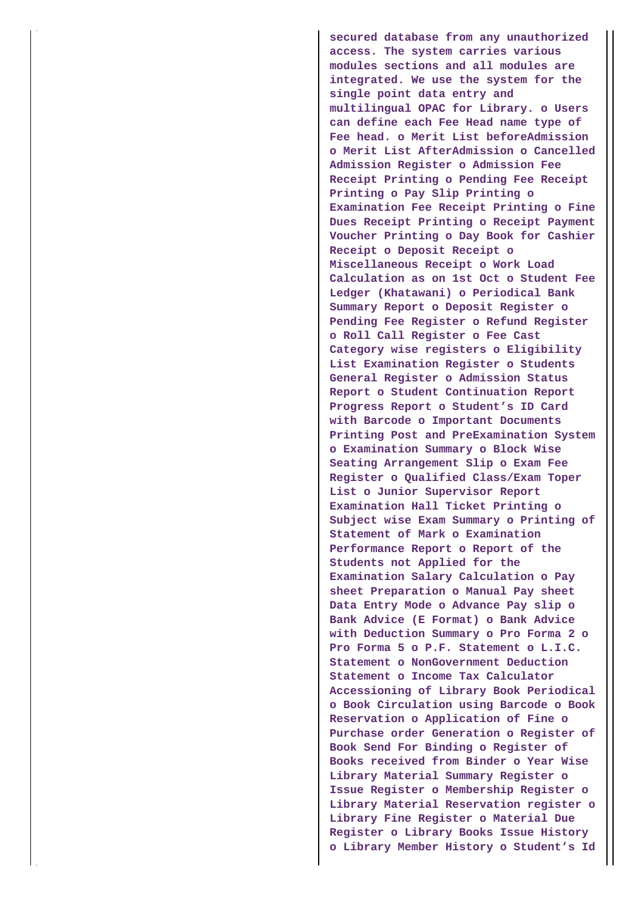**secured database from any unauthorized access. The system carries various modules sections and all modules are integrated. We use the system for the single point data entry and multilingual OPAC for Library. o Users can define each Fee Head name type of Fee head. o Merit List beforeAdmission o Merit List AfterAdmission o Cancelled Admission Register o Admission Fee Receipt Printing o Pending Fee Receipt Printing o Pay Slip Printing o Examination Fee Receipt Printing o Fine Dues Receipt Printing o Receipt Payment Voucher Printing o Day Book for Cashier Receipt o Deposit Receipt o Miscellaneous Receipt o Work Load Calculation as on 1st Oct o Student Fee Ledger (Khatawani) o Periodical Bank Summary Report o Deposit Register o Pending Fee Register o Refund Register o Roll Call Register o Fee Cast Category wise registers o Eligibility List Examination Register o Students General Register o Admission Status Report o Student Continuation Report Progress Report o Student's ID Card with Barcode o Important Documents Printing Post and PreExamination System o Examination Summary o Block Wise Seating Arrangement Slip o Exam Fee Register o Qualified Class/Exam Toper List o Junior Supervisor Report Examination Hall Ticket Printing o Subject wise Exam Summary o Printing of Statement of Mark o Examination Performance Report o Report of the Students not Applied for the Examination Salary Calculation o Pay sheet Preparation o Manual Pay sheet Data Entry Mode o Advance Pay slip o Bank Advice (E Format) o Bank Advice with Deduction Summary o Pro Forma 2 o Pro Forma 5 o P.F. Statement o L.I.C. Statement o NonGovernment Deduction Statement o Income Tax Calculator Accessioning of Library Book Periodical o Book Circulation using Barcode o Book Reservation o Application of Fine o Purchase order Generation o Register of Book Send For Binding o Register of Books received from Binder o Year Wise Library Material Summary Register o Issue Register o Membership Register o Library Material Reservation register o Library Fine Register o Material Due Register o Library Books Issue History o Library Member History o Student's Id**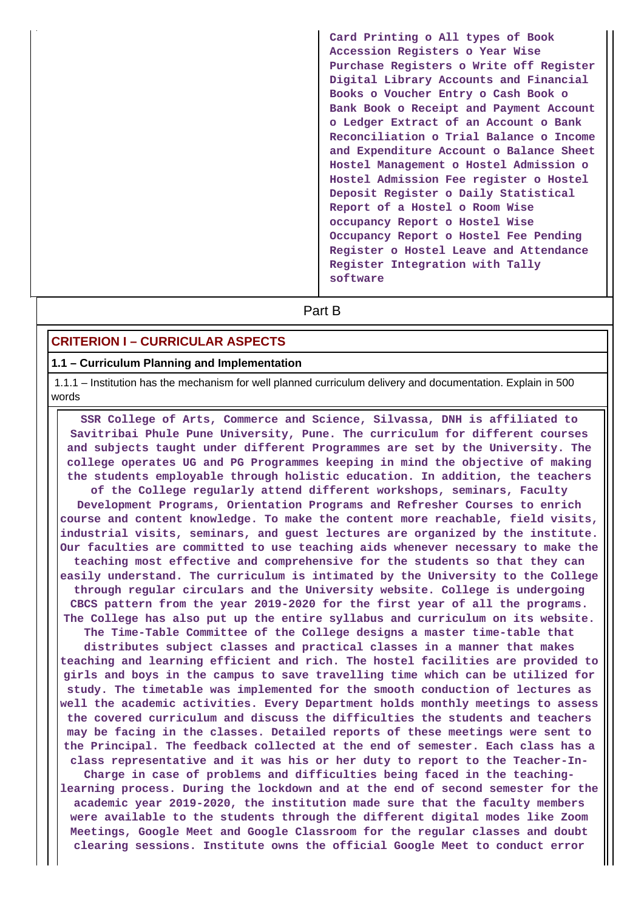**Card Printing o All types of Book Accession Registers o Year Wise Purchase Registers o Write off Register Digital Library Accounts and Financial Books o Voucher Entry o Cash Book o Bank Book o Receipt and Payment Account o Ledger Extract of an Account o Bank Reconciliation o Trial Balance o Income and Expenditure Account o Balance Sheet Hostel Management o Hostel Admission o Hostel Admission Fee register o Hostel Deposit Register o Daily Statistical Report of a Hostel o Room Wise occupancy Report o Hostel Wise Occupancy Report o Hostel Fee Pending Register o Hostel Leave and Attendance Register Integration with Tally software**

# **Part B**

## **CRITERION I – CURRICULAR ASPECTS**

#### **1.1 – Curriculum Planning and Implementation**

 1.1.1 – Institution has the mechanism for well planned curriculum delivery and documentation. Explain in 500 words

 **SSR College of Arts, Commerce and Science, Silvassa, DNH is affiliated to Savitribai Phule Pune University, Pune. The curriculum for different courses and subjects taught under different Programmes are set by the University. The college operates UG and PG Programmes keeping in mind the objective of making the students employable through holistic education. In addition, the teachers of the College regularly attend different workshops, seminars, Faculty Development Programs, Orientation Programs and Refresher Courses to enrich course and content knowledge. To make the content more reachable, field visits, industrial visits, seminars, and guest lectures are organized by the institute. Our faculties are committed to use teaching aids whenever necessary to make the teaching most effective and comprehensive for the students so that they can easily understand. The curriculum is intimated by the University to the College through regular circulars and the University website. College is undergoing CBCS pattern from the year 2019-2020 for the first year of all the programs. The College has also put up the entire syllabus and curriculum on its website. The Time-Table Committee of the College designs a master time-table that distributes subject classes and practical classes in a manner that makes teaching and learning efficient and rich. The hostel facilities are provided to girls and boys in the campus to save travelling time which can be utilized for study. The timetable was implemented for the smooth conduction of lectures as well the academic activities. Every Department holds monthly meetings to assess the covered curriculum and discuss the difficulties the students and teachers may be facing in the classes. Detailed reports of these meetings were sent to the Principal. The feedback collected at the end of semester. Each class has a class representative and it was his or her duty to report to the Teacher-In-Charge in case of problems and difficulties being faced in the teachinglearning process. During the lockdown and at the end of second semester for the academic year 2019-2020, the institution made sure that the faculty members were available to the students through the different digital modes like Zoom Meetings, Google Meet and Google Classroom for the regular classes and doubt clearing sessions. Institute owns the official Google Meet to conduct error**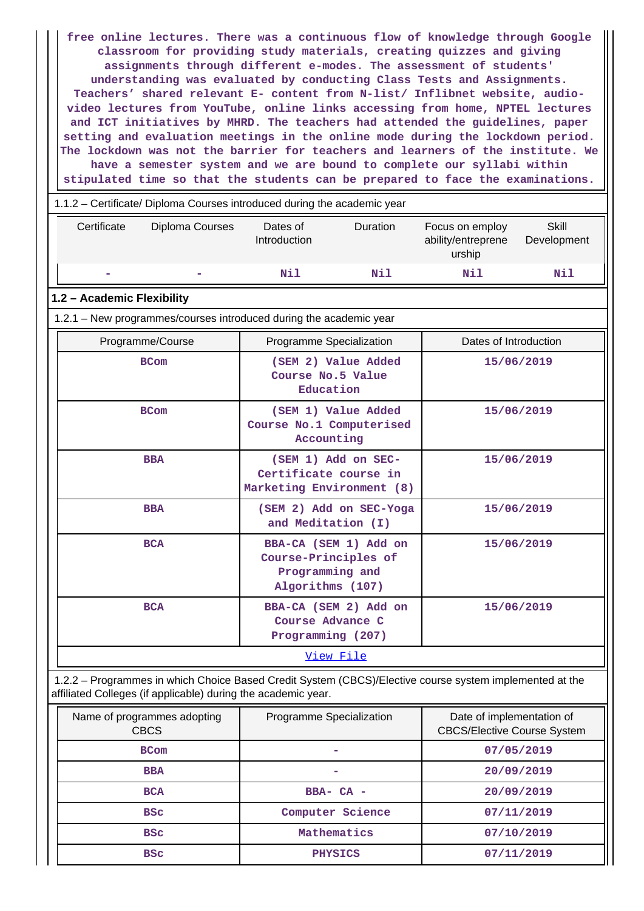**free online lectures. There was a continuous flow of knowledge through Google classroom for providing study materials, creating quizzes and giving assignments through different e-modes. The assessment of students' understanding was evaluated by conducting Class Tests and Assignments. Teachers' shared relevant E- content from N-list/ Inflibnet website, audiovideo lectures from YouTube, online links accessing from home, NPTEL lectures and ICT initiatives by MHRD. The teachers had attended the guidelines, paper setting and evaluation meetings in the online mode during the lockdown period. The lockdown was not the barrier for teachers and learners of the institute. We have a semester system and we are bound to complete our syllabi within stipulated time so that the students can be prepared to face the examinations.**

| 1.1.2 – Certificate/ Diploma Courses introduced during the academic year |
|--------------------------------------------------------------------------|
|--------------------------------------------------------------------------|

| Certificate                                                 | Diploma Courses                                                    | Dates of<br>Introduction                                      | <b>Duration</b>       | Focus on employ<br>ability/entreprene<br>urship | <b>Skill</b><br>Development |  |  |
|-------------------------------------------------------------|--------------------------------------------------------------------|---------------------------------------------------------------|-----------------------|-------------------------------------------------|-----------------------------|--|--|
|                                                             |                                                                    | Nil                                                           | Nil                   | N11                                             | Nil                         |  |  |
| 1.2 - Academic Flexibility                                  |                                                                    |                                                               |                       |                                                 |                             |  |  |
|                                                             | 1.2.1 - New programmes/courses introduced during the academic year |                                                               |                       |                                                 |                             |  |  |
|                                                             | Programme/Course                                                   | Programme Specialization                                      |                       | Dates of Introduction                           |                             |  |  |
|                                                             | <b>BCom</b>                                                        | Course No.5 Value<br>Education                                | (SEM 2) Value Added   |                                                 | 15/06/2019                  |  |  |
|                                                             | <b>BCom</b>                                                        | (SEM 1) Value Added<br>Course No.1 Computerised<br>Accounting |                       |                                                 | 15/06/2019                  |  |  |
|                                                             | <b>BBA</b>                                                         | Certificate course in<br>Marketing Environment (8)            | (SEM 1) Add on SEC-   |                                                 | 15/06/2019                  |  |  |
| (SEM 2) Add on SEC-Yoga<br><b>BBA</b><br>and Meditation (I) |                                                                    |                                                               |                       | 15/06/2019                                      |                             |  |  |
|                                                             | <b>BCA</b>                                                         | Course-Principles of<br>Programming and<br>Algorithms (107)   | BBA-CA (SEM 1) Add on |                                                 | 15/06/2019                  |  |  |
|                                                             | <b>BCA</b>                                                         | Course Advance C<br>Programming (207)                         | BBA-CA (SEM 2) Add on |                                                 | 15/06/2019                  |  |  |
| View File                                                   |                                                                    |                                                               |                       |                                                 |                             |  |  |

 1.2.2 – Programmes in which Choice Based Credit System (CBCS)/Elective course system implemented at the affiliated Colleges (if applicable) during the academic year.

| Name of programmes adopting<br><b>CBCS</b> | Programme Specialization | Date of implementation of<br><b>CBCS/Elective Course System</b> |
|--------------------------------------------|--------------------------|-----------------------------------------------------------------|
| <b>BCom</b>                                |                          | 07/05/2019                                                      |
| <b>BBA</b>                                 |                          | 20/09/2019                                                      |
| <b>BCA</b>                                 | $BBA - CA -$             | 20/09/2019                                                      |
| <b>BSC</b>                                 | Computer Science         | 07/11/2019                                                      |
| <b>BSC</b>                                 | Mathematics              | 07/10/2019                                                      |
| <b>BSC</b>                                 | <b>PHYSICS</b>           | 07/11/2019                                                      |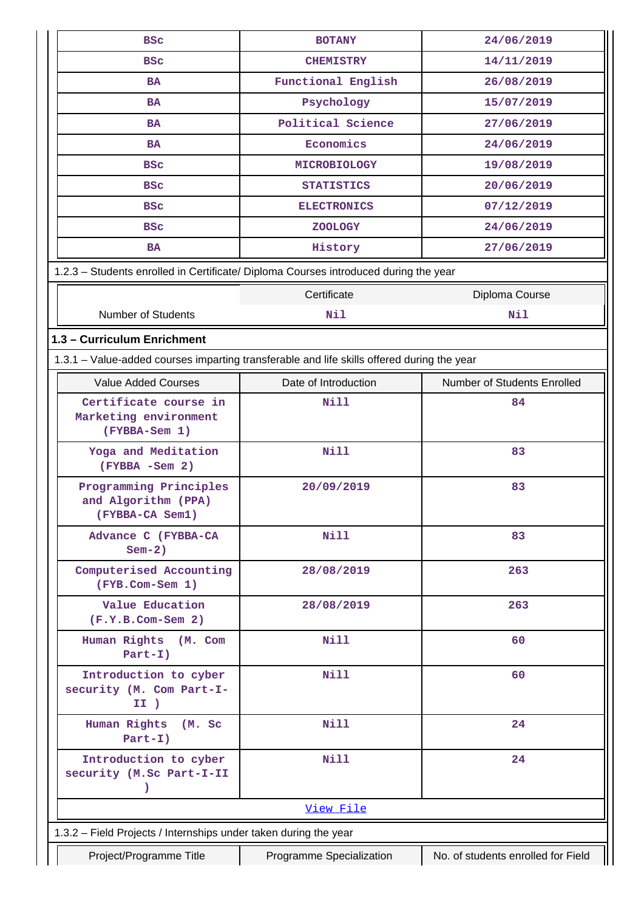| <b>BSC</b>                                                                                 | <b>BOTANY</b>            | 24/06/2019                         |
|--------------------------------------------------------------------------------------------|--------------------------|------------------------------------|
| <b>BSC</b>                                                                                 | <b>CHEMISTRY</b>         | 14/11/2019                         |
| <b>BA</b>                                                                                  | Functional English       | 26/08/2019                         |
| <b>BA</b>                                                                                  | Psychology               | 15/07/2019                         |
| <b>BA</b>                                                                                  | Political Science        | 27/06/2019                         |
| <b>BA</b>                                                                                  | Economics                | 24/06/2019                         |
| <b>BSC</b>                                                                                 | <b>MICROBIOLOGY</b>      | 19/08/2019                         |
| <b>BSC</b>                                                                                 | <b>STATISTICS</b>        | 20/06/2019                         |
| <b>BSC</b>                                                                                 | <b>ELECTRONICS</b>       | 07/12/2019                         |
| <b>BSC</b>                                                                                 | <b>ZOOLOGY</b>           | 24/06/2019                         |
| <b>BA</b>                                                                                  | History                  | 27/06/2019                         |
| 1.2.3 - Students enrolled in Certificate/ Diploma Courses introduced during the year       |                          |                                    |
|                                                                                            | Certificate              | Diploma Course                     |
| <b>Number of Students</b>                                                                  | Nil                      | Nil                                |
| 1.3 - Curriculum Enrichment                                                                |                          |                                    |
| 1.3.1 - Value-added courses imparting transferable and life skills offered during the year |                          |                                    |
| <b>Value Added Courses</b>                                                                 | Date of Introduction     | Number of Students Enrolled        |
| Certificate course in<br>Marketing environment                                             | <b>Nill</b>              | 84                                 |
| (FYBBA-Sem 1)                                                                              |                          |                                    |
| Yoga and Meditation<br>$(FYBBA - Sem 2)$                                                   | <b>Nill</b>              | 83                                 |
| Programming Principles<br>and Algorithm (PPA)<br>(FYBBA-CA Sem1)                           | 20/09/2019               | 83                                 |
| Advance C (FYBBA-CA<br>$Sem-2)$                                                            | Nill                     | 83                                 |
| Computerised Accounting<br>(FYB.Com-Sem 1)                                                 | 28/08/2019               | 263                                |
| Value Education<br>$(F.Y.B.Com-Sem 2)$                                                     | 28/08/2019               | 263                                |
| Human Rights<br>(M. Com<br>$Part-I)$                                                       | Nill                     | 60                                 |
| Introduction to cyber<br>security (M. Com Part-I-<br>II)                                   | <b>Nill</b>              | 60                                 |
| Human Rights<br>(M. Sc)<br>$Part-I)$                                                       | <b>Nill</b>              | 24                                 |
| Introduction to cyber<br>security (M.Sc Part-I-II<br>እ                                     | <b>Nill</b>              | 24                                 |
|                                                                                            | View File                |                                    |
| 1.3.2 - Field Projects / Internships under taken during the year                           |                          |                                    |
| Project/Programme Title                                                                    | Programme Specialization | No. of students enrolled for Field |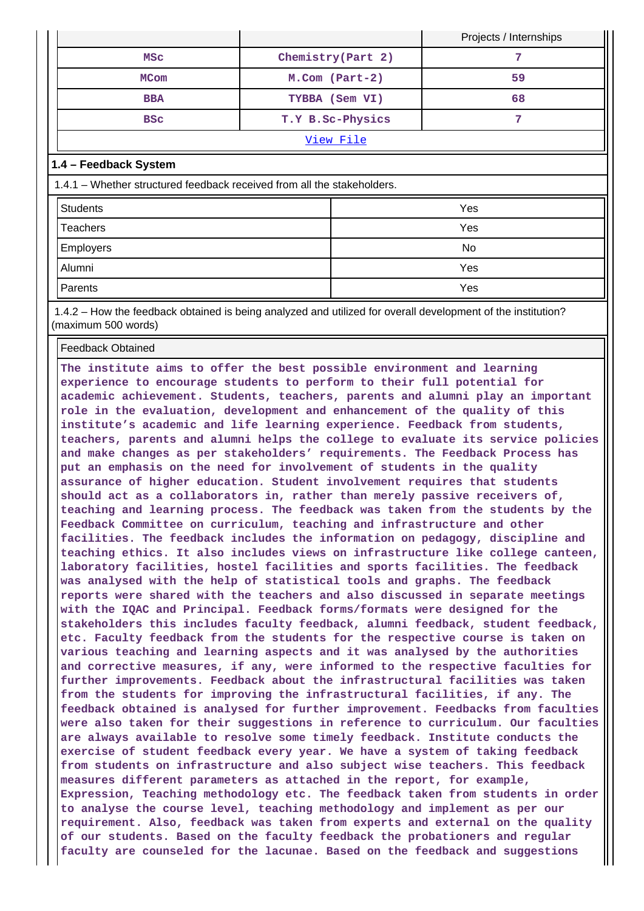|           |                              |                    | Projects / Internships |  |
|-----------|------------------------------|--------------------|------------------------|--|
|           | MSC                          | Chemistry (Part 2) |                        |  |
|           | <b>MCom</b>                  | $M.$ Com (Part-2)  | 59                     |  |
|           | TYBBA (Sem VI)<br><b>BBA</b> |                    | 68                     |  |
|           | <b>BSC</b>                   | T.Y B.Sc-Physics   |                        |  |
| View File |                              |                    |                        |  |

## **1.4 – Feedback System**

1.4.1 – Whether structured feedback received from all the stakeholders.

| Students  | Yes |
|-----------|-----|
| Teachers  | Yes |
| Employers | No  |
| Alumni    | Yes |
| Parents   | Yes |

 1.4.2 – How the feedback obtained is being analyzed and utilized for overall development of the institution? (maximum 500 words)

## Feedback Obtained

**The institute aims to offer the best possible environment and learning experience to encourage students to perform to their full potential for academic achievement. Students, teachers, parents and alumni play an important role in the evaluation, development and enhancement of the quality of this institute's academic and life learning experience. Feedback from students, teachers, parents and alumni helps the college to evaluate its service policies and make changes as per stakeholders' requirements. The Feedback Process has put an emphasis on the need for involvement of students in the quality assurance of higher education. Student involvement requires that students should act as a collaborators in, rather than merely passive receivers of, teaching and learning process. The feedback was taken from the students by the Feedback Committee on curriculum, teaching and infrastructure and other facilities. The feedback includes the information on pedagogy, discipline and teaching ethics. It also includes views on infrastructure like college canteen, laboratory facilities, hostel facilities and sports facilities. The feedback was analysed with the help of statistical tools and graphs. The feedback reports were shared with the teachers and also discussed in separate meetings with the IQAC and Principal. Feedback forms/formats were designed for the stakeholders this includes faculty feedback, alumni feedback, student feedback, etc. Faculty feedback from the students for the respective course is taken on various teaching and learning aspects and it was analysed by the authorities and corrective measures, if any, were informed to the respective faculties for further improvements. Feedback about the infrastructural facilities was taken from the students for improving the infrastructural facilities, if any. The feedback obtained is analysed for further improvement. Feedbacks from faculties were also taken for their suggestions in reference to curriculum. Our faculties are always available to resolve some timely feedback. Institute conducts the exercise of student feedback every year. We have a system of taking feedback from students on infrastructure and also subject wise teachers. This feedback measures different parameters as attached in the report, for example, Expression, Teaching methodology etc. The feedback taken from students in order to analyse the course level, teaching methodology and implement as per our requirement. Also, feedback was taken from experts and external on the quality of our students. Based on the faculty feedback the probationers and regular faculty are counseled for the lacunae. Based on the feedback and suggestions**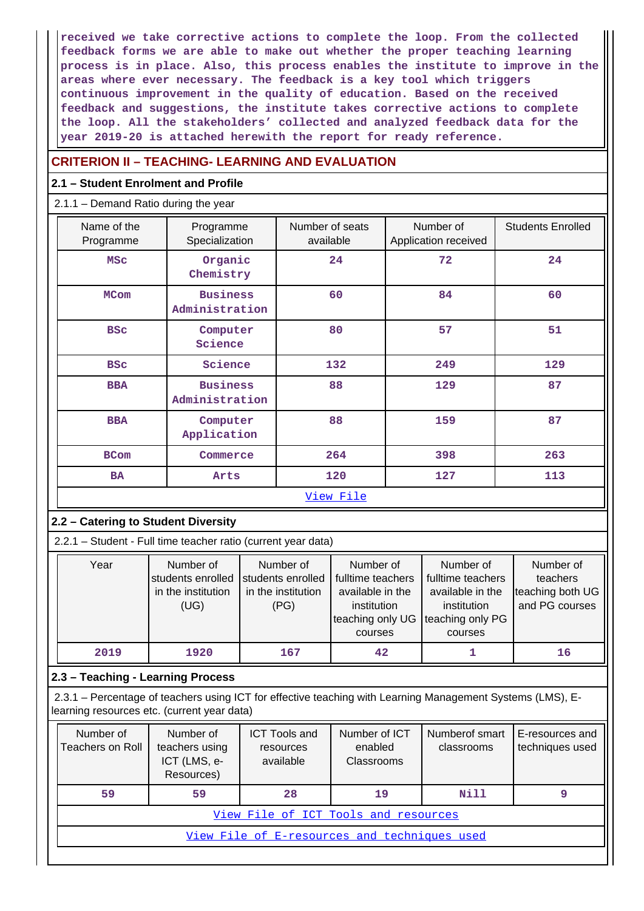**received we take corrective actions to complete the loop. From the collected feedback forms we are able to make out whether the proper teaching learning process is in place. Also, this process enables the institute to improve in the areas where ever necessary. The feedback is a key tool which triggers continuous improvement in the quality of education. Based on the received feedback and suggestions, the institute takes corrective actions to complete the loop. All the stakeholders' collected and analyzed feedback data for the year 2019-20 is attached herewith the report for ready reference.**

# **CRITERION II – TEACHING- LEARNING AND EVALUATION**

## **2.1 – Student Enrolment and Profile**

## 2.1.1 – Demand Ratio during the year

| Name of the<br>Programme | Programme<br>Specialization       | Number of seats<br>available | Number of<br>Application received | <b>Students Enrolled</b> |
|--------------------------|-----------------------------------|------------------------------|-----------------------------------|--------------------------|
| <b>MSC</b>               | Organic<br>Chemistry              | 24                           | 72                                | 24                       |
| <b>MCom</b>              | <b>Business</b><br>Administration | 60                           | 84                                | 60                       |
| <b>BSC</b>               | Computer<br>Science               | 80                           | 57                                | 51                       |
| <b>BSC</b>               | Science                           | 132                          | 249                               | 129                      |
| <b>BBA</b>               | <b>Business</b><br>Administration | 88                           | 129                               | 87                       |
| <b>BBA</b>               | Computer<br>Application           | 88                           | 159                               | 87                       |
| <b>BCom</b>              | Commerce                          | 264                          | 398                               | 263                      |
| <b>BA</b>                | Arts                              | 120                          | 127                               | 113                      |
| View File                |                                   |                              |                                   |                          |

# **2.2 – Catering to Student Diversity**

2.2.1 – Student - Full time teacher ratio (current year data)

| Year | Number of<br>students enrolled<br>in the institution<br>(UG) | Number of<br>students enrolled<br>in the institution<br>(PG) | Number of<br>fulltime teachers<br>available in the<br>institution<br>teaching only UG<br>courses | Number of<br>fulltime teachers<br>available in the<br>institution<br>teaching only PG<br>courses | Number of<br>teachers<br>teaching both UG<br>and PG courses |
|------|--------------------------------------------------------------|--------------------------------------------------------------|--------------------------------------------------------------------------------------------------|--------------------------------------------------------------------------------------------------|-------------------------------------------------------------|
| 2019 | 1920                                                         | 167                                                          | 42                                                                                               |                                                                                                  | 16                                                          |

## **2.3 – Teaching - Learning Process**

 2.3.1 – Percentage of teachers using ICT for effective teaching with Learning Management Systems (LMS), Elearning resources etc. (current year data)

| Number of<br>Teachers on Roll | Number of<br>teachers using<br>ICT (LMS, e-<br>Resources) | <b>ICT Tools and</b><br>resources<br>available | Number of ICT<br>enabled<br>Classrooms | Numberof smart<br>classrooms | E-resources and<br>techniques used |  |  |  |  |  |
|-------------------------------|-----------------------------------------------------------|------------------------------------------------|----------------------------------------|------------------------------|------------------------------------|--|--|--|--|--|
| 59                            | 59                                                        | 28                                             | 19                                     | Nill                         |                                    |  |  |  |  |  |
|                               | View File of ICT Tools and resources                      |                                                |                                        |                              |                                    |  |  |  |  |  |
|                               | View File of E-resources and techniques used              |                                                |                                        |                              |                                    |  |  |  |  |  |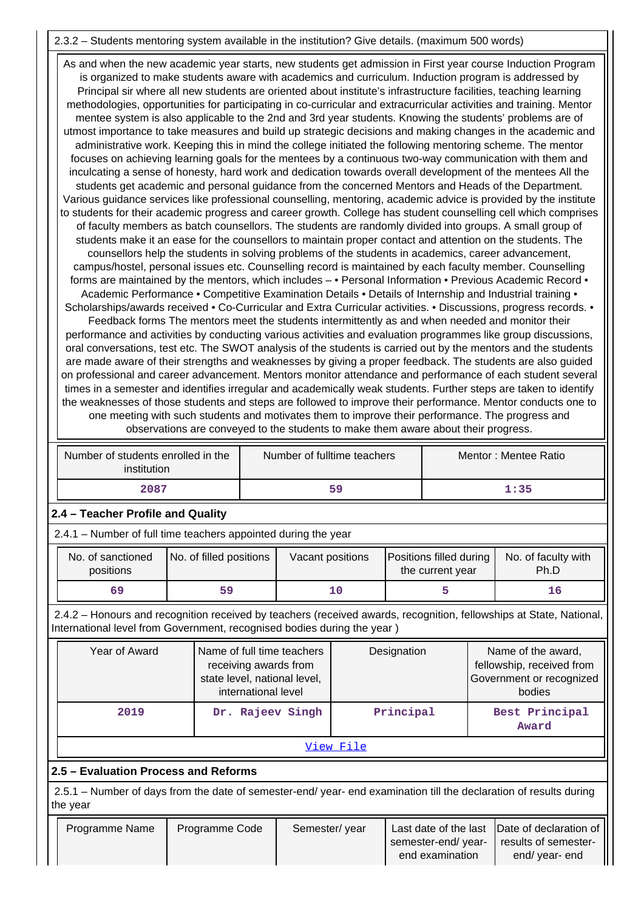# 2.3.2 – Students mentoring system available in the institution? Give details. (maximum 500 words)

 As and when the new academic year starts, new students get admission in First year course Induction Program is organized to make students aware with academics and curriculum. Induction program is addressed by Principal sir where all new students are oriented about institute's infrastructure facilities, teaching learning methodologies, opportunities for participating in co-curricular and extracurricular activities and training. Mentor mentee system is also applicable to the 2nd and 3rd year students. Knowing the students' problems are of utmost importance to take measures and build up strategic decisions and making changes in the academic and administrative work. Keeping this in mind the college initiated the following mentoring scheme. The mentor focuses on achieving learning goals for the mentees by a continuous two-way communication with them and inculcating a sense of honesty, hard work and dedication towards overall development of the mentees All the students get academic and personal guidance from the concerned Mentors and Heads of the Department. Various guidance services like professional counselling, mentoring, academic advice is provided by the institute to students for their academic progress and career growth. College has student counselling cell which comprises of faculty members as batch counsellors. The students are randomly divided into groups. A small group of students make it an ease for the counsellors to maintain proper contact and attention on the students. The counsellors help the students in solving problems of the students in academics, career advancement, campus/hostel, personal issues etc. Counselling record is maintained by each faculty member. Counselling forms are maintained by the mentors, which includes - • Personal Information • Previous Academic Record • Academic Performance • Competitive Examination Details • Details of Internship and Industrial training • Scholarships/awards received • Co-Curricular and Extra Curricular activities. • Discussions, progress records. • Feedback forms The mentors meet the students intermittently as and when needed and monitor their performance and activities by conducting various activities and evaluation programmes like group discussions, oral conversations, test etc. The SWOT analysis of the students is carried out by the mentors and the students are made aware of their strengths and weaknesses by giving a proper feedback. The students are also guided on professional and career advancement. Mentors monitor attendance and performance of each student several times in a semester and identifies irregular and academically weak students. Further steps are taken to identify the weaknesses of those students and steps are followed to improve their performance. Mentor conducts one to one meeting with such students and motivates them to improve their performance. The progress and observations are conveyed to the students to make them aware about their progress.

| Number of students enrolled in the<br>institution | Number of fulltime teachers | Mentor: Mentee Ratio |
|---------------------------------------------------|-----------------------------|----------------------|
| 2087                                              | 59                          | 1:35                 |

# **2.4 – Teacher Profile and Quality**

2.4.1 – Number of full time teachers appointed during the year

| No. of sanctioned<br>positions | No. of filled positions | Vacant positions | Positions filled during<br>the current year | No. of faculty with<br>Ph.D |
|--------------------------------|-------------------------|------------------|---------------------------------------------|-----------------------------|
| 69                             | 59                      |                  |                                             |                             |

 2.4.2 – Honours and recognition received by teachers (received awards, recognition, fellowships at State, National, International level from Government, recognised bodies during the year )

| Year of Award | Name of full time teachers<br>receiving awards from<br>state level, national level,<br>international level | Designation | Name of the award,<br>fellowship, received from<br>Government or recognized<br>bodies |  |  |
|---------------|------------------------------------------------------------------------------------------------------------|-------------|---------------------------------------------------------------------------------------|--|--|
| 2019          | Dr. Rajeev Singh                                                                                           | Principal   | Best Principal<br>Award                                                               |  |  |
|               |                                                                                                            | View File   |                                                                                       |  |  |

# **2.5 – Evaluation Process and Reforms**

 2.5.1 – Number of days from the date of semester-end/ year- end examination till the declaration of results during the year

| Programme Name | Programme Code | Semester/ year |                    | Last date of the last  Date of declaration of |
|----------------|----------------|----------------|--------------------|-----------------------------------------------|
|                |                |                | semester-end/year- | results of semester-                          |
|                |                |                | end examination    | end/ year- end                                |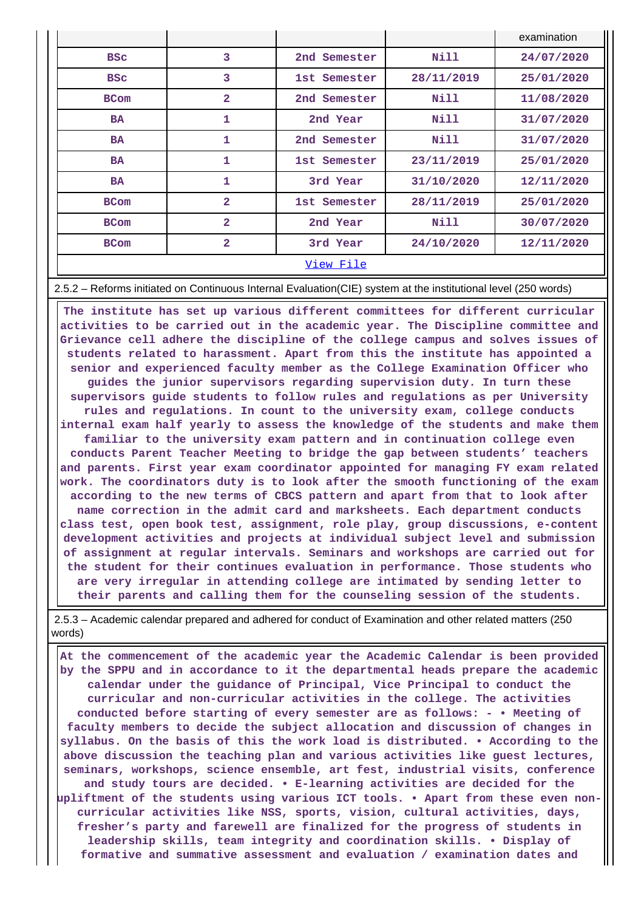|             |                |              |            | examination |
|-------------|----------------|--------------|------------|-------------|
| <b>BSC</b>  | 3              | 2nd Semester | Nill       | 24/07/2020  |
| <b>BSC</b>  | 3              | 1st Semester | 28/11/2019 | 25/01/2020  |
| <b>BCom</b> | 2              | 2nd Semester | Nill       | 11/08/2020  |
| <b>BA</b>   | 1              | 2nd Year     | Nill       | 31/07/2020  |
| <b>BA</b>   | 1              | 2nd Semester | Nill       | 31/07/2020  |
| <b>BA</b>   | 1              | 1st Semester | 23/11/2019 | 25/01/2020  |
| <b>BA</b>   | 1              | 3rd Year     | 31/10/2020 | 12/11/2020  |
| <b>BCom</b> | $\overline{a}$ | 1st Semester | 28/11/2019 | 25/01/2020  |
| <b>BCom</b> | $\overline{2}$ | 2nd Year     | Nill       | 30/07/2020  |
| <b>BCom</b> | $\overline{a}$ | 3rd Year     | 24/10/2020 | 12/11/2020  |
|             |                | View File    |            |             |

2.5.2 – Reforms initiated on Continuous Internal Evaluation(CIE) system at the institutional level (250 words)

 **The institute has set up various different committees for different curricular activities to be carried out in the academic year. The Discipline committee and Grievance cell adhere the discipline of the college campus and solves issues of students related to harassment. Apart from this the institute has appointed a senior and experienced faculty member as the College Examination Officer who guides the junior supervisors regarding supervision duty. In turn these supervisors guide students to follow rules and regulations as per University rules and regulations. In count to the university exam, college conducts internal exam half yearly to assess the knowledge of the students and make them familiar to the university exam pattern and in continuation college even conducts Parent Teacher Meeting to bridge the gap between students' teachers and parents. First year exam coordinator appointed for managing FY exam related work. The coordinators duty is to look after the smooth functioning of the exam according to the new terms of CBCS pattern and apart from that to look after name correction in the admit card and marksheets. Each department conducts class test, open book test, assignment, role play, group discussions, e-content development activities and projects at individual subject level and submission of assignment at regular intervals. Seminars and workshops are carried out for the student for their continues evaluation in performance. Those students who are very irregular in attending college are intimated by sending letter to their parents and calling them for the counseling session of the students.**

 2.5.3 – Academic calendar prepared and adhered for conduct of Examination and other related matters (250 words)

 **At the commencement of the academic year the Academic Calendar is been provided by the SPPU and in accordance to it the departmental heads prepare the academic calendar under the guidance of Principal, Vice Principal to conduct the curricular and non-curricular activities in the college. The activities conducted before starting of every semester are as follows: - • Meeting of faculty members to decide the subject allocation and discussion of changes in syllabus. On the basis of this the work load is distributed. • According to the above discussion the teaching plan and various activities like guest lectures, seminars, workshops, science ensemble, art fest, industrial visits, conference and study tours are decided. • E-learning activities are decided for the upliftment of the students using various ICT tools. • Apart from these even noncurricular activities like NSS, sports, vision, cultural activities, days, fresher's party and farewell are finalized for the progress of students in leadership skills, team integrity and coordination skills. • Display of formative and summative assessment and evaluation / examination dates and**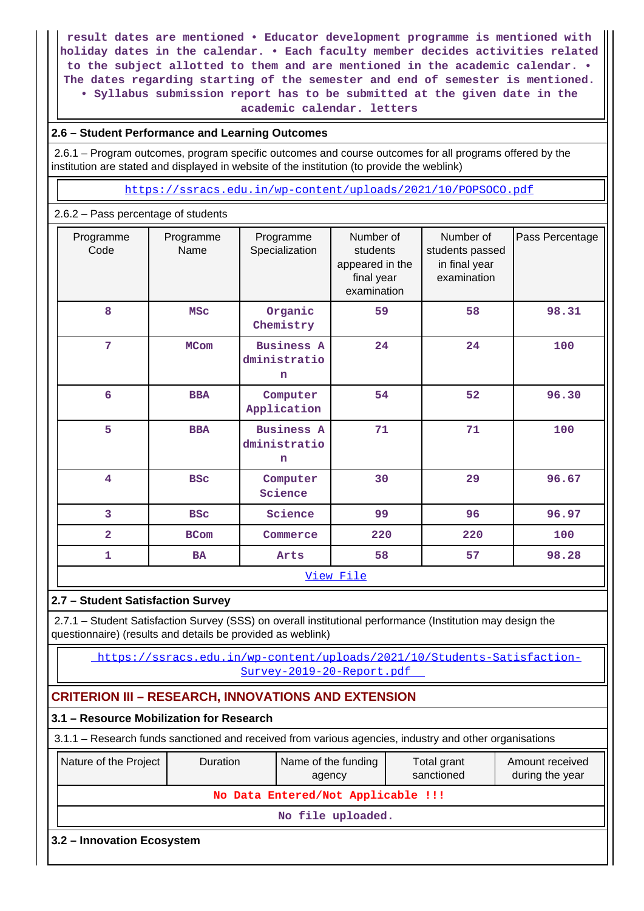**result dates are mentioned • Educator development programme is mentioned with holiday dates in the calendar. • Each faculty member decides activities related to the subject allotted to them and are mentioned in the academic calendar. • The dates regarding starting of the semester and end of semester is mentioned. • Syllabus submission report has to be submitted at the given date in the academic calendar. letters**

## **2.6 – Student Performance and Learning Outcomes**

 2.6.1 – Program outcomes, program specific outcomes and course outcomes for all programs offered by the institution are stated and displayed in website of the institution (to provide the weblink)

https://ssracs.edu.in/wp-content/uploads/2021/10/POPSOCO.pdf

## 2.6.2 – Pass percentage of students

| Programme<br>Code       | Programme<br>Name | Programme<br>Specialization                      | Number of<br>students<br>appeared in the<br>final year<br>examination | Number of<br>students passed<br>in final year<br>examination | Pass Percentage |
|-------------------------|-------------------|--------------------------------------------------|-----------------------------------------------------------------------|--------------------------------------------------------------|-----------------|
| 8                       | <b>MSC</b>        | Organic<br>Chemistry                             | 59                                                                    | 58                                                           | 98.31           |
| $\overline{7}$          | <b>MCom</b>       | <b>Business A</b><br>dministratio<br>n           | 24                                                                    | 24                                                           | 100             |
| 6                       | <b>BBA</b>        | Computer<br>Application                          | 54                                                                    | 52                                                           | 96.30           |
| 5                       | <b>BBA</b>        | <b>Business A</b><br>dministratio<br>$\mathbf n$ | 71                                                                    | 71                                                           | 100             |
| $\overline{\mathbf{4}}$ | <b>BSC</b>        | Computer<br>Science                              | 30                                                                    | 29                                                           | 96.67           |
| 3                       | <b>BSC</b>        | Science                                          | 99                                                                    | 96                                                           | 96.97           |
| $\overline{\mathbf{2}}$ | <b>BCom</b>       | Commerce                                         | 220                                                                   | 220                                                          | 100             |
| $\mathbf{1}$            | <b>BA</b>         |                                                  | 58<br>Arts                                                            |                                                              | 98.28           |
|                         |                   |                                                  | View File                                                             |                                                              |                 |
|                         |                   |                                                  |                                                                       |                                                              |                 |

## **2.7 – Student Satisfaction Survey**

 2.7.1 – Student Satisfaction Survey (SSS) on overall institutional performance (Institution may design the questionnaire) (results and details be provided as weblink)

 https://ssracs.edu.in/wp-content/uploads/2021/10/Students-Satisfaction-Survey-2019-20-Report.pdf

# **CRITERION III – RESEARCH, INNOVATIONS AND EXTENSION**

| 3.1 – Resource Mobilization for Research                                                                                                     |  |                                    |  |  |  |  |  |  |
|----------------------------------------------------------------------------------------------------------------------------------------------|--|------------------------------------|--|--|--|--|--|--|
| 3.1.1 – Research funds sanctioned and received from various agencies, industry and other organisations                                       |  |                                    |  |  |  |  |  |  |
| Nature of the Project<br>Name of the funding<br>Amount received<br><b>Duration</b><br>Total grant<br>sanctioned<br>during the year<br>agency |  |                                    |  |  |  |  |  |  |
|                                                                                                                                              |  | No Data Entered/Not Applicable !!! |  |  |  |  |  |  |
| No file uploaded.                                                                                                                            |  |                                    |  |  |  |  |  |  |
| 3.2 – Innovation Ecosystem                                                                                                                   |  |                                    |  |  |  |  |  |  |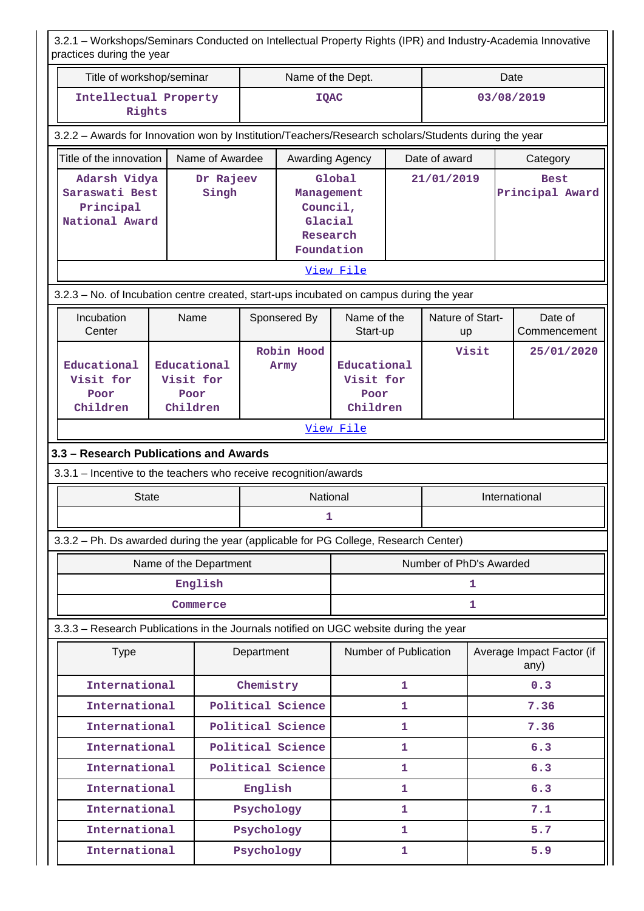|                                                                                         | 3.2.1 - Workshops/Seminars Conducted on Intellectual Property Rights (IPR) and Industry-Academia Innovative<br>practices during the year |                        |            |                                                                    |                         |            |                         |       |                                   |  |
|-----------------------------------------------------------------------------------------|------------------------------------------------------------------------------------------------------------------------------------------|------------------------|------------|--------------------------------------------------------------------|-------------------------|------------|-------------------------|-------|-----------------------------------|--|
| Title of workshop/seminar                                                               |                                                                                                                                          |                        |            | Name of the Dept.                                                  |                         |            |                         |       | Date                              |  |
| Intellectual Property<br>Rights                                                         |                                                                                                                                          |                        |            | <b>IQAC</b>                                                        |                         |            |                         |       | 03/08/2019                        |  |
|                                                                                         | 3.2.2 - Awards for Innovation won by Institution/Teachers/Research scholars/Students during the year                                     |                        |            |                                                                    |                         |            |                         |       |                                   |  |
| Title of the innovation                                                                 |                                                                                                                                          | Name of Awardee        |            | Awarding Agency                                                    |                         |            | Date of award           |       | Category                          |  |
| Principal                                                                               | Adarsh Vidya<br>Dr Rajeev<br>Saraswati Best<br>Singh<br>National Award                                                                   |                        |            | Global<br>Management<br>Council,<br>Glacial<br>Research            |                         | 21/01/2019 |                         |       | <b>Best</b><br>Principal Award    |  |
|                                                                                         |                                                                                                                                          |                        |            | Foundation                                                         |                         |            |                         |       |                                   |  |
|                                                                                         |                                                                                                                                          |                        |            |                                                                    | View File               |            |                         |       |                                   |  |
| 3.2.3 - No. of Incubation centre created, start-ups incubated on campus during the year |                                                                                                                                          |                        |            |                                                                    |                         |            |                         |       |                                   |  |
| Incubation<br>Center                                                                    | Name                                                                                                                                     |                        |            | Sponsered By                                                       | Name of the<br>Start-up |            | Nature of Start-<br>up  |       | Date of<br>Commencement           |  |
| Educational<br>Visit for<br>Poor<br>Children                                            | Educational<br>Visit for<br>Poor<br>Children                                                                                             |                        |            | Robin Hood<br>Educational<br>Army<br>Visit for<br>Poor<br>Children |                         |            |                         | Visit | 25/01/2020                        |  |
|                                                                                         |                                                                                                                                          |                        |            |                                                                    | View File               |            |                         |       |                                   |  |
| 3.3 - Research Publications and Awards                                                  |                                                                                                                                          |                        |            |                                                                    |                         |            |                         |       |                                   |  |
| 3.3.1 - Incentive to the teachers who receive recognition/awards                        |                                                                                                                                          |                        |            |                                                                    |                         |            |                         |       |                                   |  |
| <b>State</b>                                                                            |                                                                                                                                          |                        |            | National                                                           |                         |            |                         |       | International                     |  |
|                                                                                         |                                                                                                                                          |                        |            | 1                                                                  |                         |            |                         |       |                                   |  |
| 3.3.2 - Ph. Ds awarded during the year (applicable for PG College, Research Center)     |                                                                                                                                          |                        |            |                                                                    |                         |            |                         |       |                                   |  |
|                                                                                         |                                                                                                                                          | Name of the Department |            |                                                                    |                         |            | Number of PhD's Awarded |       |                                   |  |
|                                                                                         |                                                                                                                                          | English                |            |                                                                    | 1                       |            |                         |       |                                   |  |
|                                                                                         |                                                                                                                                          | Commerce               |            |                                                                    |                         |            |                         | 1     |                                   |  |
| 3.3.3 - Research Publications in the Journals notified on UGC website during the year   |                                                                                                                                          |                        |            |                                                                    |                         |            |                         |       |                                   |  |
| <b>Type</b>                                                                             |                                                                                                                                          |                        | Department |                                                                    | Number of Publication   |            |                         |       | Average Impact Factor (if<br>any) |  |
| International                                                                           |                                                                                                                                          |                        | Chemistry  |                                                                    |                         | 1          |                         |       | 0.3                               |  |
| International                                                                           |                                                                                                                                          |                        |            | Political Science                                                  |                         | 1          |                         |       | 7.36                              |  |
| International                                                                           |                                                                                                                                          |                        |            | Political Science                                                  |                         | 1          |                         |       | 7.36                              |  |
| International                                                                           |                                                                                                                                          |                        |            | Political Science                                                  |                         | 1          |                         |       | 6.3                               |  |
| International                                                                           |                                                                                                                                          |                        |            | Political Science                                                  |                         | 1          |                         |       | 6.3                               |  |
| International                                                                           |                                                                                                                                          |                        | English    |                                                                    |                         | 1          |                         |       | 6.3                               |  |
| International                                                                           |                                                                                                                                          |                        | Psychology |                                                                    |                         | 1          |                         |       | 7.1                               |  |
| International                                                                           |                                                                                                                                          |                        | Psychology |                                                                    |                         | 1          |                         |       | 5.7                               |  |
| International                                                                           |                                                                                                                                          |                        | Psychology |                                                                    | 1                       |            |                         | 5.9   |                                   |  |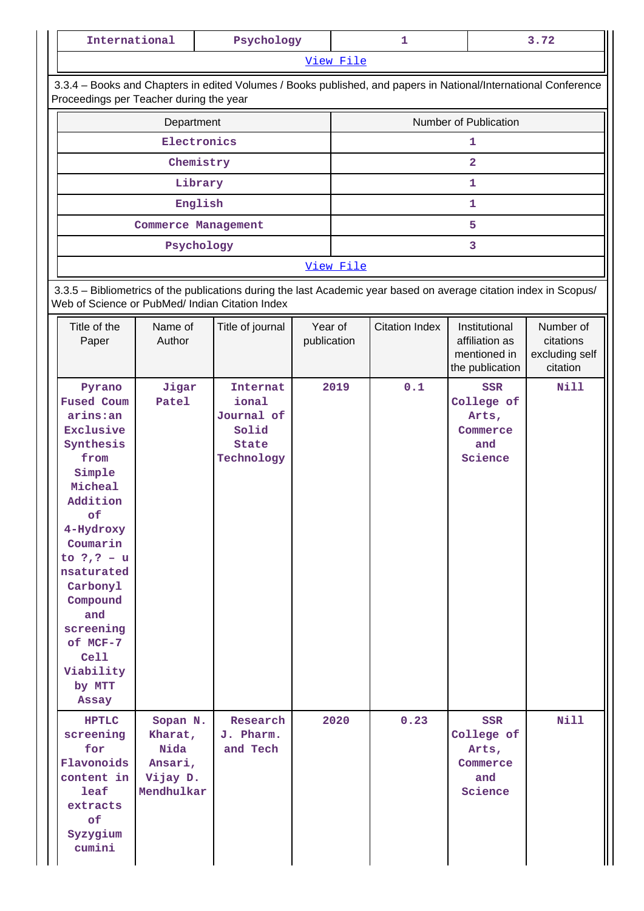| International                                                                                                                                                                                                                                                               |                                                                  | Psychology                                                                                                         |             |                       | 1                     |                                                                 | 3.72                                    |
|-----------------------------------------------------------------------------------------------------------------------------------------------------------------------------------------------------------------------------------------------------------------------------|------------------------------------------------------------------|--------------------------------------------------------------------------------------------------------------------|-------------|-----------------------|-----------------------|-----------------------------------------------------------------|-----------------------------------------|
|                                                                                                                                                                                                                                                                             |                                                                  |                                                                                                                    | View File   |                       |                       |                                                                 |                                         |
|                                                                                                                                                                                                                                                                             | Proceedings per Teacher during the year                          | 3.3.4 - Books and Chapters in edited Volumes / Books published, and papers in National/International Conference    |             |                       |                       |                                                                 |                                         |
|                                                                                                                                                                                                                                                                             | Department                                                       |                                                                                                                    |             | Number of Publication |                       |                                                                 |                                         |
|                                                                                                                                                                                                                                                                             | Electronics                                                      |                                                                                                                    |             |                       |                       | 1                                                               |                                         |
|                                                                                                                                                                                                                                                                             | Chemistry                                                        |                                                                                                                    |             |                       |                       | $\overline{2}$                                                  |                                         |
|                                                                                                                                                                                                                                                                             | Library                                                          |                                                                                                                    |             |                       |                       | 1                                                               |                                         |
|                                                                                                                                                                                                                                                                             | English                                                          |                                                                                                                    |             |                       |                       | 1                                                               |                                         |
|                                                                                                                                                                                                                                                                             | <b>Commerce Management</b>                                       |                                                                                                                    |             |                       |                       | 5                                                               |                                         |
|                                                                                                                                                                                                                                                                             | Psychology                                                       |                                                                                                                    |             |                       |                       | 3                                                               |                                         |
|                                                                                                                                                                                                                                                                             |                                                                  |                                                                                                                    | View File   |                       |                       |                                                                 |                                         |
| Title of the                                                                                                                                                                                                                                                                | Web of Science or PubMed/ Indian Citation Index<br>Name of       | 3.3.5 - Bibliometrics of the publications during the last Academic year based on average citation index in Scopus/ | Year of     |                       | <b>Citation Index</b> | Institutional                                                   | Number of                               |
| Paper                                                                                                                                                                                                                                                                       | Author                                                           | Title of journal                                                                                                   | publication |                       |                       | affiliation as<br>mentioned in<br>the publication               | citations<br>excluding self<br>citation |
| Pyrano<br><b>Fused Coum</b><br>arins:an<br>Exclusive<br>Synthesis<br>from<br>Simple<br>Micheal<br>Addition<br>оf<br>4-Hydroxy<br>Coumarin<br>to $?$ , $? - u$<br>nsaturated<br>Carbonyl<br>Compound<br>and<br>screening<br>of MCF-7<br>Cell<br>Viability<br>by MTT<br>Assay | Jigar<br>Patel                                                   | Internat<br>ional<br>Journal of<br>Solid<br><b>State</b><br>Technology                                             | 2019        |                       | 0.1                   | <b>SSR</b><br>College of<br>Arts,<br>Commerce<br>and<br>Science | Nill                                    |
| <b>HPTLC</b><br>screening<br>for<br>Flavonoids<br>content in<br>leaf<br>extracts<br>of<br>Syzygium<br>cumini                                                                                                                                                                | Sopan N.<br>Kharat,<br>Nida<br>Ansari,<br>Vijay D.<br>Mendhulkar | Research<br>J. Pharm.<br>and Tech                                                                                  |             | 2020                  | 0.23                  | SSR<br>College of<br>Arts,<br>Commerce<br>and<br>Science        | Nill                                    |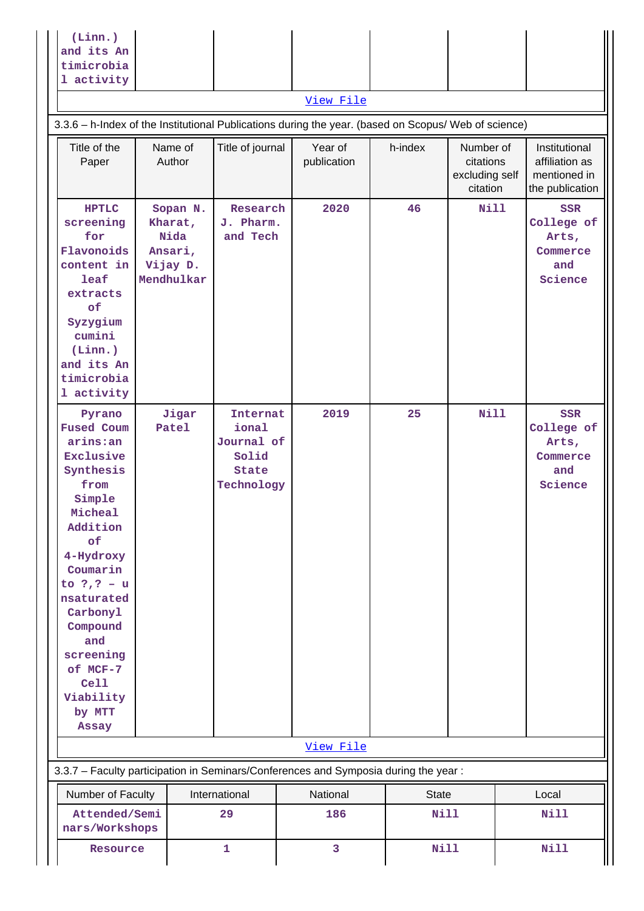| $(Linn.)$<br>and its An<br>timicrobia<br>1 activity |  |           |  |  |
|-----------------------------------------------------|--|-----------|--|--|
|                                                     |  | View File |  |  |

# 3.3.6 – h-Index of the Institutional Publications during the year. (based on Scopus/ Web of science)

| Title of the<br>Paper                                                                                                                                                                                                                                                              |  | Name of<br>Author                                                | Title of journal                                                | Year of<br>publication | h-index      | Number of<br>citations<br>excluding self<br>citation | Institutional<br>affiliation as<br>mentioned in<br>the publication |
|------------------------------------------------------------------------------------------------------------------------------------------------------------------------------------------------------------------------------------------------------------------------------------|--|------------------------------------------------------------------|-----------------------------------------------------------------|------------------------|--------------|------------------------------------------------------|--------------------------------------------------------------------|
| <b>HPTLC</b><br>screening<br>for<br>Flavonoids<br>content in<br>leaf<br>extracts<br>of<br>Syzygium<br>cumini<br>(Linn.)<br>and its An<br>timicrobia<br>1 activity                                                                                                                  |  | Sopan N.<br>Kharat,<br>Nida<br>Ansari,<br>Vijay D.<br>Mendhulkar | Research<br>J. Pharm.<br>and Tech                               | 2020                   | 46           | <b>Nill</b>                                          | <b>SSR</b><br>College of<br>Arts,<br>Commerce<br>and<br>Science    |
| Pyrano<br><b>Fused Coum</b><br>arins:an<br>Exclusive<br>Synthesis<br>from<br>Simple<br>Micheal<br>Addition<br>of<br>4-Hydroxy<br>Coumarin<br>to $?$ , $? - u$<br>nsaturated<br>Carbonyl<br>Compound<br>and<br>screening<br>of MCF-7<br>Cell<br>Viability<br>by MTT<br><b>Assay</b> |  | Jigar<br>Patel                                                   | Internat<br>ional<br>Journal of<br>Solid<br>State<br>Technology | 2019                   | 25           | Nill                                                 | <b>SSR</b><br>College of<br>Arts,<br>Commerce<br>and<br>Science    |
|                                                                                                                                                                                                                                                                                    |  |                                                                  |                                                                 | View File              |              |                                                      |                                                                    |
| 3.3.7 - Faculty participation in Seminars/Conferences and Symposia during the year:                                                                                                                                                                                                |  |                                                                  |                                                                 |                        |              |                                                      |                                                                    |
| Number of Faculty                                                                                                                                                                                                                                                                  |  |                                                                  | International                                                   | National               | <b>State</b> |                                                      | Local                                                              |
| Attended/Semi<br>nars/Workshops                                                                                                                                                                                                                                                    |  |                                                                  | 29                                                              | 186                    | <b>Nill</b>  |                                                      | <b>Nill</b>                                                        |
| Resource                                                                                                                                                                                                                                                                           |  | $\mathbf{1}$                                                     | 3                                                               | Nill                   |              | <b>Nill</b>                                          |                                                                    |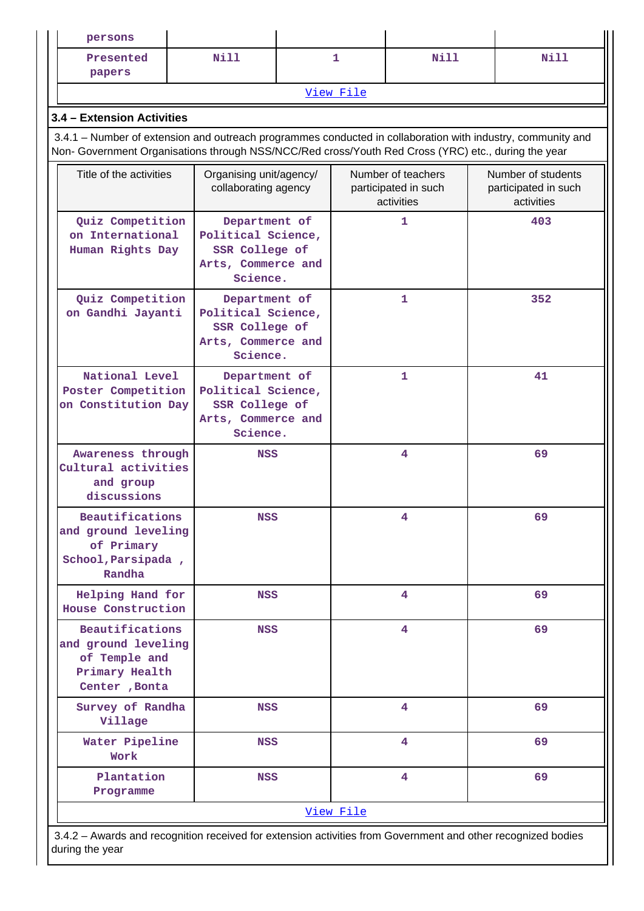| persons                                                                                                      |                                                                                         |  |           |                                                          |                                                                                                             |  |  |  |  |
|--------------------------------------------------------------------------------------------------------------|-----------------------------------------------------------------------------------------|--|-----------|----------------------------------------------------------|-------------------------------------------------------------------------------------------------------------|--|--|--|--|
| Presented<br>papers                                                                                          | Nill                                                                                    |  | 1         | Nill                                                     | Nill                                                                                                        |  |  |  |  |
|                                                                                                              |                                                                                         |  | View File |                                                          |                                                                                                             |  |  |  |  |
| 3.4 - Extension Activities                                                                                   |                                                                                         |  |           |                                                          |                                                                                                             |  |  |  |  |
| Non- Government Organisations through NSS/NCC/Red cross/Youth Red Cross (YRC) etc., during the year          |                                                                                         |  |           |                                                          | 3.4.1 – Number of extension and outreach programmes conducted in collaboration with industry, community and |  |  |  |  |
| Title of the activities                                                                                      | Organising unit/agency/<br>collaborating agency                                         |  |           | Number of teachers<br>participated in such<br>activities | Number of students<br>participated in such<br>activities                                                    |  |  |  |  |
| Quiz Competition<br>on International<br>Human Rights Day                                                     | Department of<br>Political Science,<br>SSR College of<br>Arts, Commerce and<br>Science. |  | 1         |                                                          | 403                                                                                                         |  |  |  |  |
| Quiz Competition<br>on Gandhi Jayanti                                                                        | Department of<br>Political Science,<br>SSR College of<br>Arts, Commerce and<br>Science. |  |           | 1                                                        | 352                                                                                                         |  |  |  |  |
| National Level<br>Poster Competition<br>on Constitution Day                                                  | Department of<br>Political Science,<br>SSR College of<br>Arts, Commerce and<br>Science. |  |           | 1                                                        | 41                                                                                                          |  |  |  |  |
| Awareness through<br>Cultural activities<br>and group<br>discussions                                         | <b>NSS</b>                                                                              |  |           | 4                                                        | 69                                                                                                          |  |  |  |  |
| Beautifications<br>and ground leveling<br>of Primary<br>School, Parsipada,<br>Randha                         | NSS                                                                                     |  |           | 4                                                        | 69                                                                                                          |  |  |  |  |
| Helping Hand for<br>House Construction                                                                       | <b>NSS</b>                                                                              |  |           | 4                                                        | 69                                                                                                          |  |  |  |  |
| <b>Beautifications</b><br>and ground leveling<br>of Temple and<br>Primary Health<br>Center, Bonta            | <b>NSS</b>                                                                              |  |           | 4                                                        | 69                                                                                                          |  |  |  |  |
| Survey of Randha<br>Village                                                                                  | <b>NSS</b>                                                                              |  |           | 4                                                        | 69                                                                                                          |  |  |  |  |
| Water Pipeline<br>Work                                                                                       | <b>NSS</b>                                                                              |  |           | 4                                                        | 69                                                                                                          |  |  |  |  |
| Plantation<br>Programme                                                                                      | <b>NSS</b>                                                                              |  |           | 4                                                        | 69                                                                                                          |  |  |  |  |
|                                                                                                              |                                                                                         |  | View File |                                                          |                                                                                                             |  |  |  |  |
| 3.4.2 – Awards and recognition received for extension activities from Government and other recognized bodies |                                                                                         |  |           |                                                          |                                                                                                             |  |  |  |  |

 3.4.2 – Awards and recognition received for extension activities from Government and other recognized bodies during the year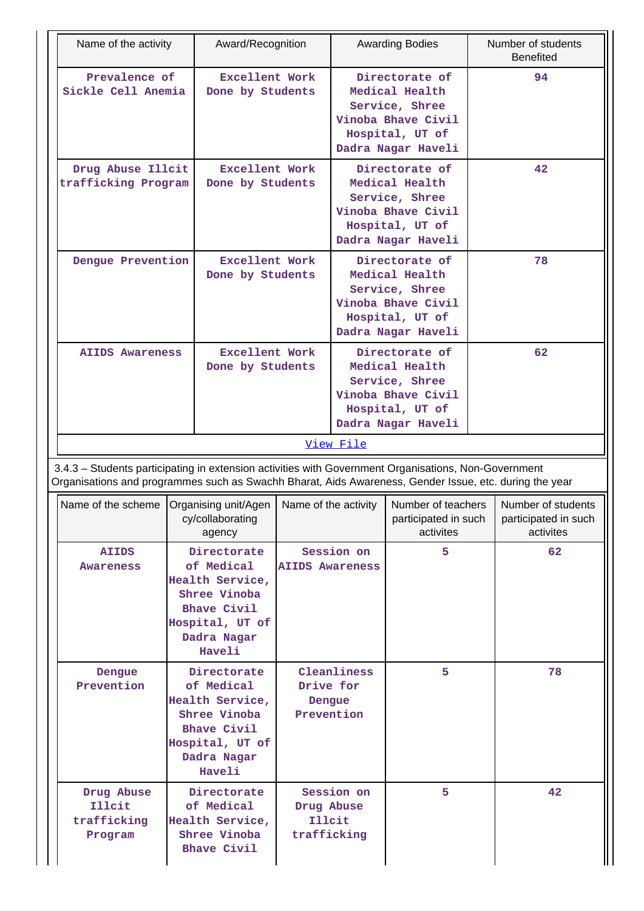|                                                                                                                                                                                                                | Name of the activity<br>Award/Recognition                                                                                      |                                           |                                                   |                                                                                                                   | <b>Awarding Bodies</b>                                  |    | Number of students<br><b>Benefited</b>                  |
|----------------------------------------------------------------------------------------------------------------------------------------------------------------------------------------------------------------|--------------------------------------------------------------------------------------------------------------------------------|-------------------------------------------|---------------------------------------------------|-------------------------------------------------------------------------------------------------------------------|---------------------------------------------------------|----|---------------------------------------------------------|
| Prevalence of<br>Sickle Cell Anemia                                                                                                                                                                            |                                                                                                                                | Excellent Work<br>Done by Students        |                                                   | Directorate of<br>Medical Health<br>Service, Shree<br>Vinoba Bhave Civil<br>Hospital, UT of<br>Dadra Nagar Haveli |                                                         |    | 94                                                      |
| Drug Abuse Illcit<br>trafficking Program                                                                                                                                                                       |                                                                                                                                | <b>Excellent Work</b><br>Done by Students |                                                   | Directorate of<br>Medical Health<br>Service, Shree<br>Vinoba Bhave Civil<br>Hospital, UT of<br>Dadra Nagar Haveli |                                                         |    | 42                                                      |
| Dengue Prevention                                                                                                                                                                                              |                                                                                                                                | <b>Excellent Work</b><br>Done by Students |                                                   | Directorate of<br>Medical Health<br>Service, Shree<br>Vinoba Bhave Civil<br>Hospital, UT of<br>Dadra Nagar Haveli |                                                         | 78 |                                                         |
| <b>AIIDS Awareness</b>                                                                                                                                                                                         |                                                                                                                                | <b>Excellent Work</b><br>Done by Students |                                                   | Directorate of<br>Medical Health<br>Service, Shree<br>Vinoba Bhave Civil<br>Hospital, UT of<br>Dadra Nagar Haveli |                                                         | 62 |                                                         |
|                                                                                                                                                                                                                |                                                                                                                                |                                           |                                                   | View File                                                                                                         |                                                         |    |                                                         |
| 3.4.3 - Students participating in extension activities with Government Organisations, Non-Government<br>Organisations and programmes such as Swachh Bharat, Aids Awareness, Gender Issue, etc. during the year |                                                                                                                                |                                           |                                                   |                                                                                                                   |                                                         |    |                                                         |
| Name of the scheme   Organising unit/Agen                                                                                                                                                                      |                                                                                                                                | cy/collaborating<br>agency                | Name of the activity                              |                                                                                                                   | Number of teachers<br>participated in such<br>activites |    | Number of students<br>participated in such<br>activites |
| <b>AIIDS</b><br>Awareness                                                                                                                                                                                      | Directorate<br>of Medical<br>Health Service,<br>Shree Vinoba<br><b>Bhave Civil</b><br>Hospital, UT of<br>Dadra Nagar<br>Haveli |                                           | Session on<br><b>AIIDS Awareness</b>              |                                                                                                                   | 5                                                       |    | 62                                                      |
| Directorate<br>Dengue<br>Prevention<br>of Medical<br>Health Service,<br>Shree Vinoba<br><b>Bhave Civil</b><br>Hospital, UT of<br>Dadra Nagar<br>Haveli                                                         |                                                                                                                                | Drive for<br>Dengue<br>Prevention         | Cleanliness                                       | 5                                                                                                                 |                                                         | 78 |                                                         |
| Drug Abuse<br>Illcit<br>trafficking<br>Program                                                                                                                                                                 | Directorate<br>of Medical<br>Health Service,<br>Shree Vinoba<br><b>Bhave Civil</b>                                             |                                           | Session on<br>Drug Abuse<br>Illcit<br>trafficking |                                                                                                                   | 5                                                       |    | 42                                                      |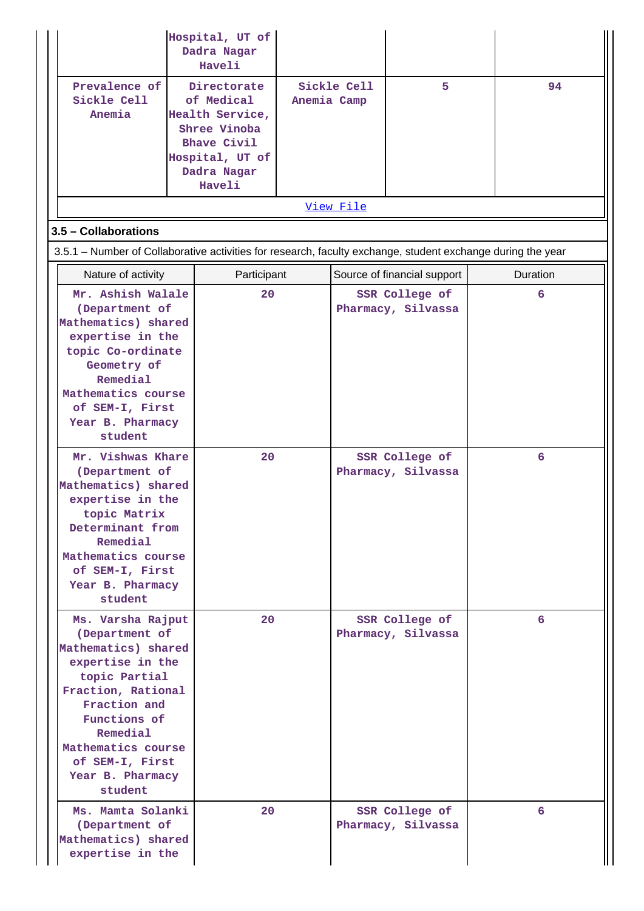|                                                                                                                                                                                                                                                                                                                              | Hospital, UT of<br>Dadra Nagar<br>Haveli                                                                                       |             |             |                                                                              |                 |
|------------------------------------------------------------------------------------------------------------------------------------------------------------------------------------------------------------------------------------------------------------------------------------------------------------------------------|--------------------------------------------------------------------------------------------------------------------------------|-------------|-------------|------------------------------------------------------------------------------|-----------------|
| Prevalence of<br>Sickle Cell<br>Anemia                                                                                                                                                                                                                                                                                       | Directorate<br>of Medical<br>Health Service,<br>Shree Vinoba<br><b>Bhave Civil</b><br>Hospital, UT of<br>Dadra Nagar<br>Haveli | Anemia Camp | Sickle Cell | 5                                                                            | 94              |
|                                                                                                                                                                                                                                                                                                                              |                                                                                                                                |             | View File   |                                                                              |                 |
| 3.5 - Collaborations                                                                                                                                                                                                                                                                                                         |                                                                                                                                |             |             |                                                                              |                 |
| 3.5.1 – Number of Collaborative activities for research, faculty exchange, student exchange during the year                                                                                                                                                                                                                  |                                                                                                                                |             |             |                                                                              |                 |
| Nature of activity                                                                                                                                                                                                                                                                                                           | Participant                                                                                                                    |             |             | Source of financial support                                                  | <b>Duration</b> |
| Mr. Ashish Walale<br>(Department of<br>Mathematics) shared<br>expertise in the<br>topic Co-ordinate<br>Geometry of<br>Remedial<br>Mathematics course<br>of SEM-I, First<br>Year B. Pharmacy<br>student<br>Mr. Vishwas Khare<br>(Department of<br>Mathematics) shared<br>expertise in the<br>topic Matrix<br>Determinant from | 20<br>20                                                                                                                       |             |             | SSR College of<br>Pharmacy, Silvassa<br>SSR College of<br>Pharmacy, Silvassa | 6<br>6          |
| Remedial<br>Mathematics course<br>of SEM-I, First<br>Year B. Pharmacy<br>student                                                                                                                                                                                                                                             |                                                                                                                                |             |             |                                                                              |                 |
| Ms. Varsha Rajput<br>(Department of<br>Mathematics) shared<br>expertise in the<br>topic Partial<br>Fraction, Rational<br>Fraction and<br>Functions of<br>Remedial<br>Mathematics course<br>of SEM-I, First<br>Year B. Pharmacy<br>student                                                                                    | 20                                                                                                                             |             |             | SSR College of<br>Pharmacy, Silvassa                                         | 6               |
| Ms. Mamta Solanki<br>(Department of<br>Mathematics) shared<br>expertise in the                                                                                                                                                                                                                                               | 20                                                                                                                             |             |             | SSR College of<br>Pharmacy, Silvassa                                         | 6               |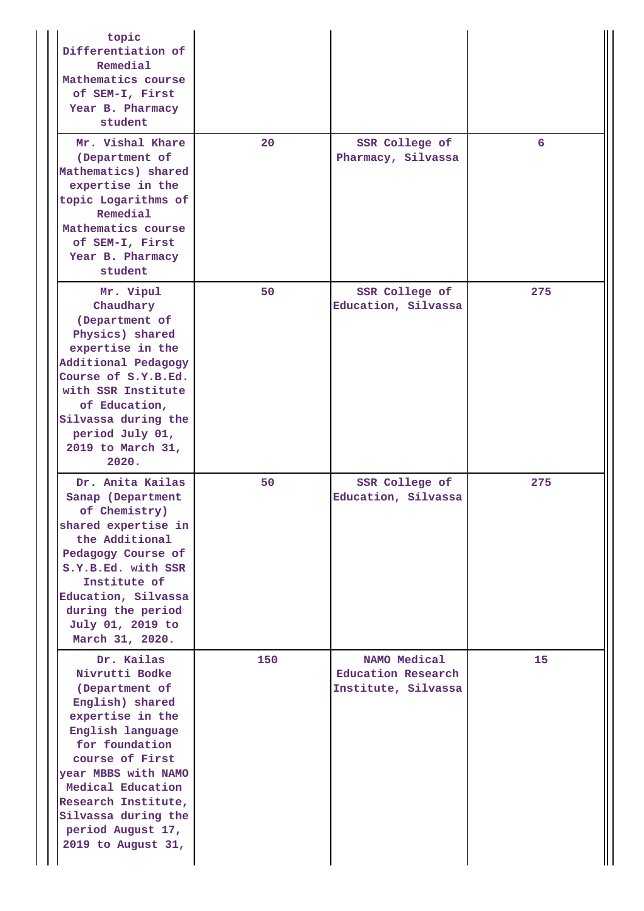| topic<br>Differentiation of<br>Remedial<br>Mathematics course<br>of SEM-I, First<br>Year B. Pharmacy<br>student                                                                                                                                                                     |     |                                                                  |     |
|-------------------------------------------------------------------------------------------------------------------------------------------------------------------------------------------------------------------------------------------------------------------------------------|-----|------------------------------------------------------------------|-----|
| Mr. Vishal Khare<br>(Department of<br>Mathematics) shared<br>expertise in the<br>topic Logarithms of<br>Remedial<br>Mathematics course<br>of SEM-I, First<br>Year B. Pharmacy<br>student                                                                                            | 20  | SSR College of<br>Pharmacy, Silvassa                             | 6   |
| Mr. Vipul<br>Chaudhary<br>(Department of<br>Physics) shared<br>expertise in the<br>Additional Pedagogy<br>Course of S.Y.B.Ed.<br>with SSR Institute<br>of Education,<br>Silvassa during the<br>period July 01,<br>2019 to March 31,<br>2020.                                        | 50  | SSR College of<br>Education, Silvassa                            | 275 |
| Dr. Anita Kailas<br>Sanap (Department<br>of Chemistry)<br>shared expertise in<br>the Additional<br>Pedagogy Course of<br>S.Y.B.Ed. with SSR<br>Institute of<br>Education, Silvassa<br>during the period<br>July 01, 2019 to<br>March 31, 2020.                                      | 50  | SSR College of<br>Education, Silvassa                            | 275 |
| Dr. Kailas<br>Nivrutti Bodke<br>(Department of<br>English) shared<br>expertise in the<br>English language<br>for foundation<br>course of First<br>year MBBS with NAMO<br>Medical Education<br>Research Institute,<br>Silvassa during the<br>period August 17,<br>2019 to August 31, | 150 | NAMO Medical<br><b>Education Research</b><br>Institute, Silvassa | 15  |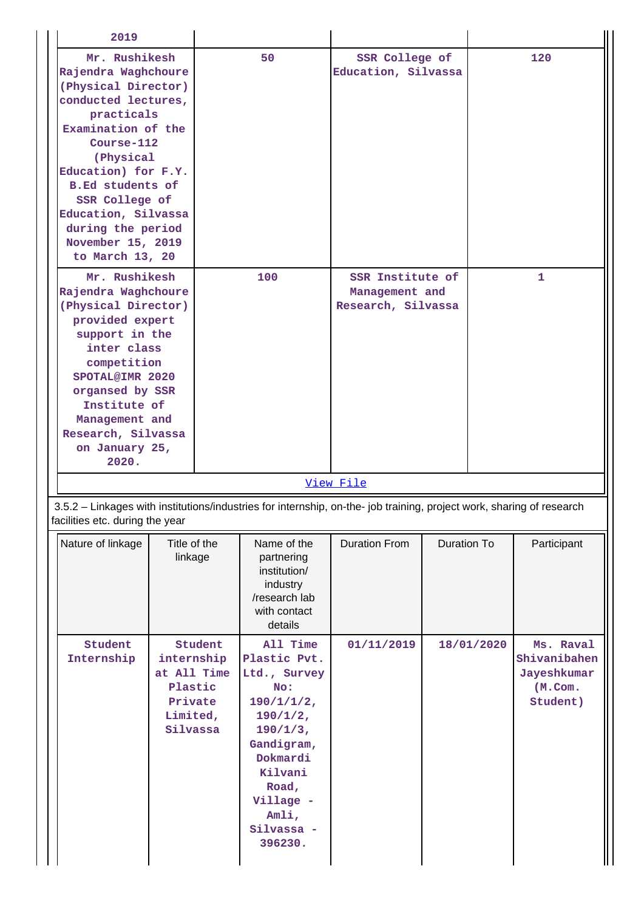| 2019                                                                                                                                                                                                                                                                                                      |                                                                         |         |                                                                                                                                                                                             |                                                          |             |              |                                                                    |  |
|-----------------------------------------------------------------------------------------------------------------------------------------------------------------------------------------------------------------------------------------------------------------------------------------------------------|-------------------------------------------------------------------------|---------|---------------------------------------------------------------------------------------------------------------------------------------------------------------------------------------------|----------------------------------------------------------|-------------|--------------|--------------------------------------------------------------------|--|
| Mr. Rushikesh<br>Rajendra Waghchoure<br>(Physical Director)<br>conducted lectures,<br>practicals<br>Examination of the<br>Course-112<br>(Physical<br>Education) for F.Y.<br><b>B.Ed students of</b><br>SSR College of<br>Education, Silvassa<br>during the period<br>November 15, 2019<br>to March 13, 20 |                                                                         | 50      |                                                                                                                                                                                             | SSR College of<br>Education, Silvassa                    |             | 120          |                                                                    |  |
| Mr. Rushikesh<br>Rajendra Waghchoure<br>(Physical Director)<br>provided expert<br>support in the<br>inter class<br>competition<br>SPOTAL@IMR 2020<br>organsed by SSR<br>Institute of<br>Management and<br>Research, Silvassa<br>on January 25,<br>2020.                                                   |                                                                         |         | 100                                                                                                                                                                                         | SSR Institute of<br>Management and<br>Research, Silvassa |             | $\mathbf{1}$ |                                                                    |  |
|                                                                                                                                                                                                                                                                                                           |                                                                         |         |                                                                                                                                                                                             | View File                                                |             |              |                                                                    |  |
| 3.5.2 - Linkages with institutions/industries for internship, on-the- job training, project work, sharing of research<br>facilities etc. during the year                                                                                                                                                  |                                                                         |         |                                                                                                                                                                                             |                                                          |             |              |                                                                    |  |
| Nature of linkage                                                                                                                                                                                                                                                                                         | Title of the<br>linkage                                                 |         | Name of the<br>partnering<br>institution/<br>industry<br>/research lab<br>with contact<br>details                                                                                           | <b>Duration From</b>                                     | Duration To |              | Participant                                                        |  |
| Student<br>Internship                                                                                                                                                                                                                                                                                     | internship<br>at All Time<br>Plastic<br>Private<br>Limited,<br>Silvassa | Student | All Time<br>Plastic Pvt.<br>Ltd., Survey<br>No:<br>$190/1/1/2$ ,<br>$190/1/2$ ,<br>$190/1/3$ ,<br>Gandigram,<br>Dokmardi<br>Kilvani<br>Road,<br>Village -<br>Amli,<br>Silvassa -<br>396230. | 01/11/2019                                               |             | 18/01/2020   | Ms. Raval<br>Shivanibahen<br>Jayeshkumar<br>$(M.$ Com.<br>Student) |  |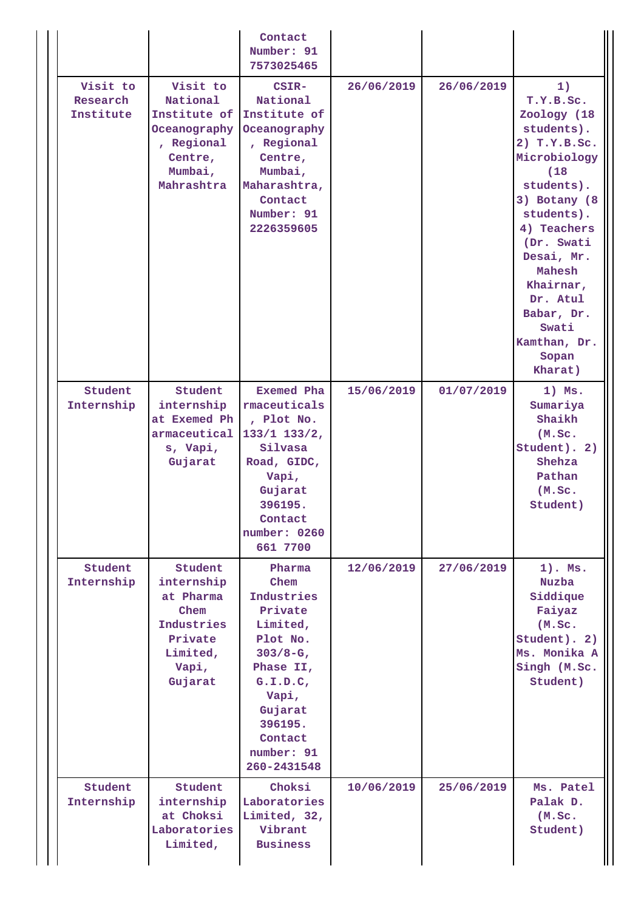|                                              |                                                                                                                   | Contact<br>Number: 91<br>7573025465                                                                                                                                            |                          |                          |                                                                                                                                                                                                                                                                           |
|----------------------------------------------|-------------------------------------------------------------------------------------------------------------------|--------------------------------------------------------------------------------------------------------------------------------------------------------------------------------|--------------------------|--------------------------|---------------------------------------------------------------------------------------------------------------------------------------------------------------------------------------------------------------------------------------------------------------------------|
| Visit to<br>Research<br>Institute<br>Student | Visit to<br>National<br>Institute of<br>Oceanography<br>, Regional<br>Centre,<br>Mumbai,<br>Mahrashtra<br>Student | CSIR-<br>National<br>Institute of<br>Oceanography<br>, Regional<br>Centre,<br>Mumbai,<br>Maharashtra,<br>Contact<br>Number: 91<br>2226359605<br><b>Exemed Pha</b>              | 26/06/2019<br>15/06/2019 | 26/06/2019<br>01/07/2019 | 1)<br>T.Y.B.Sc.<br>Zoology (18<br>students).<br>2) T.Y.B.Sc.<br>Microbiology<br>(18)<br>students).<br>3) Botany (8<br>students).<br>4) Teachers<br>(Dr. Swati<br>Desai, Mr.<br>Mahesh<br>Khairnar,<br>Dr. Atul<br>Babar, Dr.<br>Swati<br>Kamthan, Dr.<br>Sopan<br>Kharat) |
| Internship                                   | internship<br>at Exemed Ph<br>armaceutical<br>s, Vapi,<br>Gujarat                                                 | rmaceuticals<br>, Plot No.<br>$133/1$ $133/2$ ,<br>Silvasa<br>Road, GIDC,<br>Vapi,<br>Gujarat<br>396195.<br>Contact<br>number: 0260<br>661 7700                                |                          |                          | $1)$ Ms.<br>Sumariya<br>Shaikh<br>(M.SC.<br>Student). 2)<br>Shehza<br>Pathan<br>(M.SC.<br>Student)                                                                                                                                                                        |
| Student<br>Internship                        | Student<br>internship<br>at Pharma<br>Chem<br>Industries<br>Private<br>Limited,<br>Vapi,<br>Gujarat               | Pharma<br>Chem<br>Industries<br>Private<br>Limited,<br>Plot No.<br>$303/8-G$ ,<br>Phase II,<br>G.I.D.C.<br>Vapi,<br>Gujarat<br>396195.<br>Contact<br>number: 91<br>260-2431548 | 12/06/2019               | 27/06/2019               | $1$ . Ms.<br><b>Nuzba</b><br>Siddique<br>Faiyaz<br>(M.Sc.<br>Student). 2)<br>Ms. Monika A<br>Singh (M.Sc.<br>Student)                                                                                                                                                     |
| Student<br>Internship                        | Student<br>internship<br>at Choksi<br>Laboratories<br>Limited,                                                    | Choksi<br>Laboratories<br>Limited, 32,<br>Vibrant<br><b>Business</b>                                                                                                           | 10/06/2019               | 25/06/2019               | Ms. Patel<br>Palak D.<br>(M.SC.<br>Student)                                                                                                                                                                                                                               |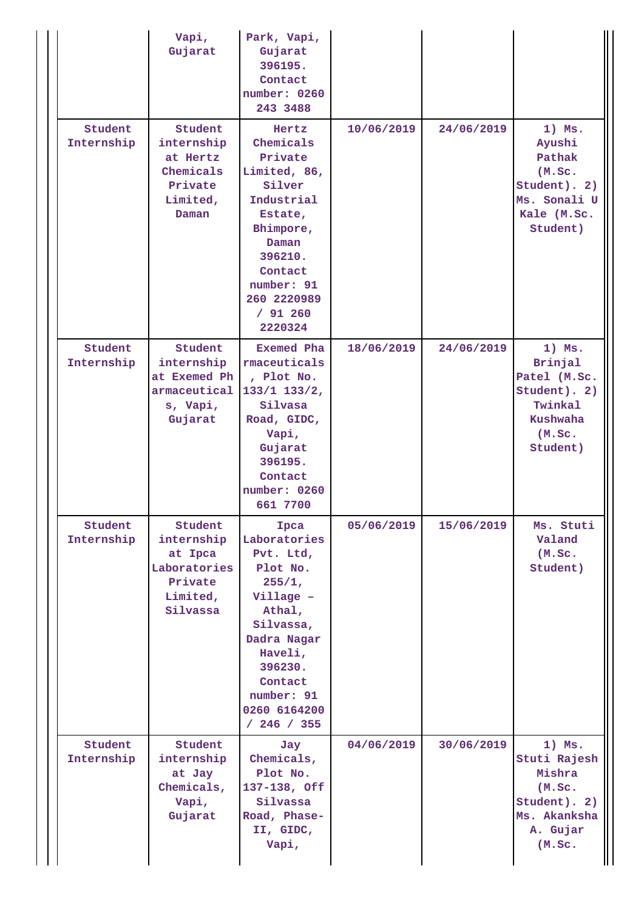|                       | Vapi,<br>Gujarat                                                                    | Park, Vapi,<br>Gujarat<br>396195.<br>Contact<br>number: 0260<br>243 3488                                                                                                                 |            |            |                                                                                                         |
|-----------------------|-------------------------------------------------------------------------------------|------------------------------------------------------------------------------------------------------------------------------------------------------------------------------------------|------------|------------|---------------------------------------------------------------------------------------------------------|
| Student<br>Internship | Student<br>internship<br>at Hertz<br>Chemicals<br>Private<br>Limited,<br>Daman      | Hertz<br>Chemicals<br>Private<br>Limited, 86,<br>Silver<br>Industrial<br>Estate,<br>Bhimpore,<br>Daman<br>396210.<br>Contact<br>number: 91<br>260 2220989<br>/ 91 260<br>2220324         | 10/06/2019 | 24/06/2019 | $1)$ Ms.<br>Ayushi<br>Pathak<br>(M.Sc.<br>Student). 2)<br>Ms. Sonali U<br>Kale (M.Sc.<br>Student)       |
| Student<br>Internship | Student<br>internship<br>at Exemed Ph<br>armaceutical<br>s, Vapi,<br>Gujarat        | <b>Exemed Pha</b><br>rmaceuticals<br>, Plot No.<br>$133/1$ $133/2$ ,<br>Silvasa<br>Road, GIDC,<br>Vapi,<br>Gujarat<br>396195.<br>Contact<br>number: 0260<br>661 7700                     | 18/06/2019 | 24/06/2019 | $1)$ Ms.<br>Brinjal<br>Patel (M.Sc.<br>Student). 2)<br>Twinkal<br><b>Kushwaha</b><br>(M.SC.<br>Student) |
| Student<br>Internship | Student<br>internship<br>at Ipca<br>Laboratories<br>Private<br>Limited,<br>Silvassa | Ipca<br>Laboratories<br>Pvt. Ltd,<br>Plot No.<br>255/1,<br>Village -<br>Athal,<br>Silvassa,<br>Dadra Nagar<br>Haveli,<br>396230.<br>Contact<br>number: 91<br>0260 6164200<br>/ 246 / 355 | 05/06/2019 | 15/06/2019 | Ms. Stuti<br>Valand<br>(M.SC.<br>Student)                                                               |
| Student<br>Internship | Student<br>internship<br>at Jay<br>Chemicals,<br>Vapi,<br>Gujarat                   | Jay<br>Chemicals,<br>Plot No.<br>137-138, Off<br>Silvassa<br>Road, Phase-<br>II, GIDC,<br>Vapi,                                                                                          | 04/06/2019 | 30/06/2019 | $1)$ Ms.<br>Stuti Rajesh<br>Mishra<br>(M.SC.<br>Student). 2)<br>Ms. Akanksha<br>A. Gujar<br>(M.Sc.      |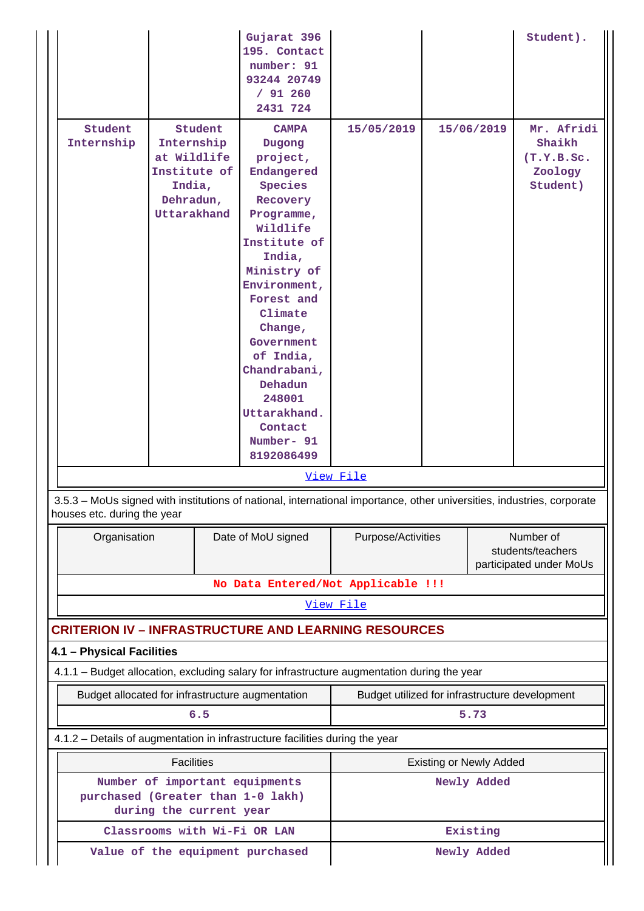|                                                              |                                                                                 |             | Gujarat 396<br>195. Contact<br>number: 91<br>93244 20749<br>/91260<br>2431 724                                                                                                                                                                                                                                        |                                                |  |                                | Student).                                                 |
|--------------------------------------------------------------|---------------------------------------------------------------------------------|-------------|-----------------------------------------------------------------------------------------------------------------------------------------------------------------------------------------------------------------------------------------------------------------------------------------------------------------------|------------------------------------------------|--|--------------------------------|-----------------------------------------------------------|
| Student<br>Internship                                        | Internship<br>at Wildlife<br>Institute of<br>India,<br>Dehradun,<br>Uttarakhand | Student     | <b>CAMPA</b><br>Dugong<br>project,<br>Endangered<br>Species<br>Recovery<br>Programme,<br>Wildlife<br>Institute of<br>India,<br>Ministry of<br>Environment,<br>Forest and<br>Climate<br>Change,<br>Government<br>of India,<br>Chandrabani,<br>Dehadun<br>248001<br>Uttarakhand.<br>Contact<br>Number- 91<br>8192086499 | 15/05/2019                                     |  | 15/06/2019                     | Mr. Afridi<br>Shaikh<br>(T.Y.B.Sc.<br>Zoology<br>Student) |
|                                                              |                                                                                 |             |                                                                                                                                                                                                                                                                                                                       | View File                                      |  |                                |                                                           |
| houses etc. during the year                                  |                                                                                 |             | 3.5.3 - MoUs signed with institutions of national, international importance, other universities, industries, corporate                                                                                                                                                                                                |                                                |  |                                |                                                           |
| Organisation                                                 |                                                                                 |             | Date of MoU signed                                                                                                                                                                                                                                                                                                    | Purpose/Activities                             |  |                                | Number of<br>students/teachers<br>participated under MoUs |
|                                                              |                                                                                 |             | No Data Entered/Not Applicable !!!                                                                                                                                                                                                                                                                                    |                                                |  |                                |                                                           |
|                                                              |                                                                                 |             |                                                                                                                                                                                                                                                                                                                       | View File                                      |  |                                |                                                           |
|                                                              |                                                                                 |             | <b>CRITERION IV - INFRASTRUCTURE AND LEARNING RESOURCES</b>                                                                                                                                                                                                                                                           |                                                |  |                                |                                                           |
| 4.1 - Physical Facilities                                    |                                                                                 |             | 4.1.1 - Budget allocation, excluding salary for infrastructure augmentation during the year                                                                                                                                                                                                                           |                                                |  |                                |                                                           |
| Budget allocated for infrastructure augmentation             |                                                                                 |             |                                                                                                                                                                                                                                                                                                                       | Budget utilized for infrastructure development |  |                                |                                                           |
|                                                              |                                                                                 | 6.5         |                                                                                                                                                                                                                                                                                                                       |                                                |  | 5.73                           |                                                           |
|                                                              |                                                                                 |             | 4.1.2 - Details of augmentation in infrastructure facilities during the year                                                                                                                                                                                                                                          |                                                |  |                                |                                                           |
|                                                              | <b>Facilities</b>                                                               |             |                                                                                                                                                                                                                                                                                                                       |                                                |  | <b>Existing or Newly Added</b> |                                                           |
| purchased (Greater than 1-0 lakh)<br>during the current year | Number of important equipments                                                  | Newly Added |                                                                                                                                                                                                                                                                                                                       |                                                |  |                                |                                                           |
|                                                              |                                                                                 |             | Classrooms with Wi-Fi OR LAN                                                                                                                                                                                                                                                                                          |                                                |  | Existing                       |                                                           |
|                                                              |                                                                                 |             | Value of the equipment purchased                                                                                                                                                                                                                                                                                      | Newly Added                                    |  |                                |                                                           |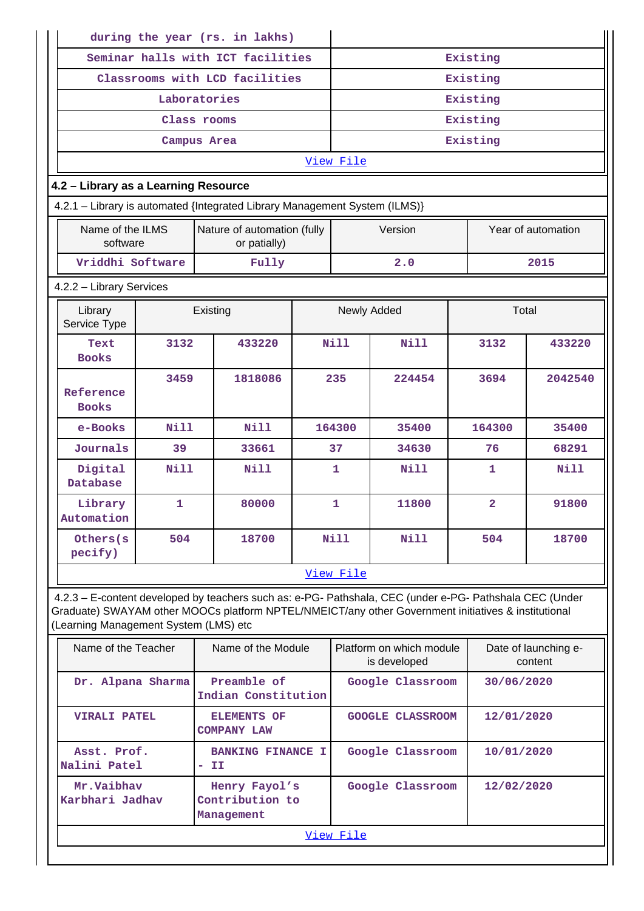|                                                                                                                                                                                                                                                         |              |             | during the year (rs. in lakhs)                 |  |           |                                          |                         |                                 |  |  |  |
|---------------------------------------------------------------------------------------------------------------------------------------------------------------------------------------------------------------------------------------------------------|--------------|-------------|------------------------------------------------|--|-----------|------------------------------------------|-------------------------|---------------------------------|--|--|--|
|                                                                                                                                                                                                                                                         |              |             | Seminar halls with ICT facilities              |  |           |                                          | Existing                |                                 |  |  |  |
|                                                                                                                                                                                                                                                         |              |             | Classrooms with LCD facilities                 |  |           |                                          | Existing                |                                 |  |  |  |
|                                                                                                                                                                                                                                                         | Laboratories |             |                                                |  | Existing  |                                          |                         |                                 |  |  |  |
|                                                                                                                                                                                                                                                         | Class rooms  |             |                                                |  |           |                                          | Existing                |                                 |  |  |  |
|                                                                                                                                                                                                                                                         | Campus Area  |             |                                                |  |           |                                          | Existing                |                                 |  |  |  |
|                                                                                                                                                                                                                                                         |              |             |                                                |  | View File |                                          |                         |                                 |  |  |  |
| 4.2 - Library as a Learning Resource                                                                                                                                                                                                                    |              |             |                                                |  |           |                                          |                         |                                 |  |  |  |
| 4.2.1 - Library is automated {Integrated Library Management System (ILMS)}                                                                                                                                                                              |              |             |                                                |  |           |                                          |                         |                                 |  |  |  |
| Name of the ILMS<br>software                                                                                                                                                                                                                            |              |             | Nature of automation (fully<br>or patially)    |  |           | Version                                  |                         | Year of automation              |  |  |  |
| Vriddhi Software                                                                                                                                                                                                                                        |              |             | Fully                                          |  |           | 2.0                                      |                         | 2015                            |  |  |  |
| 4.2.2 - Library Services                                                                                                                                                                                                                                |              |             |                                                |  |           |                                          |                         |                                 |  |  |  |
| Library<br>Service Type                                                                                                                                                                                                                                 |              |             | Existing                                       |  |           | Newly Added                              |                         | Total                           |  |  |  |
| Text<br><b>Books</b>                                                                                                                                                                                                                                    | 3132         |             | 433220                                         |  | Nill      | Nill                                     | 3132                    | 433220                          |  |  |  |
| Reference<br><b>Books</b>                                                                                                                                                                                                                               | 3459         |             | 1818086                                        |  | 235       | 224454                                   | 3694                    | 2042540                         |  |  |  |
| e-Books                                                                                                                                                                                                                                                 | Nill         | <b>Nill</b> |                                                |  | 164300    | 35400                                    | 164300                  | 35400                           |  |  |  |
| Journals                                                                                                                                                                                                                                                | 39           |             | 33661                                          |  | 37        | 34630                                    | 76                      | 68291                           |  |  |  |
| Digital<br>Database                                                                                                                                                                                                                                     | Nill         |             | Nill                                           |  | 1         | Nill                                     | 1                       | Nill                            |  |  |  |
| Library<br>Automation                                                                                                                                                                                                                                   | 1            |             | 80000                                          |  | 1         | 11800                                    | $\overline{\mathbf{2}}$ | 91800                           |  |  |  |
| Others (s)<br>pecify)                                                                                                                                                                                                                                   | 504          |             | 18700                                          |  | Nill      | Nill                                     | 504                     | 18700                           |  |  |  |
|                                                                                                                                                                                                                                                         |              |             |                                                |  | View File |                                          |                         |                                 |  |  |  |
| 4.2.3 - E-content developed by teachers such as: e-PG- Pathshala, CEC (under e-PG- Pathshala CEC (Under<br>Graduate) SWAYAM other MOOCs platform NPTEL/NMEICT/any other Government initiatives & institutional<br>(Learning Management System (LMS) etc |              |             |                                                |  |           |                                          |                         |                                 |  |  |  |
| Name of the Teacher                                                                                                                                                                                                                                     |              |             | Name of the Module                             |  |           | Platform on which module<br>is developed |                         | Date of launching e-<br>content |  |  |  |
| Dr. Alpana Sharma                                                                                                                                                                                                                                       |              |             | Preamble of<br>Indian Constitution             |  |           | Google Classroom                         | 30/06/2020              |                                 |  |  |  |
| <b>VIRALI PATEL</b>                                                                                                                                                                                                                                     |              |             | <b>ELEMENTS OF</b><br><b>COMPANY LAW</b>       |  |           | GOOGLE CLASSROOM                         | 12/01/2020              |                                 |  |  |  |
| Asst. Prof.<br>Nalini Patel                                                                                                                                                                                                                             |              | - II        | <b>BANKING FINANCE I</b>                       |  |           | Google Classroom                         | 10/01/2020              |                                 |  |  |  |
| Mr.Vaibhav<br>Karbhari Jadhav                                                                                                                                                                                                                           |              |             | Henry Fayol's<br>Contribution to<br>Management |  |           | Google Classroom                         | 12/02/2020              |                                 |  |  |  |
|                                                                                                                                                                                                                                                         |              |             |                                                |  | View File |                                          |                         |                                 |  |  |  |

П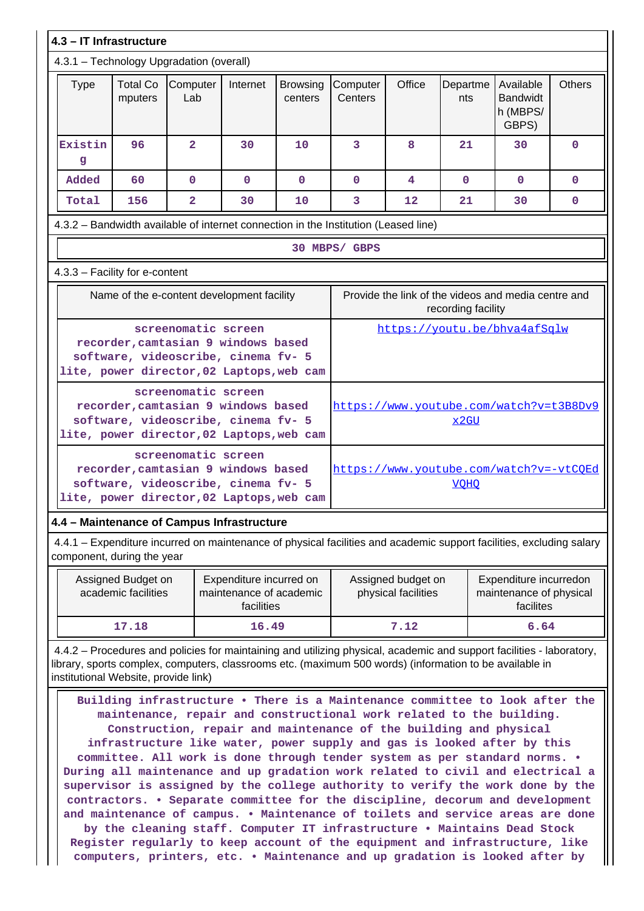| 4.3 - IT Infrastructure                                                                                                                            |                                                                                                                                                                                                          |                                                                                                                                                |              |                            |                     |        |                    |                                                     |               |
|----------------------------------------------------------------------------------------------------------------------------------------------------|----------------------------------------------------------------------------------------------------------------------------------------------------------------------------------------------------------|------------------------------------------------------------------------------------------------------------------------------------------------|--------------|----------------------------|---------------------|--------|--------------------|-----------------------------------------------------|---------------|
| 4.3.1 - Technology Upgradation (overall)                                                                                                           |                                                                                                                                                                                                          |                                                                                                                                                |              |                            |                     |        |                    |                                                     |               |
| <b>Type</b>                                                                                                                                        | <b>Total Co</b><br>mputers                                                                                                                                                                               | Computer<br>Lab                                                                                                                                | Internet     | <b>Browsing</b><br>centers | Computer<br>Centers | Office | Departme<br>nts    | Available<br><b>Bandwidt</b><br>h (MBPS/<br>GBPS)   | <b>Others</b> |
| Existin<br>g                                                                                                                                       | 96                                                                                                                                                                                                       | $\overline{2}$                                                                                                                                 | 30           | 10                         | 3                   | 8      | 21                 | 30                                                  | $\Omega$      |
| Added                                                                                                                                              | 60                                                                                                                                                                                                       | $\mathbf{0}$                                                                                                                                   | $\mathbf{0}$ | $\mathbf{0}$               | $\Omega$            | 4      | $\Omega$           | $\Omega$                                            | $\Omega$      |
| Total                                                                                                                                              | 156                                                                                                                                                                                                      | $\overline{2}$                                                                                                                                 | 30           | 10                         | 3                   | 12     | 21                 | 30                                                  | 0             |
| 4.3.2 - Bandwidth available of internet connection in the Institution (Leased line)                                                                |                                                                                                                                                                                                          |                                                                                                                                                |              |                            |                     |        |                    |                                                     |               |
|                                                                                                                                                    | 30 MBPS/ GBPS                                                                                                                                                                                            |                                                                                                                                                |              |                            |                     |        |                    |                                                     |               |
|                                                                                                                                                    | 4.3.3 - Facility for e-content                                                                                                                                                                           |                                                                                                                                                |              |                            |                     |        |                    |                                                     |               |
|                                                                                                                                                    |                                                                                                                                                                                                          | Name of the e-content development facility                                                                                                     |              |                            |                     |        | recording facility | Provide the link of the videos and media centre and |               |
|                                                                                                                                                    |                                                                                                                                                                                                          | screenomatic screen<br>recorder, camtasian 9 windows based<br>software, videoscribe, cinema fv- 5<br>lite, power director, 02 Laptops, web cam |              |                            |                     |        |                    | https://youtu.be/bhva4afSqlw                        |               |
|                                                                                                                                                    |                                                                                                                                                                                                          | screenomatic screen<br>recorder, camtasian 9 windows based<br>software, videoscribe, cinema fv- 5<br>lite, power director, 02 Laptops, web cam |              |                            |                     |        | x2GU               | https://www.youtube.com/watch?v=t3B8Dv9             |               |
|                                                                                                                                                    | screenomatic screen<br>https://www.youtube.com/watch?v=-vtCQEd<br>recorder, camtasian 9 windows based<br>software, videoscribe, cinema fv- 5<br><b>VOHO</b><br>lite, power director, 02 Laptops, web cam |                                                                                                                                                |              |                            |                     |        |                    |                                                     |               |
| 4.4 - Maintenance of Campus Infrastructure                                                                                                         |                                                                                                                                                                                                          |                                                                                                                                                |              |                            |                     |        |                    |                                                     |               |
| 4.4.1 - Expenditure incurred on maintenance of physical facilities and academic support facilities, excluding salary<br>component, during the year |                                                                                                                                                                                                          |                                                                                                                                                |              |                            |                     |        |                    |                                                     |               |
|                                                                                                                                                    |                                                                                                                                                                                                          |                                                                                                                                                |              |                            |                     |        |                    |                                                     |               |

| Assigned Budget on<br>academic facilities | Expenditure incurred on<br>maintenance of academic<br>facilities | Assigned budget on<br>physical facilities | Expenditure incurredon<br>maintenance of physical<br>facilites |
|-------------------------------------------|------------------------------------------------------------------|-------------------------------------------|----------------------------------------------------------------|
| 17.18                                     | 16.49                                                            | 7.12                                      | 6.64                                                           |

 4.4.2 – Procedures and policies for maintaining and utilizing physical, academic and support facilities - laboratory, library, sports complex, computers, classrooms etc. (maximum 500 words) (information to be available in institutional Website, provide link)

 **Building infrastructure • There is a Maintenance committee to look after the maintenance, repair and constructional work related to the building. Construction, repair and maintenance of the building and physical infrastructure like water, power supply and gas is looked after by this committee. All work is done through tender system as per standard norms. • During all maintenance and up gradation work related to civil and electrical a supervisor is assigned by the college authority to verify the work done by the contractors. • Separate committee for the discipline, decorum and development and maintenance of campus. • Maintenance of toilets and service areas are done by the cleaning staff. Computer IT infrastructure • Maintains Dead Stock**

**Register regularly to keep account of the equipment and infrastructure, like computers, printers, etc. • Maintenance and up gradation is looked after by**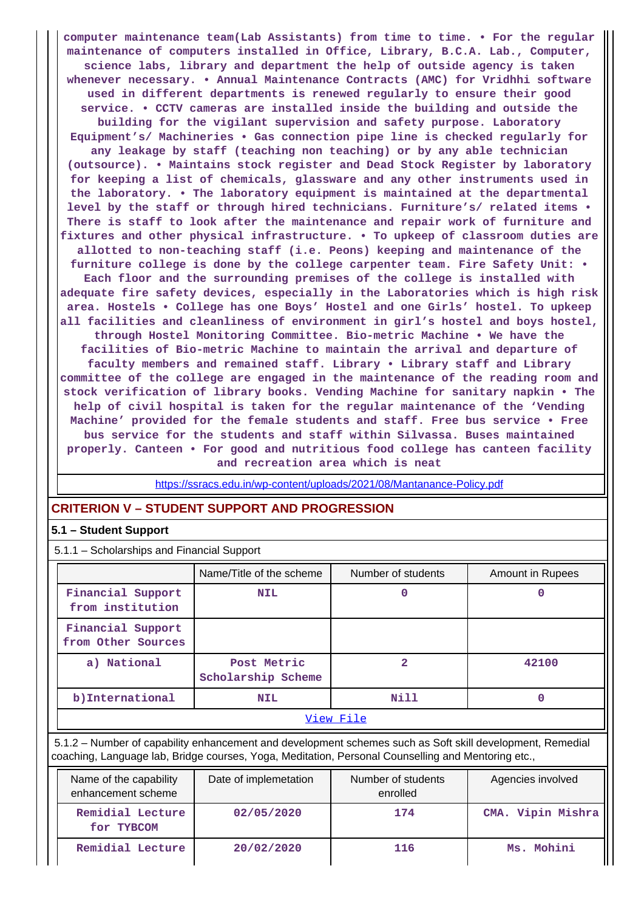**computer maintenance team(Lab Assistants) from time to time. • For the regular maintenance of computers installed in Office, Library, B.C.A. Lab., Computer, science labs, library and department the help of outside agency is taken whenever necessary. • Annual Maintenance Contracts (AMC) for Vridhhi software used in different departments is renewed regularly to ensure their good service. • CCTV cameras are installed inside the building and outside the building for the vigilant supervision and safety purpose. Laboratory Equipment's/ Machineries • Gas connection pipe line is checked regularly for any leakage by staff (teaching non teaching) or by any able technician (outsource). • Maintains stock register and Dead Stock Register by laboratory for keeping a list of chemicals, glassware and any other instruments used in the laboratory. • The laboratory equipment is maintained at the departmental level by the staff or through hired technicians. Furniture's/ related items • There is staff to look after the maintenance and repair work of furniture and fixtures and other physical infrastructure. • To upkeep of classroom duties are allotted to non-teaching staff (i.e. Peons) keeping and maintenance of the furniture college is done by the college carpenter team. Fire Safety Unit: • Each floor and the surrounding premises of the college is installed with adequate fire safety devices, especially in the Laboratories which is high risk area. Hostels • College has one Boys' Hostel and one Girls' hostel. To upkeep all facilities and cleanliness of environment in girl's hostel and boys hostel, through Hostel Monitoring Committee. Bio-metric Machine • We have the facilities of Bio-metric Machine to maintain the arrival and departure of faculty members and remained staff. Library • Library staff and Library committee of the college are engaged in the maintenance of the reading room and stock verification of library books. Vending Machine for sanitary napkin • The help of civil hospital is taken for the regular maintenance of the 'Vending Machine' provided for the female students and staff. Free bus service • Free bus service for the students and staff within Silvassa. Buses maintained properly. Canteen • For good and nutritious food college has canteen facility**

**and recreation area which is neat**

https://ssracs.edu.in/wp-content/uploads/2021/08/Mantanance-Policy.pdf

# **CRITERION V – STUDENT SUPPORT AND PROGRESSION**

## **5.1 – Student Support**

5.1.1 – Scholarships and Financial Support

|                                         | Name/Title of the scheme          | Number of students | Amount in Rupees |  |  |  |  |
|-----------------------------------------|-----------------------------------|--------------------|------------------|--|--|--|--|
| Financial Support<br>from institution   | <b>NIL</b>                        | 0                  |                  |  |  |  |  |
| Financial Support<br>from Other Sources |                                   |                    |                  |  |  |  |  |
| a) National                             | Post Metric<br>Scholarship Scheme |                    | 42100            |  |  |  |  |
| b) International                        | <b>NIL</b>                        | Nill               |                  |  |  |  |  |
| View File                               |                                   |                    |                  |  |  |  |  |

 5.1.2 – Number of capability enhancement and development schemes such as Soft skill development, Remedial coaching, Language lab, Bridge courses, Yoga, Meditation, Personal Counselling and Mentoring etc.,

| Name of the capability<br>enhancement scheme | Date of implemetation | Number of students<br>enrolled | Agencies involved |
|----------------------------------------------|-----------------------|--------------------------------|-------------------|
| Remidial Lecture<br>for TYBCOM               | 02/05/2020            | 174                            | CMA. Vipin Mishra |
| Remidial Lecture                             | 20/02/2020            | 116                            | Ms. Mohini        |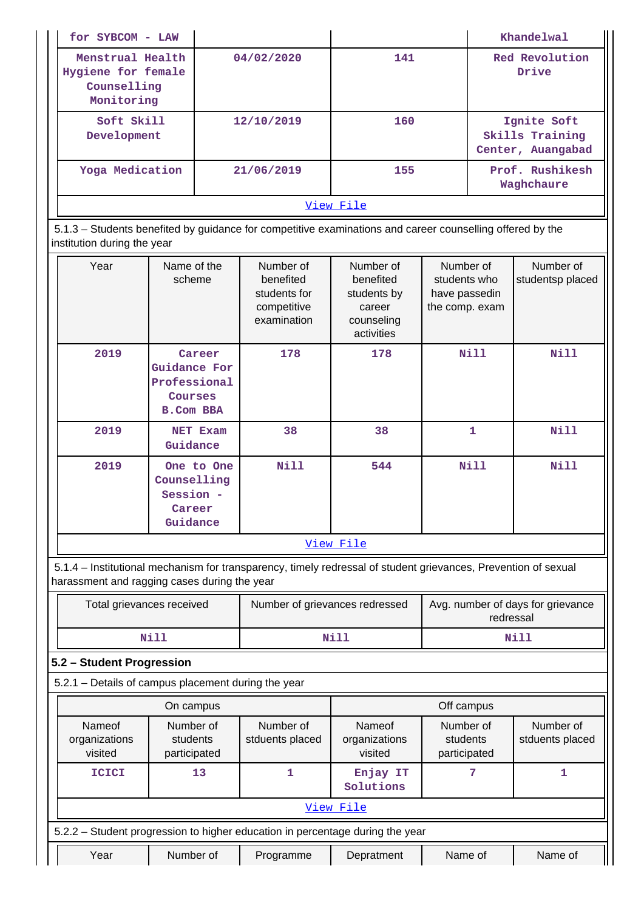| for SYBCOM - LAW                                                                                          |            |     | Khandelwal                                          |  |  |
|-----------------------------------------------------------------------------------------------------------|------------|-----|-----------------------------------------------------|--|--|
| Menstrual Health<br>Hygiene for female<br>Counselling<br>Monitoring                                       | 04/02/2020 | 141 | Red Revolution<br>Drive                             |  |  |
| Soft Skill<br>Development                                                                                 | 12/10/2019 | 160 | Ignite Soft<br>Skills Training<br>Center, Auangabad |  |  |
| Yoga Medication                                                                                           | 21/06/2019 | 155 | Prof. Rushikesh<br>Waghchaure                       |  |  |
| View File                                                                                                 |            |     |                                                     |  |  |
| 5.1.3 - Students benefited by quidance for competitive examinations and career counselling offered by the |            |     |                                                     |  |  |

 5.1.3 – Students benefited by guidance for competitive examinations and career counselling offered by the institution during the year

| Year                                                                                                                                                           | Name of the<br>scheme                                                        | Number of<br>benefited<br>students for<br>competitive<br>examination | Number of<br>benefited<br>students by<br>career<br>counseling<br>activities | Number of<br>students who<br>have passedin<br>the comp. exam | Number of<br>studentsp placed |  |
|----------------------------------------------------------------------------------------------------------------------------------------------------------------|------------------------------------------------------------------------------|----------------------------------------------------------------------|-----------------------------------------------------------------------------|--------------------------------------------------------------|-------------------------------|--|
| 2019                                                                                                                                                           | Career<br><b>Guidance For</b><br>Professional<br>Courses<br><b>B.Com BBA</b> | 178                                                                  | 178                                                                         | <b>Nill</b>                                                  | <b>Nill</b>                   |  |
| 2019                                                                                                                                                           | NET Exam<br>Guidance                                                         | 38                                                                   | 38                                                                          | 1                                                            | <b>Nill</b>                   |  |
| 2019                                                                                                                                                           | One to One<br>Counselling<br>Session -<br>Career<br>Guidance                 | Nill                                                                 | 544                                                                         | <b>Nill</b>                                                  | <b>Nill</b>                   |  |
|                                                                                                                                                                |                                                                              |                                                                      | View File                                                                   |                                                              |                               |  |
| 5.1.4 – Institutional mechanism for transparency, timely redressal of student grievances, Prevention of sexual<br>harassment and ragging cases during the year |                                                                              |                                                                      |                                                                             |                                                              |                               |  |
| Total grievances received                                                                                                                                      |                                                                              | Number of grievances redressed                                       |                                                                             | Avg. number of days for grievance<br>redressal               |                               |  |
|                                                                                                                                                                | <b>Nill</b>                                                                  |                                                                      | <b>Nill</b>                                                                 |                                                              | Nill                          |  |
| 5.2 - Student Progression                                                                                                                                      |                                                                              |                                                                      |                                                                             |                                                              |                               |  |
| 5.2.1 - Details of campus placement during the year                                                                                                            |                                                                              |                                                                      |                                                                             |                                                              |                               |  |
|                                                                                                                                                                | On campus                                                                    |                                                                      |                                                                             | Off campus                                                   |                               |  |
| Nameof<br>organizations<br>visited                                                                                                                             | Number of<br>students<br>participated                                        | Number of<br>stduents placed                                         | Nameof<br>organizations<br>visited                                          | Number of<br>students<br>participated                        | Number of<br>stduents placed  |  |

| <b>ICICI</b>                                                                  | 13        |           | Enjay IT<br>Solutions |         |         |
|-------------------------------------------------------------------------------|-----------|-----------|-----------------------|---------|---------|
|                                                                               |           |           | View File             |         |         |
| 5.2.2 – Student progression to higher education in percentage during the year |           |           |                       |         |         |
| Year                                                                          | Number of | Programme | Depratment            | Name of | Name of |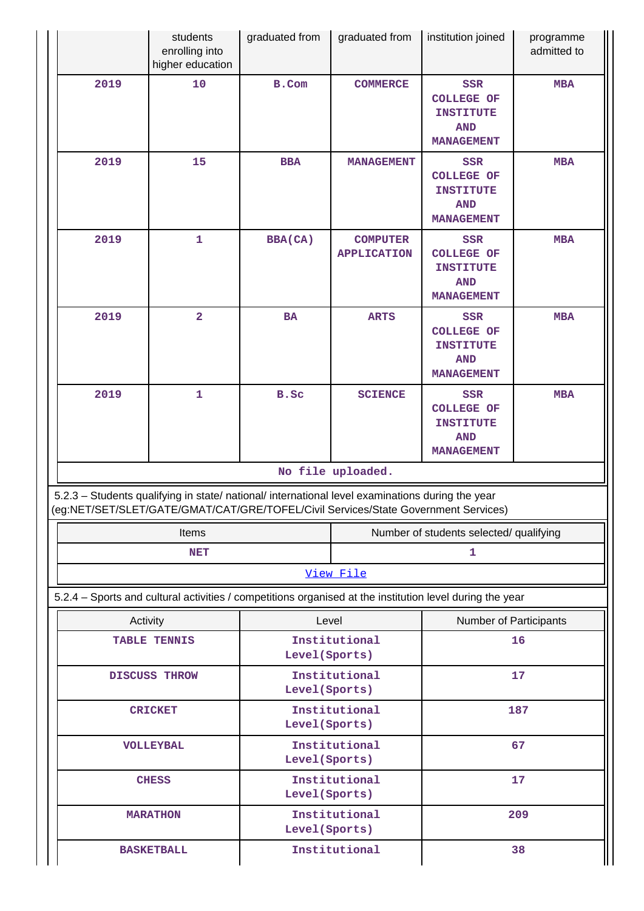|                                                                                                                                                                                        | students<br>enrolling into<br>higher education                                                           | graduated from                  | graduated from                        | institution joined                                                                     | programme<br>admitted to |
|----------------------------------------------------------------------------------------------------------------------------------------------------------------------------------------|----------------------------------------------------------------------------------------------------------|---------------------------------|---------------------------------------|----------------------------------------------------------------------------------------|--------------------------|
| 2019                                                                                                                                                                                   | 10                                                                                                       | B.Com                           | <b>COMMERCE</b>                       | <b>SSR</b><br><b>COLLEGE OF</b><br><b>INSTITUTE</b><br><b>AND</b><br><b>MANAGEMENT</b> | <b>MBA</b>               |
| 2019                                                                                                                                                                                   | 15                                                                                                       | <b>BBA</b>                      | <b>MANAGEMENT</b>                     | SSR<br><b>COLLEGE OF</b><br><b>INSTITUTE</b><br><b>AND</b><br><b>MANAGEMENT</b>        | <b>MBA</b>               |
| 2019                                                                                                                                                                                   | $\mathbf 1$                                                                                              | <b>BBA(CA)</b>                  | <b>COMPUTER</b><br><b>APPLICATION</b> | SSR<br><b>COLLEGE OF</b><br><b>INSTITUTE</b><br><b>AND</b><br><b>MANAGEMENT</b>        | <b>MBA</b>               |
| 2019                                                                                                                                                                                   | $\overline{\mathbf{2}}$                                                                                  | BA                              | <b>ARTS</b>                           | <b>SSR</b><br><b>COLLEGE OF</b><br><b>INSTITUTE</b><br><b>AND</b><br><b>MANAGEMENT</b> | <b>MBA</b>               |
| 2019                                                                                                                                                                                   | $\mathbf 1$                                                                                              | B.Sc                            | <b>SCIENCE</b>                        | <b>SSR</b><br><b>COLLEGE OF</b><br><b>INSTITUTE</b><br><b>AND</b><br><b>MANAGEMENT</b> | <b>MBA</b>               |
| No file uploaded.                                                                                                                                                                      |                                                                                                          |                                 |                                       |                                                                                        |                          |
| 5.2.3 - Students qualifying in state/ national/ international level examinations during the year<br>(eg:NET/SET/SLET/GATE/GMAT/CAT/GRE/TOFEL/Civil Services/State Government Services) |                                                                                                          |                                 |                                       |                                                                                        |                          |
|                                                                                                                                                                                        | Items                                                                                                    |                                 |                                       | Number of students selected/ qualifying                                                |                          |
|                                                                                                                                                                                        | <b>NET</b>                                                                                               |                                 |                                       | $\mathbf{1}$                                                                           |                          |
|                                                                                                                                                                                        |                                                                                                          |                                 | View File                             |                                                                                        |                          |
|                                                                                                                                                                                        | 5.2.4 – Sports and cultural activities / competitions organised at the institution level during the year |                                 |                                       |                                                                                        |                          |
| Activity                                                                                                                                                                               | <b>TABLE TENNIS</b>                                                                                      | Level                           | Institutional                         | <b>Number of Participants</b><br>16                                                    |                          |
|                                                                                                                                                                                        |                                                                                                          | Level (Sports)                  |                                       |                                                                                        |                          |
| <b>DISCUSS THROW</b>                                                                                                                                                                   |                                                                                                          | Institutional<br>Level (Sports) |                                       | 17                                                                                     |                          |
| <b>CRICKET</b>                                                                                                                                                                         |                                                                                                          | Institutional<br>Level (Sports) |                                       | 187                                                                                    |                          |
| <b>VOLLEYBAL</b>                                                                                                                                                                       |                                                                                                          | Level (Sports)                  | Institutional                         |                                                                                        | 67                       |
|                                                                                                                                                                                        | <b>CHESS</b>                                                                                             | Level (Sports)                  | Institutional                         | 17                                                                                     |                          |
|                                                                                                                                                                                        | <b>MARATHON</b>                                                                                          | Level (Sports)                  | Institutional                         | 209                                                                                    |                          |
| <b>BASKETBALL</b>                                                                                                                                                                      |                                                                                                          | Institutional                   |                                       | 38                                                                                     |                          |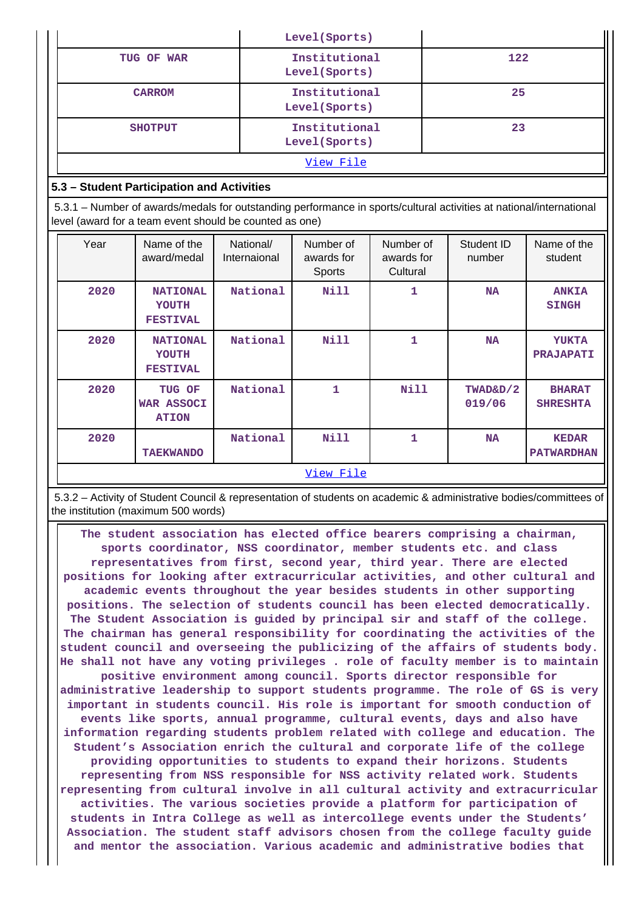|                                                                                                                                                                                |                                                    |                           | Level(Sports)                     |                                     |     |                      |                                   |
|--------------------------------------------------------------------------------------------------------------------------------------------------------------------------------|----------------------------------------------------|---------------------------|-----------------------------------|-------------------------------------|-----|----------------------|-----------------------------------|
| TUG OF WAR                                                                                                                                                                     |                                                    |                           | Institutional<br>Level (Sports)   |                                     | 122 |                      |                                   |
|                                                                                                                                                                                | <b>CARROM</b>                                      |                           | Institutional<br>Level (Sports)   |                                     |     | 25                   |                                   |
| <b>SHOTPUT</b>                                                                                                                                                                 |                                                    |                           | Institutional<br>Level (Sports)   |                                     | 23  |                      |                                   |
|                                                                                                                                                                                |                                                    |                           | View File                         |                                     |     |                      |                                   |
| 5.3 - Student Participation and Activities                                                                                                                                     |                                                    |                           |                                   |                                     |     |                      |                                   |
| 5.3.1 – Number of awards/medals for outstanding performance in sports/cultural activities at national/international<br>level (award for a team event should be counted as one) |                                                    |                           |                                   |                                     |     |                      |                                   |
| Year                                                                                                                                                                           | Name of the<br>award/medal                         | National/<br>Internaional | Number of<br>awards for<br>Sports | Number of<br>awards for<br>Cultural |     | Student ID<br>number | Name of the<br>student            |
| 2020                                                                                                                                                                           | <b>NATIONAL</b><br><b>YOUTH</b><br><b>FESTIVAL</b> | National                  | Nill                              | $\mathbf{1}$                        |     | <b>NA</b>            | <b>ANKIA</b><br><b>SINGH</b>      |
| 2020                                                                                                                                                                           | <b>NATIONAL</b><br><b>YOUTH</b><br><b>FESTIVAL</b> | National                  | <b>Nill</b>                       | $\mathbf{1}$                        |     | <b>NA</b>            | <b>YUKTA</b><br><b>PRAJAPATI</b>  |
| 2020                                                                                                                                                                           | TUG OF<br><b>WAR ASSOCI</b><br><b>ATION</b>        | National                  | $\mathbf{1}$                      | Nill                                |     | TWAD&D/2<br>019/06   | <b>BHARAT</b><br><b>SHRESHTA</b>  |
| 2020                                                                                                                                                                           | <b>TAEKWANDO</b>                                   | National                  | Nill                              | $\mathbf{1}$                        |     | <b>NA</b>            | <b>KEDAR</b><br><b>PATWARDHAN</b> |
| View File                                                                                                                                                                      |                                                    |                           |                                   |                                     |     |                      |                                   |

 5.3.2 – Activity of Student Council & representation of students on academic & administrative bodies/committees of the institution (maximum 500 words)

 **The student association has elected office bearers comprising a chairman, sports coordinator, NSS coordinator, member students etc. and class representatives from first, second year, third year. There are elected positions for looking after extracurricular activities, and other cultural and academic events throughout the year besides students in other supporting positions. The selection of students council has been elected democratically. The Student Association is guided by principal sir and staff of the college. The chairman has general responsibility for coordinating the activities of the student council and overseeing the publicizing of the affairs of students body. He shall not have any voting privileges . role of faculty member is to maintain positive environment among council. Sports director responsible for administrative leadership to support students programme. The role of GS is very important in students council. His role is important for smooth conduction of events like sports, annual programme, cultural events, days and also have information regarding students problem related with college and education. The Student's Association enrich the cultural and corporate life of the college providing opportunities to students to expand their horizons. Students representing from NSS responsible for NSS activity related work. Students representing from cultural involve in all cultural activity and extracurricular activities. The various societies provide a platform for participation of students in Intra College as well as intercollege events under the Students' Association. The student staff advisors chosen from the college faculty guide and mentor the association. Various academic and administrative bodies that**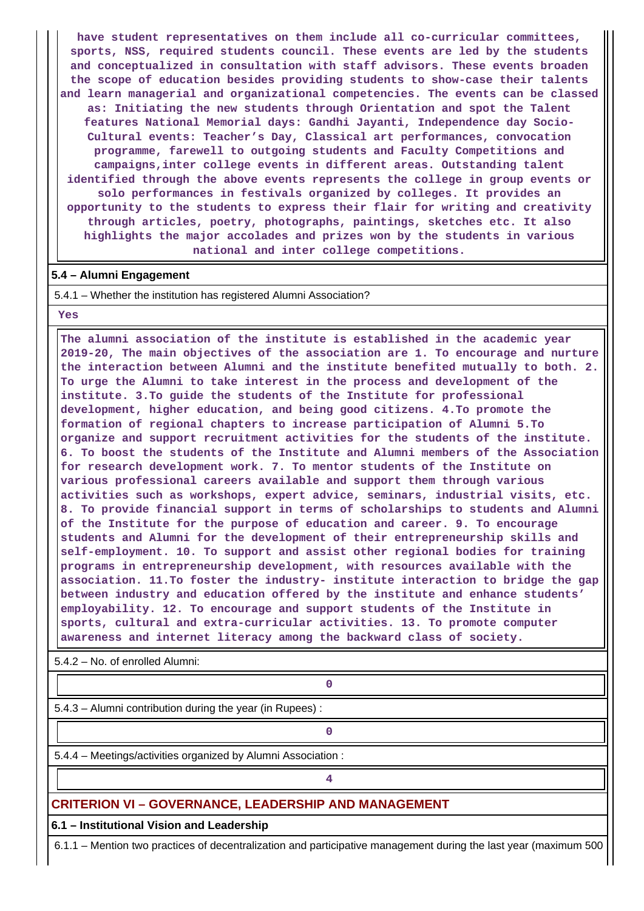**have student representatives on them include all co-curricular committees, sports, NSS, required students council. These events are led by the students and conceptualized in consultation with staff advisors. These events broaden the scope of education besides providing students to show-case their talents and learn managerial and organizational competencies. The events can be classed as: Initiating the new students through Orientation and spot the Talent features National Memorial days: Gandhi Jayanti, Independence day Socio-Cultural events: Teacher's Day, Classical art performances, convocation programme, farewell to outgoing students and Faculty Competitions and campaigns,inter college events in different areas. Outstanding talent identified through the above events represents the college in group events or solo performances in festivals organized by colleges. It provides an opportunity to the students to express their flair for writing and creativity through articles, poetry, photographs, paintings, sketches etc. It also highlights the major accolades and prizes won by the students in various national and inter college competitions.**

## **5.4 – Alumni Engagement**

5.4.1 – Whether the institution has registered Alumni Association?

## **Yes**

 **The alumni association of the institute is established in the academic year 2019-20, The main objectives of the association are 1. To encourage and nurture the interaction between Alumni and the institute benefited mutually to both. 2. To urge the Alumni to take interest in the process and development of the institute. 3.To guide the students of the Institute for professional development, higher education, and being good citizens. 4.To promote the formation of regional chapters to increase participation of Alumni 5.To organize and support recruitment activities for the students of the institute. 6. To boost the students of the Institute and Alumni members of the Association for research development work. 7. To mentor students of the Institute on various professional careers available and support them through various activities such as workshops, expert advice, seminars, industrial visits, etc. 8. To provide financial support in terms of scholarships to students and Alumni of the Institute for the purpose of education and career. 9. To encourage students and Alumni for the development of their entrepreneurship skills and self-employment. 10. To support and assist other regional bodies for training programs in entrepreneurship development, with resources available with the association. 11.To foster the industry- institute interaction to bridge the gap between industry and education offered by the institute and enhance students' employability. 12. To encourage and support students of the Institute in sports, cultural and extra-curricular activities. 13. To promote computer awareness and internet literacy among the backward class of society.**

5.4.2 – No. of enrolled Alumni:

**0**

5.4.3 – Alumni contribution during the year (in Rupees) :

**0**

**4**

5.4.4 – Meetings/activities organized by Alumni Association :

# **CRITERION VI – GOVERNANCE, LEADERSHIP AND MANAGEMENT**

**6.1 – Institutional Vision and Leadership**

6.1.1 – Mention two practices of decentralization and participative management during the last year (maximum 500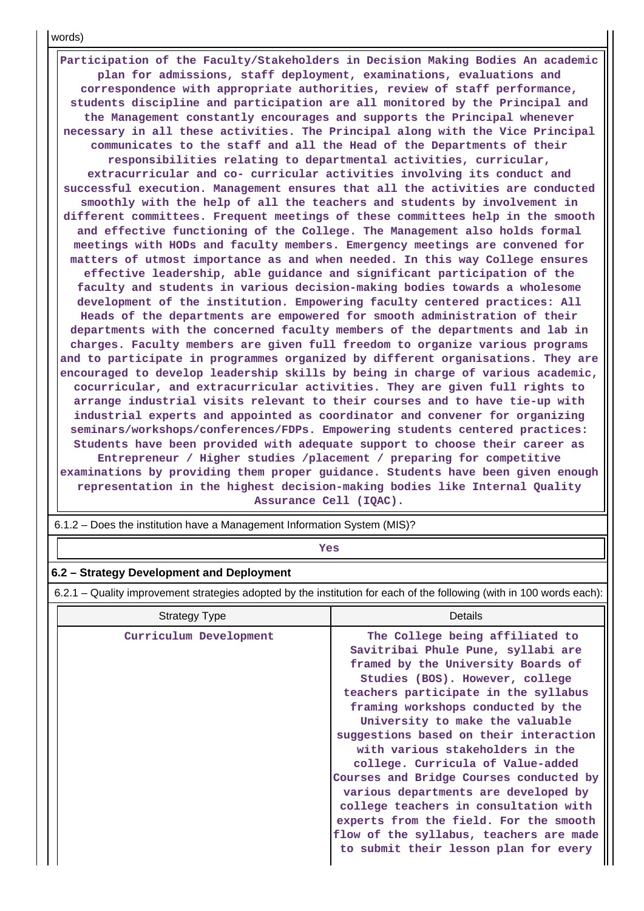words)

 **Participation of the Faculty/Stakeholders in Decision Making Bodies An academic plan for admissions, staff deployment, examinations, evaluations and correspondence with appropriate authorities, review of staff performance, students discipline and participation are all monitored by the Principal and the Management constantly encourages and supports the Principal whenever necessary in all these activities. The Principal along with the Vice Principal communicates to the staff and all the Head of the Departments of their responsibilities relating to departmental activities, curricular, extracurricular and co- curricular activities involving its conduct and successful execution. Management ensures that all the activities are conducted smoothly with the help of all the teachers and students by involvement in different committees. Frequent meetings of these committees help in the smooth and effective functioning of the College. The Management also holds formal meetings with HODs and faculty members. Emergency meetings are convened for matters of utmost importance as and when needed. In this way College ensures effective leadership, able guidance and significant participation of the faculty and students in various decision-making bodies towards a wholesome development of the institution. Empowering faculty centered practices: All Heads of the departments are empowered for smooth administration of their departments with the concerned faculty members of the departments and lab in charges. Faculty members are given full freedom to organize various programs and to participate in programmes organized by different organisations. They are encouraged to develop leadership skills by being in charge of various academic, cocurricular, and extracurricular activities. They are given full rights to arrange industrial visits relevant to their courses and to have tie-up with industrial experts and appointed as coordinator and convener for organizing seminars/workshops/conferences/FDPs. Empowering students centered practices: Students have been provided with adequate support to choose their career as Entrepreneur / Higher studies /placement / preparing for competitive examinations by providing them proper guidance. Students have been given enough representation in the highest decision-making bodies like Internal Quality Assurance Cell (IQAC).**

*Yes* 

## **6.2 – Strategy Development and Deployment**

6.2.1 – Quality improvement strategies adopted by the institution for each of the following (with in 100 words each):

| <b>Strategy Type</b>   | Details                                                                                                                                                                                                                                                                                                                                                                                                                                                                                                                                                                                                                                      |
|------------------------|----------------------------------------------------------------------------------------------------------------------------------------------------------------------------------------------------------------------------------------------------------------------------------------------------------------------------------------------------------------------------------------------------------------------------------------------------------------------------------------------------------------------------------------------------------------------------------------------------------------------------------------------|
| Curriculum Development | The College being affiliated to<br>Savitribai Phule Pune, syllabi are<br>framed by the University Boards of<br>Studies (BOS). However, college<br>teachers participate in the syllabus<br>framing workshops conducted by the<br>University to make the valuable<br>suggestions based on their interaction<br>with various stakeholders in the<br>college. Curricula of Value-added<br>Courses and Bridge Courses conducted by<br>various departments are developed by<br>college teachers in consultation with<br>experts from the field. For the smooth<br>flow of the syllabus, teachers are made<br>to submit their lesson plan for every |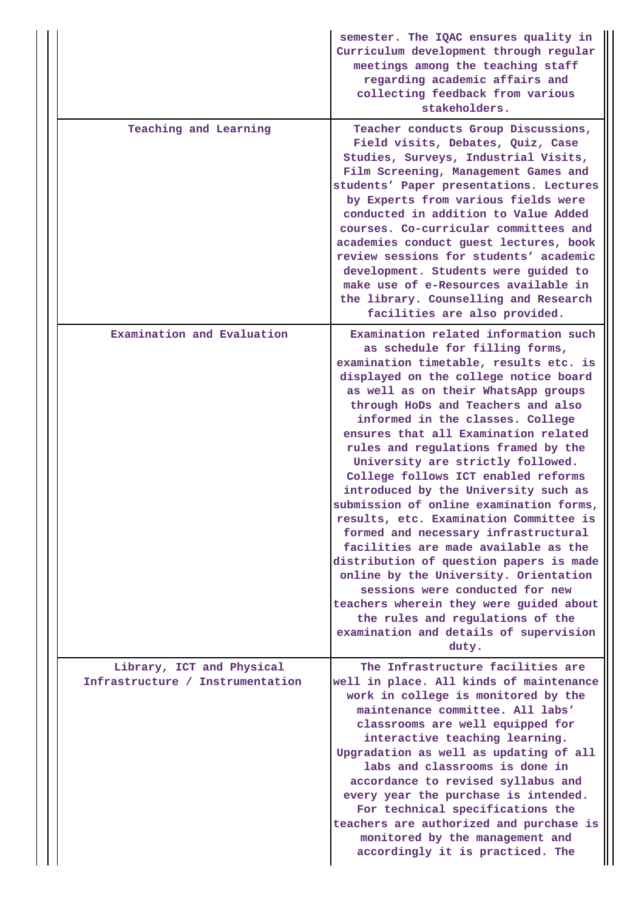|                                                               | semester. The IQAC ensures quality in<br>Curriculum development through regular<br>meetings among the teaching staff<br>regarding academic affairs and<br>collecting feedback from various<br>stakeholders.                                                                                                                                                                                                                                                                                                                                                                                                                                                                                                                                                                                                                                                                                                 |
|---------------------------------------------------------------|-------------------------------------------------------------------------------------------------------------------------------------------------------------------------------------------------------------------------------------------------------------------------------------------------------------------------------------------------------------------------------------------------------------------------------------------------------------------------------------------------------------------------------------------------------------------------------------------------------------------------------------------------------------------------------------------------------------------------------------------------------------------------------------------------------------------------------------------------------------------------------------------------------------|
| Teaching and Learning                                         | Teacher conducts Group Discussions,<br>Field visits, Debates, Quiz, Case<br>Studies, Surveys, Industrial Visits,<br>Film Screening, Management Games and<br>students' Paper presentations. Lectures<br>by Experts from various fields were<br>conducted in addition to Value Added<br>courses. Co-curricular committees and<br>academies conduct guest lectures, book<br>review sessions for students' academic<br>development. Students were guided to<br>make use of e-Resources available in<br>the library. Counselling and Research<br>facilities are also provided.                                                                                                                                                                                                                                                                                                                                   |
| Examination and Evaluation                                    | Examination related information such<br>as schedule for filling forms,<br>examination timetable, results etc. is<br>displayed on the college notice board<br>as well as on their WhatsApp groups<br>through HoDs and Teachers and also<br>informed in the classes. College<br>ensures that all Examination related<br>rules and regulations framed by the<br>University are strictly followed.<br>College follows ICT enabled reforms<br>introduced by the University such as<br>submission of online examination forms,<br>results, etc. Examination Committee is<br>formed and necessary infrastructural<br>facilities are made available as the<br>distribution of question papers is made<br>online by the University. Orientation<br>sessions were conducted for new<br>teachers wherein they were guided about<br>the rules and regulations of the<br>examination and details of supervision<br>duty. |
| Library, ICT and Physical<br>Infrastructure / Instrumentation | The Infrastructure facilities are<br>well in place. All kinds of maintenance<br>work in college is monitored by the<br>maintenance committee. All labs'<br>classrooms are well equipped for<br>interactive teaching learning.<br>Upgradation as well as updating of all<br>labs and classrooms is done in<br>accordance to revised syllabus and<br>every year the purchase is intended.<br>For technical specifications the<br>teachers are authorized and purchase is<br>monitored by the management and<br>accordingly it is practiced. The                                                                                                                                                                                                                                                                                                                                                               |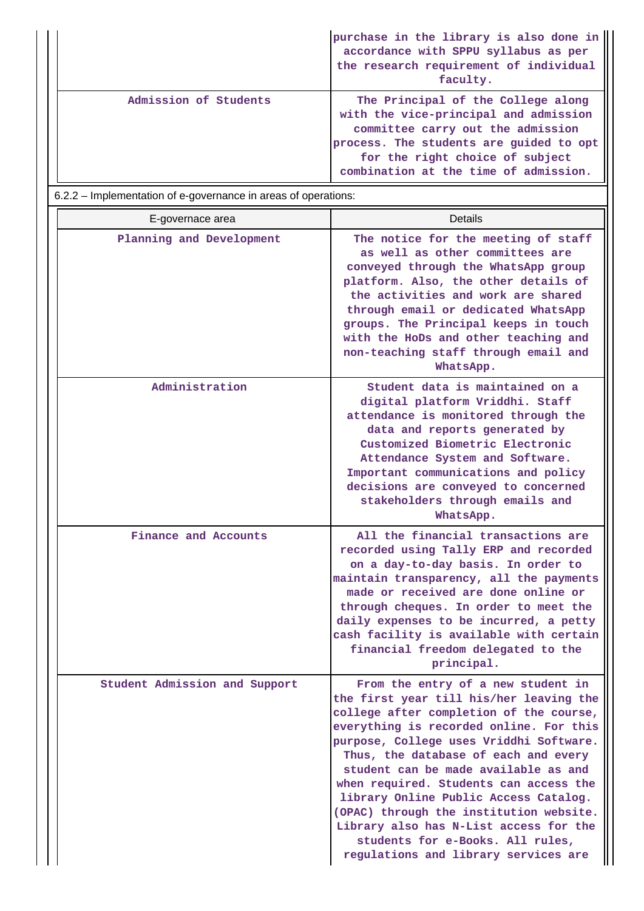|                       | purchase in the library is also done in<br>accordance with SPPU syllabus as per<br>the research requirement of individual<br>faculty.                                                                                                   |
|-----------------------|-----------------------------------------------------------------------------------------------------------------------------------------------------------------------------------------------------------------------------------------|
| Admission of Students | The Principal of the College along<br>with the vice-principal and admission<br>committee carry out the admission<br>process. The students are guided to opt<br>for the right choice of subject<br>combination at the time of admission. |

6.2.2 – Implementation of e-governance in areas of operations:

| E-governace area              | Details                                                                                                                                                                                                                                                                                                                                                                                                                                                                                                                                            |
|-------------------------------|----------------------------------------------------------------------------------------------------------------------------------------------------------------------------------------------------------------------------------------------------------------------------------------------------------------------------------------------------------------------------------------------------------------------------------------------------------------------------------------------------------------------------------------------------|
| Planning and Development      | The notice for the meeting of staff<br>as well as other committees are<br>conveyed through the WhatsApp group<br>platform. Also, the other details of<br>the activities and work are shared<br>through email or dedicated WhatsApp<br>groups. The Principal keeps in touch<br>with the HoDs and other teaching and<br>non-teaching staff through email and<br>WhatsApp.                                                                                                                                                                            |
| Administration                | Student data is maintained on a<br>digital platform Vriddhi. Staff<br>attendance is monitored through the<br>data and reports generated by<br>Customized Biometric Electronic<br>Attendance System and Software.<br>Important communications and policy<br>decisions are conveyed to concerned<br>stakeholders through emails and<br>WhatsApp.                                                                                                                                                                                                     |
| Finance and Accounts          | All the financial transactions are<br>recorded using Tally ERP and recorded<br>on a day-to-day basis. In order to<br>maintain transparency, all the payments<br>made or received are done online or<br>through cheques. In order to meet the<br>daily expenses to be incurred, a petty<br>cash facility is available with certain<br>financial freedom delegated to the<br>principal.                                                                                                                                                              |
| Student Admission and Support | From the entry of a new student in<br>the first year till his/her leaving the<br>college after completion of the course,<br>everything is recorded online. For this<br>purpose, College uses Vriddhi Software.<br>Thus, the database of each and every<br>student can be made available as and<br>when required. Students can access the<br>library Online Public Access Catalog.<br>(OPAC) through the institution website.<br>Library also has N-List access for the<br>students for e-Books. All rules,<br>regulations and library services are |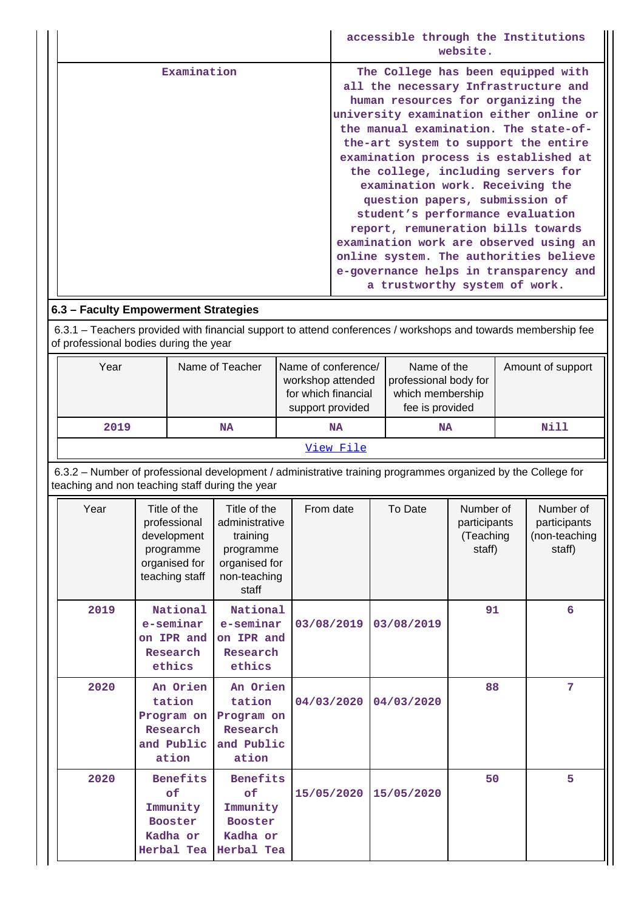|             | accessible through the Institutions<br>website.                                                                                                                                                                                                                                                                                                                                                                                                                                                                                                                                                                                           |
|-------------|-------------------------------------------------------------------------------------------------------------------------------------------------------------------------------------------------------------------------------------------------------------------------------------------------------------------------------------------------------------------------------------------------------------------------------------------------------------------------------------------------------------------------------------------------------------------------------------------------------------------------------------------|
| Examination | The College has been equipped with<br>all the necessary Infrastructure and<br>human resources for organizing the<br>university examination either online or<br>the manual examination. The state-of-<br>the-art system to support the entire<br>examination process is established at<br>the college, including servers for<br>examination work. Receiving the<br>question papers, submission of<br>student's performance evaluation<br>report, remuneration bills towards<br>examination work are observed using an<br>online system. The authorities believe<br>e-governance helps in transparency and<br>a trustworthy system of work. |

# **6.3 – Faculty Empowerment Strategies**

 6.3.1 – Teachers provided with financial support to attend conferences / workshops and towards membership fee of professional bodies during the year

| Year      | Name of Teacher | Name of conference/<br>workshop attended<br>for which financial<br>support provided | Name of the<br>professional body for<br>which membership<br>fee is provided | Amount of support |  |  |
|-----------|-----------------|-------------------------------------------------------------------------------------|-----------------------------------------------------------------------------|-------------------|--|--|
| 2019      | <b>NA</b>       | <b>NA</b>                                                                           | <b>NA</b>                                                                   | Nill              |  |  |
| View File |                 |                                                                                     |                                                                             |                   |  |  |

 6.3.2 – Number of professional development / administrative training programmes organized by the College for teaching and non teaching staff during the year

| Year | Title of the<br>professional<br>development<br>programme<br>organised for<br>teaching staff | Title of the<br>administrative<br>training<br>programme<br>organised for<br>non-teaching<br>staff | From date  | To Date    | Number of<br>participants<br>(Teaching<br>staff) | Number of<br>participants<br>(non-teaching<br>staff) |
|------|---------------------------------------------------------------------------------------------|---------------------------------------------------------------------------------------------------|------------|------------|--------------------------------------------------|------------------------------------------------------|
| 2019 | National<br>e-seminar<br>on IPR and<br>Research<br>ethics                                   | National<br>e-seminar<br>on IPR and<br>Research<br>ethics                                         | 03/08/2019 | 03/08/2019 | 91                                               | 6                                                    |
| 2020 | An Orien<br>tation<br>Program on<br>Research<br>and Public<br>ation                         | An Orien<br>tation<br>Program on<br>Research<br>and Public<br>ation                               | 04/03/2020 | 04/03/2020 | 88                                               | 7                                                    |
| 2020 | <b>Benefits</b><br>of<br>Immunity<br><b>Booster</b><br>Kadha or<br>Herbal Tea               | <b>Benefits</b><br>of<br>Immunity<br><b>Booster</b><br>Kadha or<br>Herbal Tea                     | 15/05/2020 | 15/05/2020 | 50                                               | 5                                                    |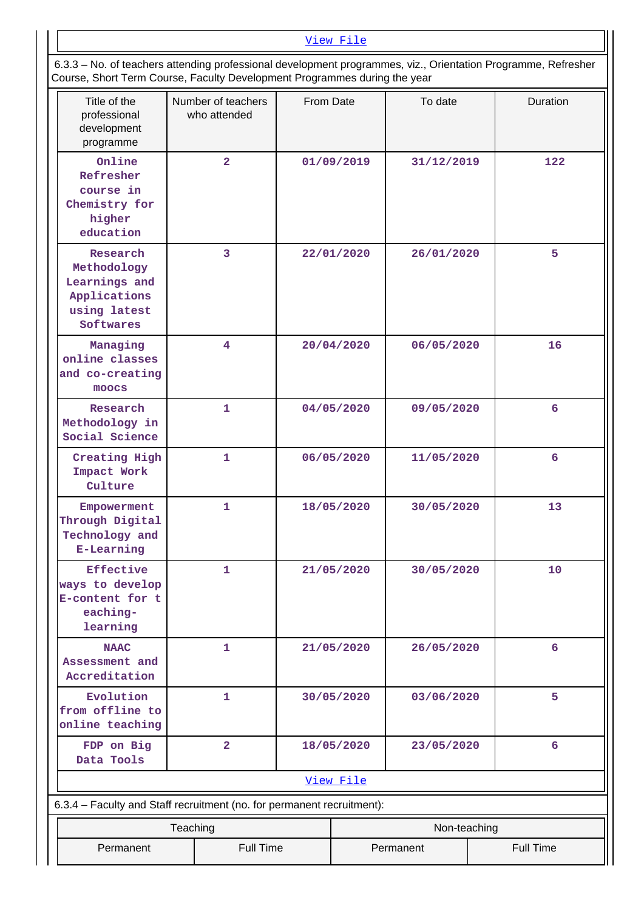| View File                                                                                                     |
|---------------------------------------------------------------------------------------------------------------|
| 6.3.3 – No. of teachers attending professional development programmes, viz., Orientation Programme, Refresher |
| Course, Short Term Course, Faculty Development Programmes during the year                                     |

| Title of the<br>professional<br>development<br>programme                              |                          | Number of teachers<br>who attended | From Date  |            | To date    | Duration        |
|---------------------------------------------------------------------------------------|--------------------------|------------------------------------|------------|------------|------------|-----------------|
| Online<br>Refresher<br>course in<br>Chemistry for<br>higher<br>education              |                          | $\overline{2}$                     |            | 01/09/2019 | 31/12/2019 | 122             |
| Research<br>Methodology<br>Learnings and<br>Applications<br>using latest<br>Softwares |                          | $\overline{\mathbf{3}}$            |            | 22/01/2020 | 26/01/2020 | 5               |
| Managing<br>online classes<br>and co-creating<br>moocs                                |                          | $\overline{4}$                     |            | 20/04/2020 | 06/05/2020 | 16              |
| Research<br>Methodology in<br>Social Science                                          |                          | $\mathbf{1}$                       |            | 04/05/2020 | 09/05/2020 | 6               |
| Creating High<br>Impact Work<br>Culture                                               |                          | 1                                  | 06/05/2020 |            | 11/05/2020 | 6               |
| Empowerment<br>Through Digital<br>Technology and<br><b>E-Learning</b>                 |                          | $\mathbf{1}$                       | 18/05/2020 |            | 30/05/2020 | 13              |
| <b>Effective</b><br>ways to develop<br>E-content for t<br>eaching-<br>learning        |                          | 1                                  |            | 21/05/2020 | 30/05/2020 | 10              |
| <b>NAAC</b><br>Assessment and<br>Accreditation                                        |                          | 1                                  |            | 21/05/2020 | 26/05/2020 | 6               |
| Evolution<br>from offline to<br>online teaching                                       |                          | 1                                  |            | 30/05/2020 | 03/06/2020 | 5               |
| FDP on Big<br>Data Tools                                                              |                          | $\overline{a}$                     |            | 18/05/2020 | 23/05/2020 | $6\overline{6}$ |
|                                                                                       | View File                |                                    |            |            |            |                 |
| 6.3.4 - Faculty and Staff recruitment (no. for permanent recruitment):                |                          |                                    |            |            |            |                 |
|                                                                                       | Non-teaching<br>Teaching |                                    |            |            |            |                 |
| Full Time<br>Full Time<br>Permanent<br>Permanent                                      |                          |                                    |            |            |            |                 |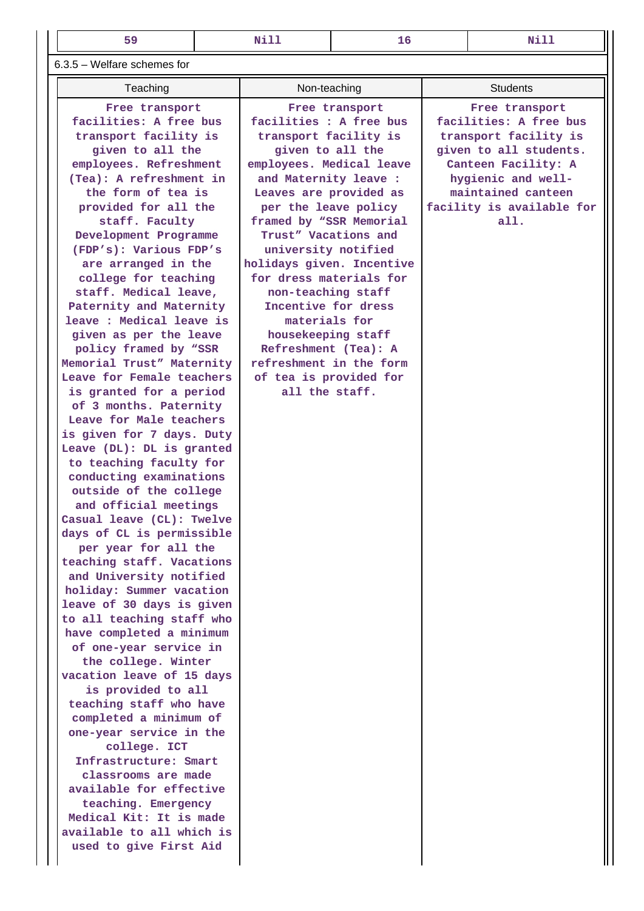**Free transport facilities : A free bus transport facility is given to all the employees. Medical leave and Maternity leave : Leaves are provided as per the leave policy framed by "SSR Memorial Trust" Vacations and university notified**

| $6.3.5$ – Welfare schemes for |  |  |
|-------------------------------|--|--|
|-------------------------------|--|--|

Teaching **Non-teaching Students Free transport facilities: A free bus transport facility is given to all the employees. Refreshment (Tea): A refreshment in the form of tea is provided for all the staff. Faculty Development Programme (FDP's): Various FDP's are arranged in the college for teaching staff. Medical leave, Paternity and Maternity leave : Medical leave is given as per the leave policy framed by "SSR Memorial Trust" Maternity Leave for Female teachers is granted for a period of 3 months. Paternity Leave for Male teachers is given for 7 days. Duty Leave (DL): DL is granted to teaching faculty for conducting examinations outside of the college and official meetings Casual leave (CL): Twelve days of CL is permissible per year for all the teaching staff. Vacations and University notified holiday: Summer vacation leave of 30 days is given to all teaching staff who have completed a minimum of one-year service in the college. Winter vacation leave of 15 days is provided to all teaching staff who have completed a minimum of one-year service in the college. ICT Infrastructure: Smart classrooms are made available for effective**

**teaching. Emergency Medical Kit: It is made available to all which is used to give First Aid**

**holidays given. Incentive for dress materials for non-teaching staff Incentive for dress materials for housekeeping staff Refreshment (Tea): A refreshment in the form of tea is provided for all the staff.**

 **Free transport facilities: A free bus transport facility is given to all students. Canteen Facility: A hygienic and wellmaintained canteen facility is available for all.**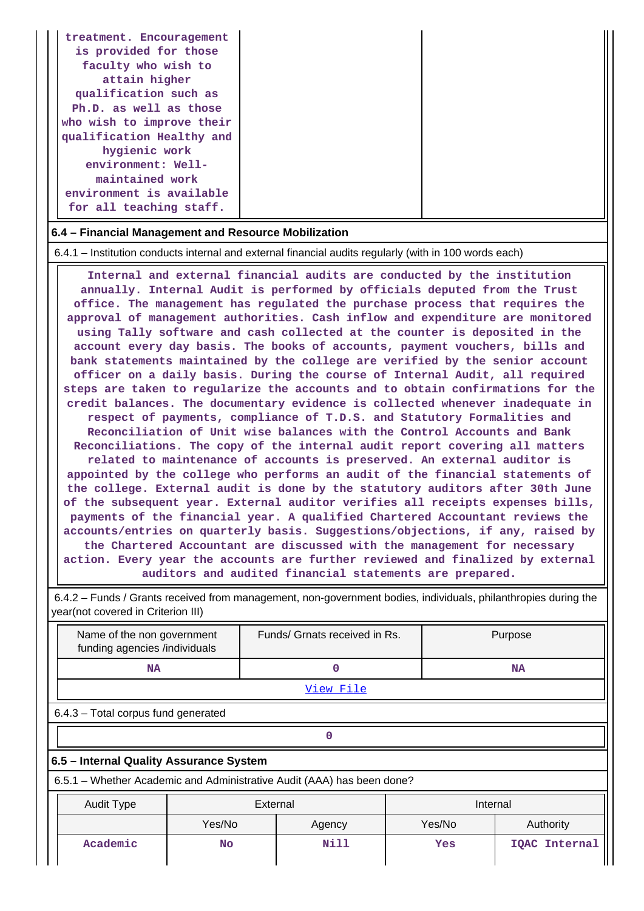| treatment. Encouragement<br>is provided for those<br>faculty who wish to<br>attain higher<br>qualification such as<br>Ph.D. as well as those<br>who wish to improve their<br>qualification Healthy and<br>hygienic work<br>environment: Well-<br>maintained work |  |
|------------------------------------------------------------------------------------------------------------------------------------------------------------------------------------------------------------------------------------------------------------------|--|
|                                                                                                                                                                                                                                                                  |  |
| environment is available<br>for all teaching staff.                                                                                                                                                                                                              |  |

## **6.4 – Financial Management and Resource Mobilization**

6.4.1 – Institution conducts internal and external financial audits regularly (with in 100 words each)

 **Internal and external financial audits are conducted by the institution annually. Internal Audit is performed by officials deputed from the Trust office. The management has regulated the purchase process that requires the approval of management authorities. Cash inflow and expenditure are monitored using Tally software and cash collected at the counter is deposited in the account every day basis. The books of accounts, payment vouchers, bills and bank statements maintained by the college are verified by the senior account officer on a daily basis. During the course of Internal Audit, all required steps are taken to regularize the accounts and to obtain confirmations for the credit balances. The documentary evidence is collected whenever inadequate in respect of payments, compliance of T.D.S. and Statutory Formalities and Reconciliation of Unit wise balances with the Control Accounts and Bank Reconciliations. The copy of the internal audit report covering all matters related to maintenance of accounts is preserved. An external auditor is appointed by the college who performs an audit of the financial statements of the college. External audit is done by the statutory auditors after 30th June of the subsequent year. External auditor verifies all receipts expenses bills, payments of the financial year. A qualified Chartered Accountant reviews the accounts/entries on quarterly basis. Suggestions/objections, if any, raised by the Chartered Accountant are discussed with the management for necessary action. Every year the accounts are further reviewed and finalized by external auditors and audited financial statements are prepared.**

 6.4.2 – Funds / Grants received from management, non-government bodies, individuals, philanthropies during the year(not covered in Criterion III)

| Name of the non government<br>funding agencies /individuals            |        |  | Funds/ Grnats received in Rs. |  |        | Purpose       |  |
|------------------------------------------------------------------------|--------|--|-------------------------------|--|--------|---------------|--|
| <b>NA</b>                                                              |        |  | 0                             |  |        | NA            |  |
| <u>View File</u>                                                       |        |  |                               |  |        |               |  |
| 6.4.3 - Total corpus fund generated                                    |        |  |                               |  |        |               |  |
| 0                                                                      |        |  |                               |  |        |               |  |
| 6.5 - Internal Quality Assurance System                                |        |  |                               |  |        |               |  |
| 6.5.1 – Whether Academic and Administrative Audit (AAA) has been done? |        |  |                               |  |        |               |  |
| External<br>Internal<br><b>Audit Type</b>                              |        |  |                               |  |        |               |  |
|                                                                        | Yes/No |  | Agency                        |  | Yes/No | Authority     |  |
| Academic                                                               | No     |  | Nill                          |  | Yes    | IQAC Internal |  |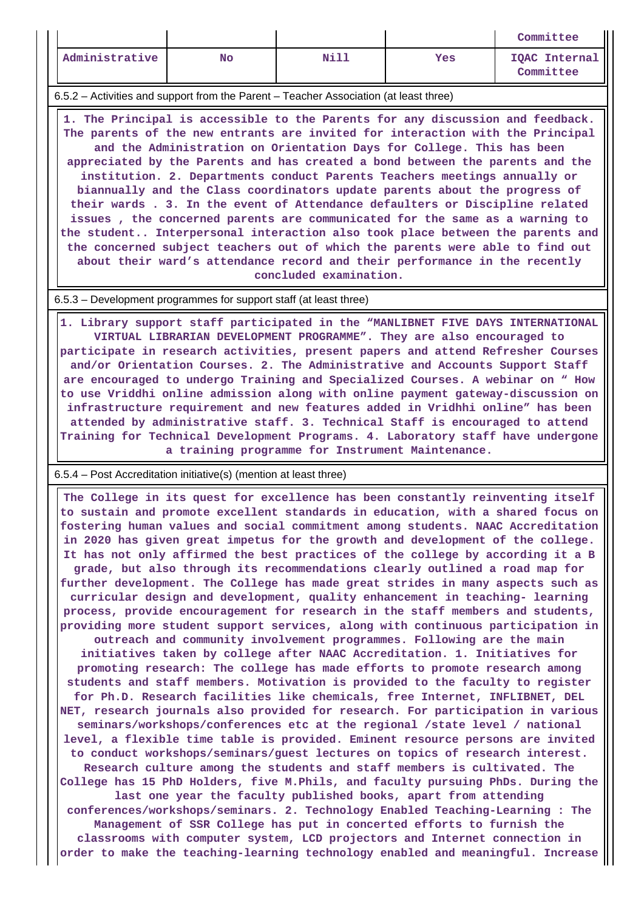|                |           |      |     | Committee                  |
|----------------|-----------|------|-----|----------------------------|
| Administrative | <b>No</b> | Nill | Yes | IQAC Internal<br>Committee |

6.5.2 – Activities and support from the Parent – Teacher Association (at least three)

 **1. The Principal is accessible to the Parents for any discussion and feedback. The parents of the new entrants are invited for interaction with the Principal and the Administration on Orientation Days for College. This has been appreciated by the Parents and has created a bond between the parents and the institution. 2. Departments conduct Parents Teachers meetings annually or biannually and the Class coordinators update parents about the progress of their wards . 3. In the event of Attendance defaulters or Discipline related issues , the concerned parents are communicated for the same as a warning to the student.. Interpersonal interaction also took place between the parents and the concerned subject teachers out of which the parents were able to find out about their ward's attendance record and their performance in the recently concluded examination.**

## 6.5.3 – Development programmes for support staff (at least three)

 **1. Library support staff participated in the "MANLIBNET FIVE DAYS INTERNATIONAL VIRTUAL LIBRARIAN DEVELOPMENT PROGRAMME". They are also encouraged to participate in research activities, present papers and attend Refresher Courses and/or Orientation Courses. 2. The Administrative and Accounts Support Staff are encouraged to undergo Training and Specialized Courses. A webinar on " How to use Vriddhi online admission along with online payment gateway-discussion on infrastructure requirement and new features added in Vridhhi online" has been attended by administrative staff. 3. Technical Staff is encouraged to attend Training for Technical Development Programs. 4. Laboratory staff have undergone a training programme for Instrument Maintenance.**

6.5.4 – Post Accreditation initiative(s) (mention at least three)

 **The College in its quest for excellence has been constantly reinventing itself to sustain and promote excellent standards in education, with a shared focus on fostering human values and social commitment among students. NAAC Accreditation in 2020 has given great impetus for the growth and development of the college. It has not only affirmed the best practices of the college by according it a B grade, but also through its recommendations clearly outlined a road map for further development. The College has made great strides in many aspects such as curricular design and development, quality enhancement in teaching- learning process, provide encouragement for research in the staff members and students, providing more student support services, along with continuous participation in outreach and community involvement programmes. Following are the main initiatives taken by college after NAAC Accreditation. 1. Initiatives for promoting research: The college has made efforts to promote research among students and staff members. Motivation is provided to the faculty to register for Ph.D. Research facilities like chemicals, free Internet, INFLIBNET, DEL NET, research journals also provided for research. For participation in various seminars/workshops/conferences etc at the regional /state level / national level, a flexible time table is provided. Eminent resource persons are invited to conduct workshops/seminars/guest lectures on topics of research interest. Research culture among the students and staff members is cultivated. The College has 15 PhD Holders, five M.Phils, and faculty pursuing PhDs. During the last one year the faculty published books, apart from attending conferences/workshops/seminars. 2. Technology Enabled Teaching-Learning : The Management of SSR College has put in concerted efforts to furnish the classrooms with computer system, LCD projectors and Internet connection in order to make the teaching-learning technology enabled and meaningful. Increase**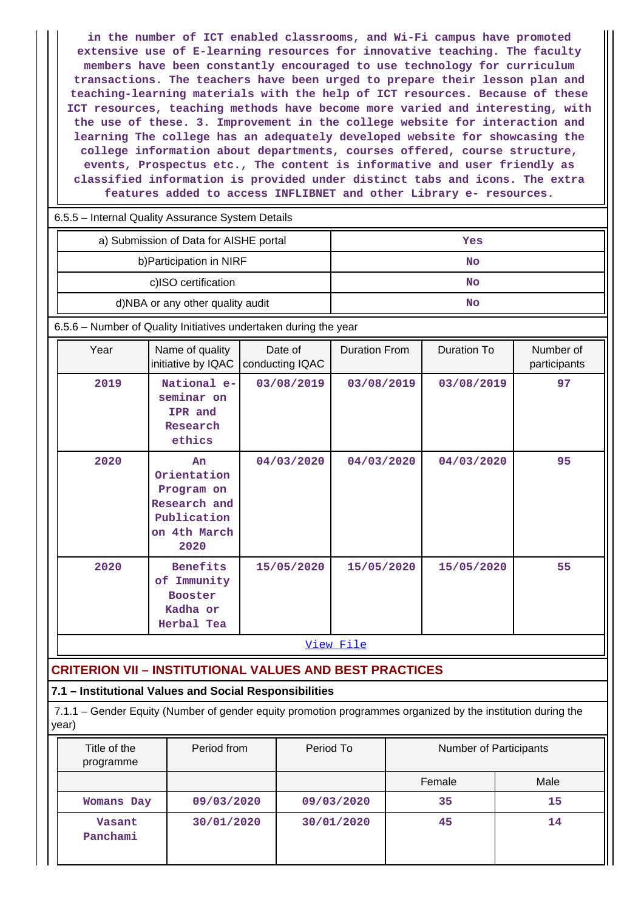**in the number of ICT enabled classrooms, and Wi-Fi campus have promoted extensive use of E-learning resources for innovative teaching. The faculty members have been constantly encouraged to use technology for curriculum transactions. The teachers have been urged to prepare their lesson plan and teaching-learning materials with the help of ICT resources. Because of these ICT resources, teaching methods have become more varied and interesting, with the use of these. 3. Improvement in the college website for interaction and learning The college has an adequately developed website for showcasing the college information about departments, courses offered, course structure, events, Prospectus etc., The content is informative and user friendly as classified information is provided under distinct tabs and icons. The extra features added to access INFLIBNET and other Library e- resources.**

|  | 6.5.5 - Internal Quality Assurance System Details |
|--|---------------------------------------------------|
|  |                                                   |

| a) Submission of Data for AISHE portal | Yes |
|----------------------------------------|-----|
| b) Participation in NIRF               | No  |
| c)ISO certification                    | No  |
| d)NBA or any other quality audit       | No  |

6.5.6 – Number of Quality Initiatives undertaken during the year

| Year | Name of quality<br>initiative by IQAC                                                  | Date of<br>conducting IQAC | <b>Duration From</b> | Duration To | Number of<br>participants |
|------|----------------------------------------------------------------------------------------|----------------------------|----------------------|-------------|---------------------------|
| 2019 | National e-<br>seminar on<br>IPR and<br>Research<br>ethics                             | 03/08/2019                 | 03/08/2019           | 03/08/2019  | 97                        |
| 2020 | An<br>Orientation<br>Program on<br>Research and<br>Publication<br>on 4th March<br>2020 | 04/03/2020                 | 04/03/2020           | 04/03/2020  | 95                        |
| 2020 | <b>Benefits</b><br>Immunity<br>оf<br><b>Booster</b><br>Kadha or<br>Herbal Tea          | 15/05/2020                 | 15/05/2020           | 15/05/2020  | 55                        |

View File

# **CRITERION VII – INSTITUTIONAL VALUES AND BEST PRACTICES**

## **7.1 – Institutional Values and Social Responsibilities**

 7.1.1 – Gender Equity (Number of gender equity promotion programmes organized by the institution during the year)

| Title of the<br>programme | Period from | Period To  | Number of Participants |      |
|---------------------------|-------------|------------|------------------------|------|
|                           |             |            | Female                 | Male |
| Womans Day                | 09/03/2020  | 09/03/2020 | 35                     | 15   |
| Vasant<br>Panchami        | 30/01/2020  | 30/01/2020 | 45                     | 14   |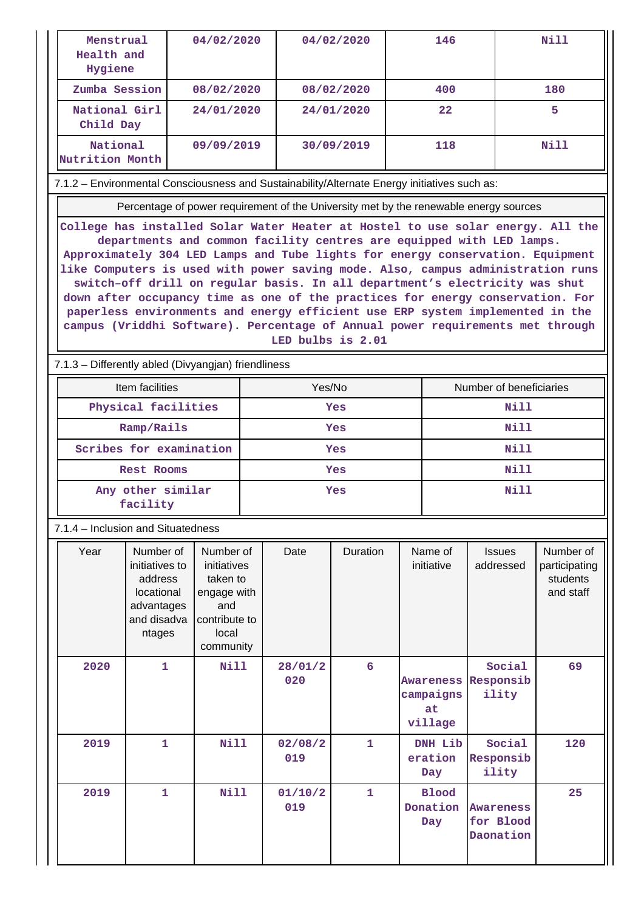| Menstrual<br>Health and<br>Hygiene                                                                                                                                                                                                                                                                                                                                                                                                                                                                                                                                                                                                                                                    |                                                                                             | 04/02/2020                                                                                        |            |                | 04/02/2020<br>146 |                           |                                         | Nill                                                                                  |                                                     |
|---------------------------------------------------------------------------------------------------------------------------------------------------------------------------------------------------------------------------------------------------------------------------------------------------------------------------------------------------------------------------------------------------------------------------------------------------------------------------------------------------------------------------------------------------------------------------------------------------------------------------------------------------------------------------------------|---------------------------------------------------------------------------------------------|---------------------------------------------------------------------------------------------------|------------|----------------|-------------------|---------------------------|-----------------------------------------|---------------------------------------------------------------------------------------|-----------------------------------------------------|
| Zumba Session                                                                                                                                                                                                                                                                                                                                                                                                                                                                                                                                                                                                                                                                         |                                                                                             | 08/02/2020                                                                                        |            |                | 08/02/2020        |                           | 400                                     |                                                                                       | 180                                                 |
| National Girl<br>24/01/2020<br>Child Day                                                                                                                                                                                                                                                                                                                                                                                                                                                                                                                                                                                                                                              |                                                                                             | 24/01/2020                                                                                        |            |                | $22 \,$           |                           | 5.                                      |                                                                                       |                                                     |
| National<br>Nutrition Month                                                                                                                                                                                                                                                                                                                                                                                                                                                                                                                                                                                                                                                           |                                                                                             | 09/09/2019                                                                                        |            |                | 30/09/2019        |                           | 118                                     |                                                                                       | <b>Nill</b>                                         |
| 7.1.2 - Environmental Consciousness and Sustainability/Alternate Energy initiatives such as:                                                                                                                                                                                                                                                                                                                                                                                                                                                                                                                                                                                          |                                                                                             |                                                                                                   |            |                |                   |                           |                                         |                                                                                       |                                                     |
|                                                                                                                                                                                                                                                                                                                                                                                                                                                                                                                                                                                                                                                                                       |                                                                                             |                                                                                                   |            |                |                   |                           |                                         | Percentage of power requirement of the University met by the renewable energy sources |                                                     |
| College has installed Solar Water Heater at Hostel to use solar energy. All the<br>departments and common facility centres are equipped with LED lamps.<br>Approximately 304 LED Lamps and Tube lights for energy conservation. Equipment<br>like Computers is used with power saving mode. Also, campus administration runs<br>switch-off drill on regular basis. In all department's electricity was shut<br>down after occupancy time as one of the practices for energy conservation. For<br>paperless environments and energy efficient use ERP system implemented in the<br>campus (Vriddhi Software). Percentage of Annual power requirements met through<br>LED bulbs is 2.01 |                                                                                             |                                                                                                   |            |                |                   |                           |                                         |                                                                                       |                                                     |
| 7.1.3 - Differently abled (Divyangjan) friendliness                                                                                                                                                                                                                                                                                                                                                                                                                                                                                                                                                                                                                                   |                                                                                             |                                                                                                   |            |                |                   |                           |                                         |                                                                                       |                                                     |
|                                                                                                                                                                                                                                                                                                                                                                                                                                                                                                                                                                                                                                                                                       | Item facilities                                                                             |                                                                                                   |            | Yes/No         |                   |                           |                                         | Number of beneficiaries                                                               |                                                     |
|                                                                                                                                                                                                                                                                                                                                                                                                                                                                                                                                                                                                                                                                                       | Physical facilities                                                                         |                                                                                                   | <b>Yes</b> |                |                   | <b>Nill</b>               |                                         |                                                                                       |                                                     |
| Ramp/Rails                                                                                                                                                                                                                                                                                                                                                                                                                                                                                                                                                                                                                                                                            |                                                                                             |                                                                                                   |            | <b>Yes</b>     |                   |                           | Nill                                    |                                                                                       |                                                     |
| Scribes for examination<br>Nill<br><b>Yes</b>                                                                                                                                                                                                                                                                                                                                                                                                                                                                                                                                                                                                                                         |                                                                                             |                                                                                                   |            |                |                   |                           |                                         |                                                                                       |                                                     |
| Rest Rooms                                                                                                                                                                                                                                                                                                                                                                                                                                                                                                                                                                                                                                                                            |                                                                                             |                                                                                                   |            | Yes            |                   |                           |                                         | Nill                                                                                  |                                                     |
| <b>Nill</b><br>Any other similar<br>Yes<br>facility                                                                                                                                                                                                                                                                                                                                                                                                                                                                                                                                                                                                                                   |                                                                                             |                                                                                                   |            |                |                   |                           |                                         |                                                                                       |                                                     |
| 7.1.4 - Inclusion and Situatedness                                                                                                                                                                                                                                                                                                                                                                                                                                                                                                                                                                                                                                                    |                                                                                             |                                                                                                   |            |                |                   |                           |                                         |                                                                                       |                                                     |
| Year                                                                                                                                                                                                                                                                                                                                                                                                                                                                                                                                                                                                                                                                                  | Number of<br>initiatives to<br>address<br>locational<br>advantages<br>and disadva<br>ntages | Number of<br>initiatives<br>taken to<br>engage with<br>and<br>contribute to<br>local<br>community |            | Date           | Duration          |                           | Name of<br>initiative                   | <b>Issues</b><br>addressed                                                            | Number of<br>participating<br>students<br>and staff |
| 2020                                                                                                                                                                                                                                                                                                                                                                                                                                                                                                                                                                                                                                                                                  | $\mathbf{1}$                                                                                | <b>Nill</b>                                                                                       |            | 28/01/2<br>020 | 6                 |                           | Awareness<br>campaigns<br>at<br>village | Social<br>Responsib<br>ility                                                          | 69                                                  |
| 2019                                                                                                                                                                                                                                                                                                                                                                                                                                                                                                                                                                                                                                                                                  | $\mathbf{1}$                                                                                | <b>Nill</b>                                                                                       |            | 02/08/2<br>019 | $\mathbf{1}$      | DNH Lib<br>eration<br>Day |                                         | Social<br>Responsib<br>ility                                                          | 120                                                 |
| 2019                                                                                                                                                                                                                                                                                                                                                                                                                                                                                                                                                                                                                                                                                  | $\mathbf{1}$                                                                                | <b>Nill</b>                                                                                       |            | 01/10/2<br>019 | $\mathbf{1}$      |                           | <b>Blood</b><br>Donation<br>Day         | <b>Awareness</b><br>for Blood<br>Daonation                                            | 25                                                  |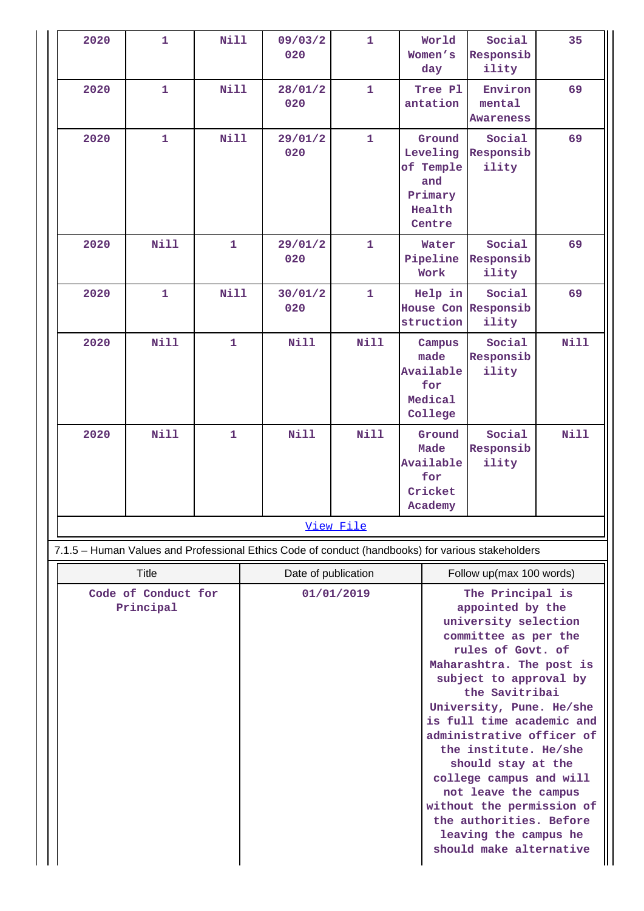| 2020                             | $\mathbf{1}$ | <b>Nill</b>  | 09/03/2<br>020                                                                                    | 1            | World<br>Women's<br>day                                                                                                                                                                                                                                                                                                                                                                                                                                                               | Social<br>Responsib<br>ility           | 35          |
|----------------------------------|--------------|--------------|---------------------------------------------------------------------------------------------------|--------------|---------------------------------------------------------------------------------------------------------------------------------------------------------------------------------------------------------------------------------------------------------------------------------------------------------------------------------------------------------------------------------------------------------------------------------------------------------------------------------------|----------------------------------------|-------------|
| 2020                             | $\mathbf{1}$ | <b>Nill</b>  | 28/01/2<br>020                                                                                    | $\mathbf{1}$ | Tree Pl<br>antation                                                                                                                                                                                                                                                                                                                                                                                                                                                                   | Environ<br>mental<br><b>Awareness</b>  | 69          |
| 2020                             | $\mathbf{1}$ | <b>Nill</b>  | 29/01/2<br>020                                                                                    | $\mathbf{1}$ | Ground<br>Leveling<br>of Temple<br>and<br>Primary<br>Health<br>Centre                                                                                                                                                                                                                                                                                                                                                                                                                 | Social<br>Responsib<br>ility           | 69          |
| 2020                             | Nill         | $\mathbf{1}$ | 29/01/2<br>020                                                                                    | 1            | Water<br>Pipeline<br>Work                                                                                                                                                                                                                                                                                                                                                                                                                                                             | Social<br>Responsib<br>ility           | 69          |
| 2020                             | $\mathbf{1}$ | <b>Nill</b>  | 30/01/2<br>020                                                                                    | $\mathbf{1}$ | Help in<br>struction                                                                                                                                                                                                                                                                                                                                                                                                                                                                  | Social<br>House Con Responsib<br>ility | 69          |
| 2020                             | <b>Nill</b>  | $\mathbf{1}$ | Nill                                                                                              | <b>Nill</b>  | Campus<br>made<br>Available<br>for<br>Medical<br>College                                                                                                                                                                                                                                                                                                                                                                                                                              | Social<br>Responsib<br>ility           | Nill        |
| 2020                             | <b>Nill</b>  | $\mathbf{1}$ | <b>Nill</b>                                                                                       | Nill         | Ground<br>Made<br>Available<br>for<br>Cricket<br>Academy                                                                                                                                                                                                                                                                                                                                                                                                                              | Social<br>Responsib<br>ility           | <b>Nill</b> |
|                                  |              |              |                                                                                                   | View File    |                                                                                                                                                                                                                                                                                                                                                                                                                                                                                       |                                        |             |
|                                  |              |              | 7.1.5 - Human Values and Professional Ethics Code of conduct (handbooks) for various stakeholders |              |                                                                                                                                                                                                                                                                                                                                                                                                                                                                                       |                                        |             |
| <b>Title</b>                     |              |              | Date of publication<br>Follow up(max 100 words)                                                   |              |                                                                                                                                                                                                                                                                                                                                                                                                                                                                                       |                                        |             |
| Code of Conduct for<br>Principal |              |              | 01/01/2019                                                                                        |              | The Principal is<br>appointed by the<br>university selection<br>committee as per the<br>rules of Govt. of<br>Maharashtra. The post is<br>subject to approval by<br>the Savitribai<br>University, Pune. He/she<br>is full time academic and<br>administrative officer of<br>the institute. He/she<br>should stay at the<br>college campus and will<br>not leave the campus<br>without the permission of<br>the authorities. Before<br>leaving the campus he<br>should make alternative |                                        |             |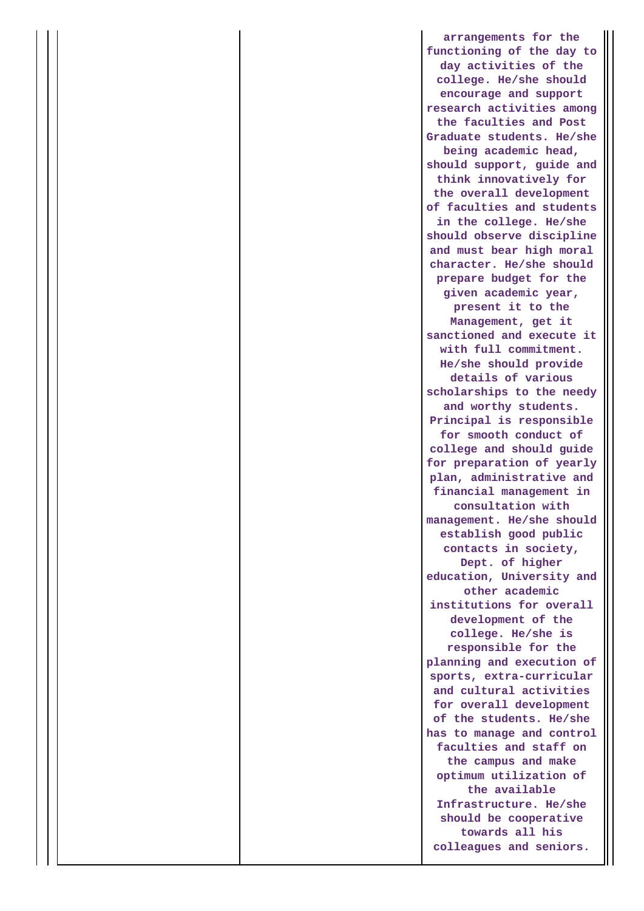**arrangements for the functioning of the day to day activities of the college. He/she should encourage and support research activities among the faculties and Post Graduate students. He/she being academic head, should support, guide and think innovatively for the overall development of faculties and students in the college. He/she should observe discipline and must bear high moral character. He/she should prepare budget for the given academic year, present it to the Management, get it sanctioned and execute it with full commitment. He/she should provide details of various scholarships to the needy and worthy students. Principal is responsible for smooth conduct of college and should guide for preparation of yearly plan, administrative and financial management in consultation with management. He/she should establish good public contacts in society, Dept. of higher education, University and other academic institutions for overall development of the college. He/she is responsible for the planning and execution of sports, extra-curricular and cultural activities for overall development of the students. He/she has to manage and control faculties and staff on the campus and make optimum utilization of the available Infrastructure. He/she should be cooperative towards all his colleagues and seniors.**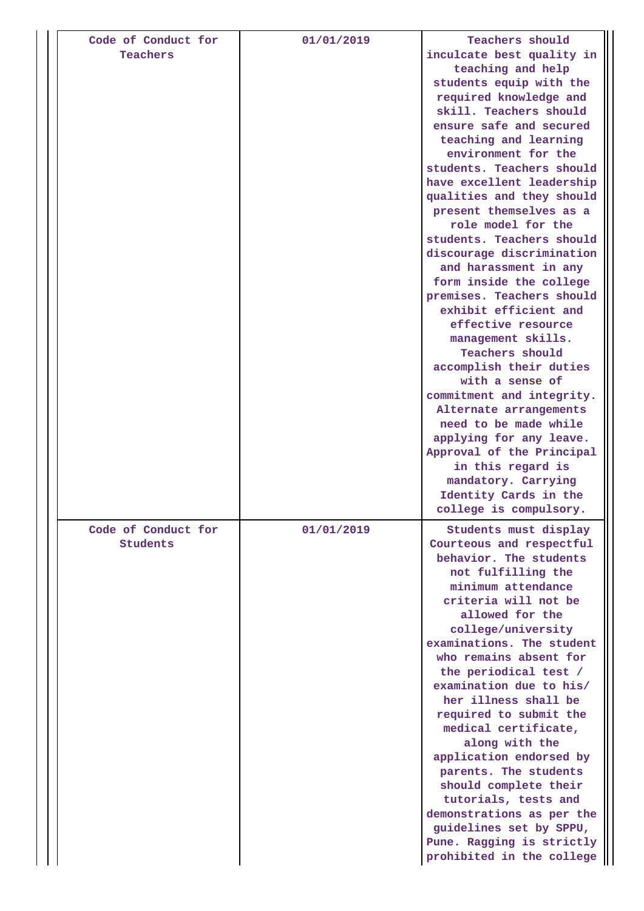| Code of Conduct for<br>Teachers        | 01/01/2019 | Teachers should<br>inculcate best quality in<br>teaching and help<br>students equip with the<br>required knowledge and<br>skill. Teachers should<br>ensure safe and secured<br>teaching and learning<br>environment for the<br>students. Teachers should<br>have excellent leadership<br>qualities and they should<br>present themselves as a<br>role model for the<br>students. Teachers should<br>discourage discrimination<br>and harassment in any<br>form inside the college<br>premises. Teachers should<br>exhibit efficient and<br>effective resource<br>management skills.<br>Teachers should<br>accomplish their duties<br>with a sense of<br>commitment and integrity.<br>Alternate arrangements<br>need to be made while<br>applying for any leave.<br>Approval of the Principal<br>in this regard is<br>mandatory. Carrying<br>Identity Cards in the |
|----------------------------------------|------------|-------------------------------------------------------------------------------------------------------------------------------------------------------------------------------------------------------------------------------------------------------------------------------------------------------------------------------------------------------------------------------------------------------------------------------------------------------------------------------------------------------------------------------------------------------------------------------------------------------------------------------------------------------------------------------------------------------------------------------------------------------------------------------------------------------------------------------------------------------------------|
| Code of Conduct for<br><b>Students</b> | 01/01/2019 | college is compulsory.<br>Students must display<br>Courteous and respectful<br>behavior. The students<br>not fulfilling the<br>minimum attendance<br>criteria will not be<br>allowed for the<br>college/university<br>examinations. The student<br>who remains absent for<br>the periodical test /<br>examination due to his/<br>her illness shall be<br>required to submit the<br>medical certificate,<br>along with the<br>application endorsed by<br>parents. The students<br>should complete their<br>tutorials, tests and<br>demonstrations as per the<br>guidelines set by SPPU,<br>Pune. Ragging is strictly<br>prohibited in the college                                                                                                                                                                                                                  |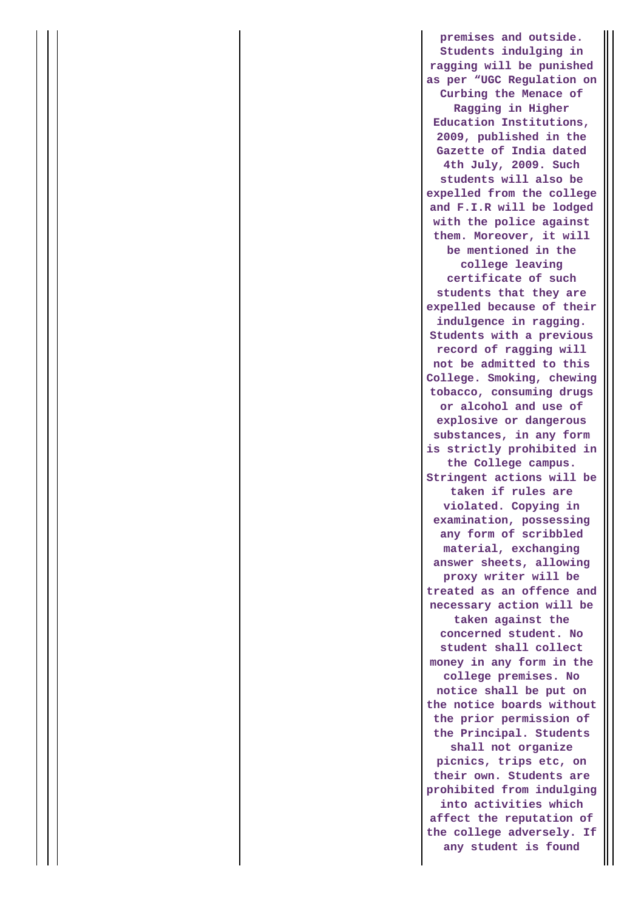**premises and outside. Students indulging in ragging will be punished as per "UGC Regulation on Curbing the Menace of Ragging in Higher Education Institutions, 2009, published in the Gazette of India dated 4th July, 2009. Such students will also be expelled from the college and F.I.R will be lodged with the police against them. Moreover, it will be mentioned in the college leaving certificate of such students that they are expelled because of their indulgence in ragging. Students with a previous record of ragging will not be admitted to this College. Smoking, chewing tobacco, consuming drugs or alcohol and use of explosive or dangerous substances, in any form is strictly prohibited in the College campus. Stringent actions will be taken if rules are violated. Copying in examination, possessing any form of scribbled material, exchanging answer sheets, allowing proxy writer will be treated as an offence and necessary action will be taken against the concerned student. No student shall collect money in any form in the college premises. No notice shall be put on the notice boards without the prior permission of the Principal. Students shall not organize picnics, trips etc, on their own. Students are prohibited from indulging into activities which affect the reputation of the college adversely. If any student is found**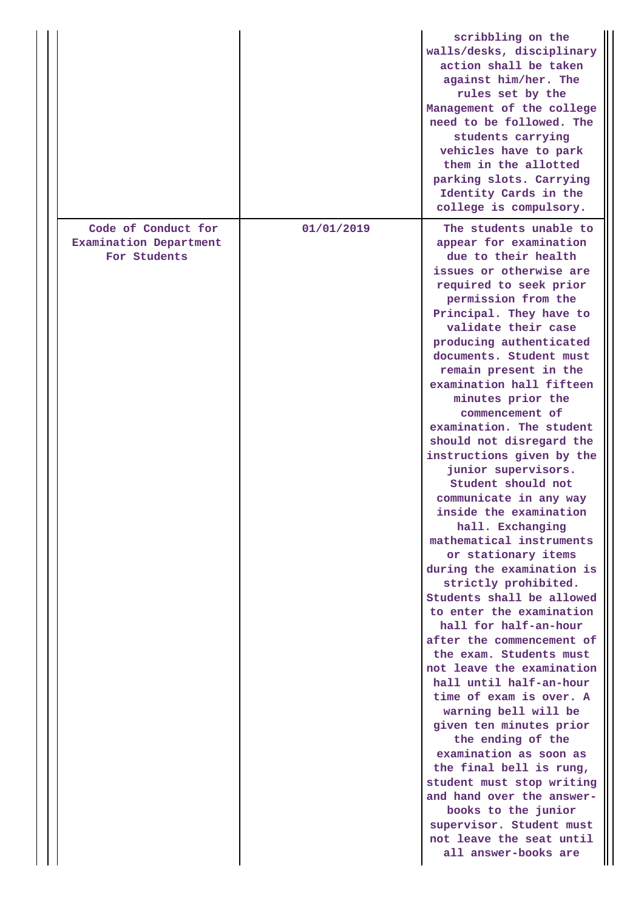|                                                               |            | scribbling on the<br>walls/desks, disciplinary<br>action shall be taken<br>against him/her. The<br>rules set by the<br>Management of the college<br>need to be followed. The<br>students carrying<br>vehicles have to park<br>them in the allotted<br>parking slots. Carrying<br>Identity Cards in the<br>college is compulsory.                                                                                                                                                                                                                                                                                                                                                                                                                                                                                                                                                                                                                                                                                                                                                                                                                                                                      |
|---------------------------------------------------------------|------------|-------------------------------------------------------------------------------------------------------------------------------------------------------------------------------------------------------------------------------------------------------------------------------------------------------------------------------------------------------------------------------------------------------------------------------------------------------------------------------------------------------------------------------------------------------------------------------------------------------------------------------------------------------------------------------------------------------------------------------------------------------------------------------------------------------------------------------------------------------------------------------------------------------------------------------------------------------------------------------------------------------------------------------------------------------------------------------------------------------------------------------------------------------------------------------------------------------|
| Code of Conduct for<br>Examination Department<br>For Students | 01/01/2019 | The students unable to<br>appear for examination<br>due to their health<br>issues or otherwise are<br>required to seek prior<br>permission from the<br>Principal. They have to<br>validate their case<br>producing authenticated<br>documents. Student must<br>remain present in the<br>examination hall fifteen<br>minutes prior the<br>commencement of<br>examination. The student<br>should not disregard the<br>instructions given by the<br>junior supervisors.<br>Student should not<br>communicate in any way<br>inside the examination<br>hall. Exchanging<br>mathematical instruments<br>or stationary items<br>during the examination is<br>strictly prohibited.<br>Students shall be allowed<br>to enter the examination<br>hall for half-an-hour<br>after the commencement of<br>the exam. Students must<br>not leave the examination<br>hall until half-an-hour<br>time of exam is over. A<br>warning bell will be<br>given ten minutes prior<br>the ending of the<br>examination as soon as<br>the final bell is rung,<br>student must stop writing<br>and hand over the answer-<br>books to the junior<br>supervisor. Student must<br>not leave the seat until<br>all answer-books are |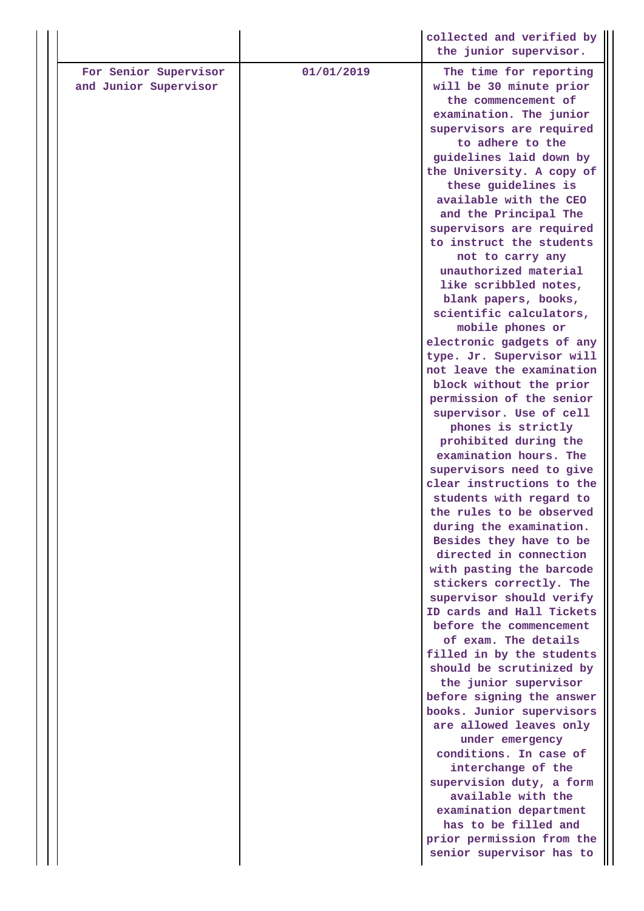|                                                |            | collected and verified by<br>the junior supervisor.                                                                                                                                                                                                                                                                                                                                                                                                                                                                                                                                                                                                                                                                                                                                                                                                                                                                                                                                                                                                                                                                                          |
|------------------------------------------------|------------|----------------------------------------------------------------------------------------------------------------------------------------------------------------------------------------------------------------------------------------------------------------------------------------------------------------------------------------------------------------------------------------------------------------------------------------------------------------------------------------------------------------------------------------------------------------------------------------------------------------------------------------------------------------------------------------------------------------------------------------------------------------------------------------------------------------------------------------------------------------------------------------------------------------------------------------------------------------------------------------------------------------------------------------------------------------------------------------------------------------------------------------------|
| For Senior Supervisor<br>and Junior Supervisor | 01/01/2019 | The time for reporting<br>will be 30 minute prior<br>the commencement of<br>examination. The junior<br>supervisors are required<br>to adhere to the<br>guidelines laid down by<br>the University. A copy of<br>these guidelines is<br>available with the CEO<br>and the Principal The<br>supervisors are required<br>to instruct the students<br>not to carry any<br>unauthorized material<br>like scribbled notes,<br>blank papers, books,<br>scientific calculators,<br>mobile phones or<br>electronic gadgets of any<br>type. Jr. Supervisor will<br>not leave the examination<br>block without the prior<br>permission of the senior<br>supervisor. Use of cell<br>phones is strictly<br>prohibited during the<br>examination hours. The<br>supervisors need to give<br>clear instructions to the<br>students with regard to<br>the rules to be observed<br>during the examination.<br>Besides they have to be<br>directed in connection<br>with pasting the barcode<br>stickers correctly. The<br>supervisor should verify<br>ID cards and Hall Tickets<br>before the commencement<br>of exam. The details<br>filled in by the students |
|                                                |            | should be scrutinized by<br>the junior supervisor<br>before signing the answer<br>books. Junior supervisors                                                                                                                                                                                                                                                                                                                                                                                                                                                                                                                                                                                                                                                                                                                                                                                                                                                                                                                                                                                                                                  |
|                                                |            | are allowed leaves only<br>under emergency<br>conditions. In case of<br>interchange of the<br>supervision duty, a form<br>available with the<br>examination department<br>has to be filled and                                                                                                                                                                                                                                                                                                                                                                                                                                                                                                                                                                                                                                                                                                                                                                                                                                                                                                                                               |
|                                                |            | prior permission from the<br>senior supervisor has to                                                                                                                                                                                                                                                                                                                                                                                                                                                                                                                                                                                                                                                                                                                                                                                                                                                                                                                                                                                                                                                                                        |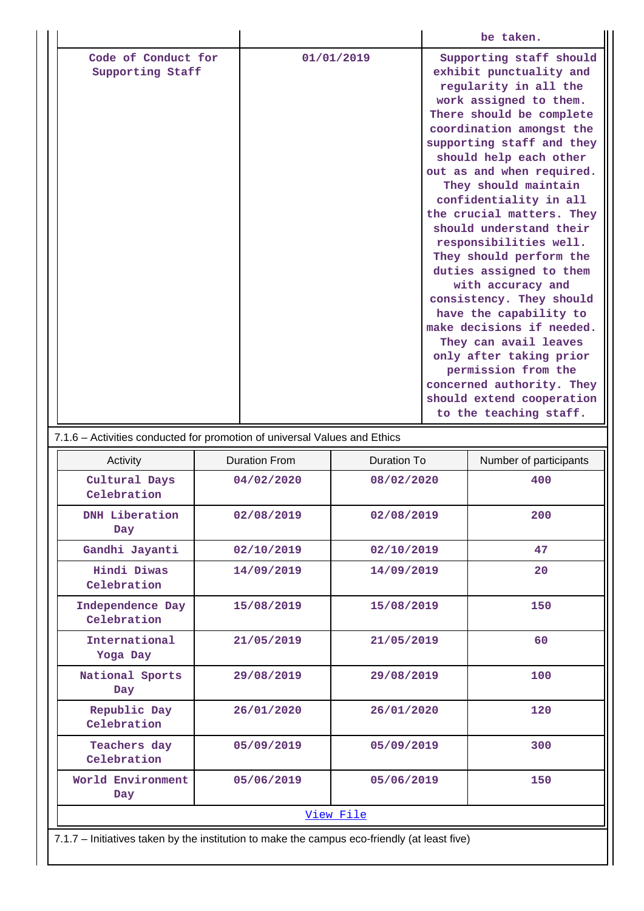|                                 | 7.1.6 – Activities conducted for promotion of universal Values and Ethics |             |                        |  |  |  |  |
|---------------------------------|---------------------------------------------------------------------------|-------------|------------------------|--|--|--|--|
| Activity                        | Duration From                                                             | Duration To | Number of participants |  |  |  |  |
| Cultural Days<br>Celebration    | 04/02/2020                                                                | 08/02/2020  | 400                    |  |  |  |  |
| <b>DNH</b> Liberation<br>Day    | 02/08/2019                                                                | 02/08/2019  | 200                    |  |  |  |  |
| Gandhi Jayanti                  | 02/10/2019                                                                | 02/10/2019  | 47                     |  |  |  |  |
| Hindi Diwas<br>Celebration      | 14/09/2019                                                                | 14/09/2019  | 20                     |  |  |  |  |
| Independence Day<br>Celebration | 15/08/2019                                                                | 15/08/2019  | 150                    |  |  |  |  |
| International<br>Yoga Day       | 21/05/2019                                                                | 21/05/2019  | 60                     |  |  |  |  |
| National Sports<br>Day          | 29/08/2019                                                                | 29/08/2019  | 100                    |  |  |  |  |
| Republic Day<br>Celebration     | 26/01/2020                                                                | 26/01/2020  | 120                    |  |  |  |  |
| Teachers day<br>Celebration     | 05/09/2019                                                                | 05/09/2019  | 300                    |  |  |  |  |
| World Environment<br>Day        | 05/06/2019                                                                | 05/06/2019  | 150                    |  |  |  |  |
| View File                       |                                                                           |             |                        |  |  |  |  |

7.1.7 – Initiatives taken by the institution to make the campus eco-friendly (at least five)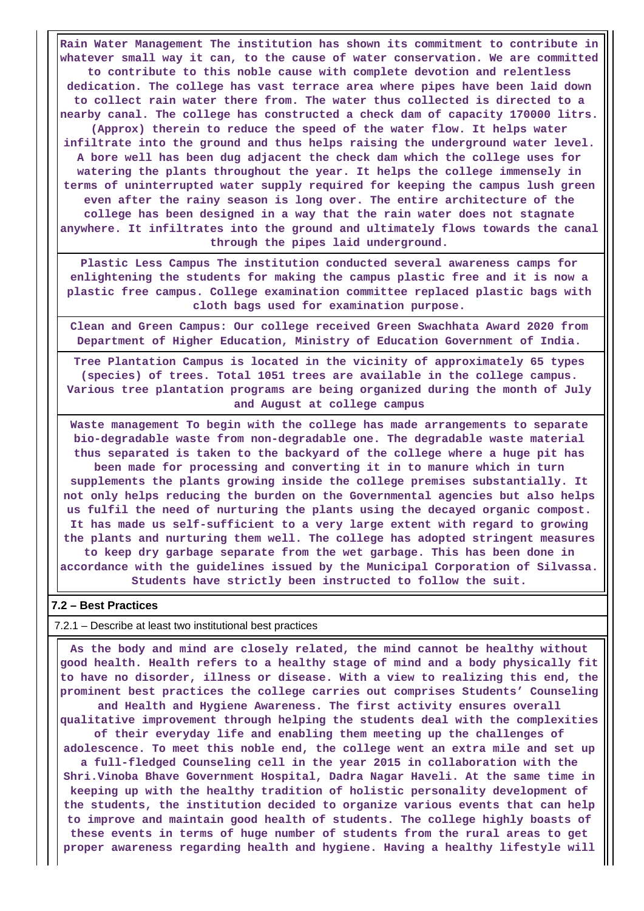**Rain Water Management The institution has shown its commitment to contribute in whatever small way it can, to the cause of water conservation. We are committed to contribute to this noble cause with complete devotion and relentless dedication. The college has vast terrace area where pipes have been laid down to collect rain water there from. The water thus collected is directed to a nearby canal. The college has constructed a check dam of capacity 170000 litrs. (Approx) therein to reduce the speed of the water flow. It helps water infiltrate into the ground and thus helps raising the underground water level. A bore well has been dug adjacent the check dam which the college uses for watering the plants throughout the year. It helps the college immensely in terms of uninterrupted water supply required for keeping the campus lush green even after the rainy season is long over. The entire architecture of the college has been designed in a way that the rain water does not stagnate anywhere. It infiltrates into the ground and ultimately flows towards the canal through the pipes laid underground.**

**Plastic Less Campus The institution conducted several awareness camps for enlightening the students for making the campus plastic free and it is now a plastic free campus. College examination committee replaced plastic bags with cloth bags used for examination purpose.**

**Clean and Green Campus: Our college received Green Swachhata Award 2020 from Department of Higher Education, Ministry of Education Government of India.**

**Tree Plantation Campus is located in the vicinity of approximately 65 types (species) of trees. Total 1051 trees are available in the college campus. Various tree plantation programs are being organized during the month of July and August at college campus**

**Waste management To begin with the college has made arrangements to separate bio-degradable waste from non-degradable one. The degradable waste material thus separated is taken to the backyard of the college where a huge pit has been made for processing and converting it in to manure which in turn supplements the plants growing inside the college premises substantially. It not only helps reducing the burden on the Governmental agencies but also helps us fulfil the need of nurturing the plants using the decayed organic compost. It has made us self-sufficient to a very large extent with regard to growing the plants and nurturing them well. The college has adopted stringent measures to keep dry garbage separate from the wet garbage. This has been done in accordance with the guidelines issued by the Municipal Corporation of Silvassa. Students have strictly been instructed to follow the suit.**

## **7.2 – Best Practices**

7.2.1 – Describe at least two institutional best practices

 **As the body and mind are closely related, the mind cannot be healthy without good health. Health refers to a healthy stage of mind and a body physically fit to have no disorder, illness or disease. With a view to realizing this end, the prominent best practices the college carries out comprises Students' Counseling and Health and Hygiene Awareness. The first activity ensures overall**

**qualitative improvement through helping the students deal with the complexities of their everyday life and enabling them meeting up the challenges of**

**adolescence. To meet this noble end, the college went an extra mile and set up a full-fledged Counseling cell in the year 2015 in collaboration with the Shri.Vinoba Bhave Government Hospital, Dadra Nagar Haveli. At the same time in keeping up with the healthy tradition of holistic personality development of the students, the institution decided to organize various events that can help to improve and maintain good health of students. The college highly boasts of these events in terms of huge number of students from the rural areas to get proper awareness regarding health and hygiene. Having a healthy lifestyle will**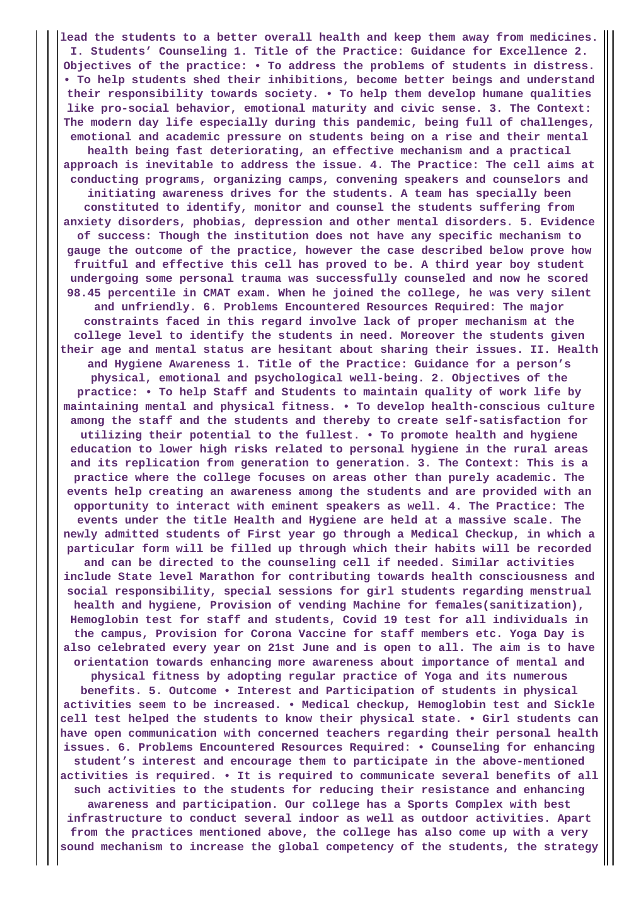**lead the students to a better overall health and keep them away from medicines. I. Students' Counseling 1. Title of the Practice: Guidance for Excellence 2. Objectives of the practice: • To address the problems of students in distress. • To help students shed their inhibitions, become better beings and understand their responsibility towards society. • To help them develop humane qualities like pro-social behavior, emotional maturity and civic sense. 3. The Context: The modern day life especially during this pandemic, being full of challenges, emotional and academic pressure on students being on a rise and their mental health being fast deteriorating, an effective mechanism and a practical approach is inevitable to address the issue. 4. The Practice: The cell aims at conducting programs, organizing camps, convening speakers and counselors and initiating awareness drives for the students. A team has specially been constituted to identify, monitor and counsel the students suffering from anxiety disorders, phobias, depression and other mental disorders. 5. Evidence of success: Though the institution does not have any specific mechanism to gauge the outcome of the practice, however the case described below prove how fruitful and effective this cell has proved to be. A third year boy student undergoing some personal trauma was successfully counseled and now he scored 98.45 percentile in CMAT exam. When he joined the college, he was very silent and unfriendly. 6. Problems Encountered Resources Required: The major constraints faced in this regard involve lack of proper mechanism at the college level to identify the students in need. Moreover the students given their age and mental status are hesitant about sharing their issues. II. Health and Hygiene Awareness 1. Title of the Practice: Guidance for a person's physical, emotional and psychological well-being. 2. Objectives of the practice: • To help Staff and Students to maintain quality of work life by maintaining mental and physical fitness. • To develop health-conscious culture among the staff and the students and thereby to create self-satisfaction for utilizing their potential to the fullest. • To promote health and hygiene education to lower high risks related to personal hygiene in the rural areas and its replication from generation to generation. 3. The Context: This is a practice where the college focuses on areas other than purely academic. The events help creating an awareness among the students and are provided with an opportunity to interact with eminent speakers as well. 4. The Practice: The events under the title Health and Hygiene are held at a massive scale. The newly admitted students of First year go through a Medical Checkup, in which a particular form will be filled up through which their habits will be recorded and can be directed to the counseling cell if needed. Similar activities include State level Marathon for contributing towards health consciousness and social responsibility, special sessions for girl students regarding menstrual health and hygiene, Provision of vending Machine for females(sanitization), Hemoglobin test for staff and students, Covid 19 test for all individuals in the campus, Provision for Corona Vaccine for staff members etc. Yoga Day is also celebrated every year on 21st June and is open to all. The aim is to have orientation towards enhancing more awareness about importance of mental and physical fitness by adopting regular practice of Yoga and its numerous benefits. 5. Outcome • Interest and Participation of students in physical activities seem to be increased. • Medical checkup, Hemoglobin test and Sickle cell test helped the students to know their physical state. • Girl students can have open communication with concerned teachers regarding their personal health issues. 6. Problems Encountered Resources Required: • Counseling for enhancing student's interest and encourage them to participate in the above-mentioned activities is required. • It is required to communicate several benefits of all such activities to the students for reducing their resistance and enhancing awareness and participation. Our college has a Sports Complex with best infrastructure to conduct several indoor as well as outdoor activities. Apart from the practices mentioned above, the college has also come up with a very sound mechanism to increase the global competency of the students, the strategy**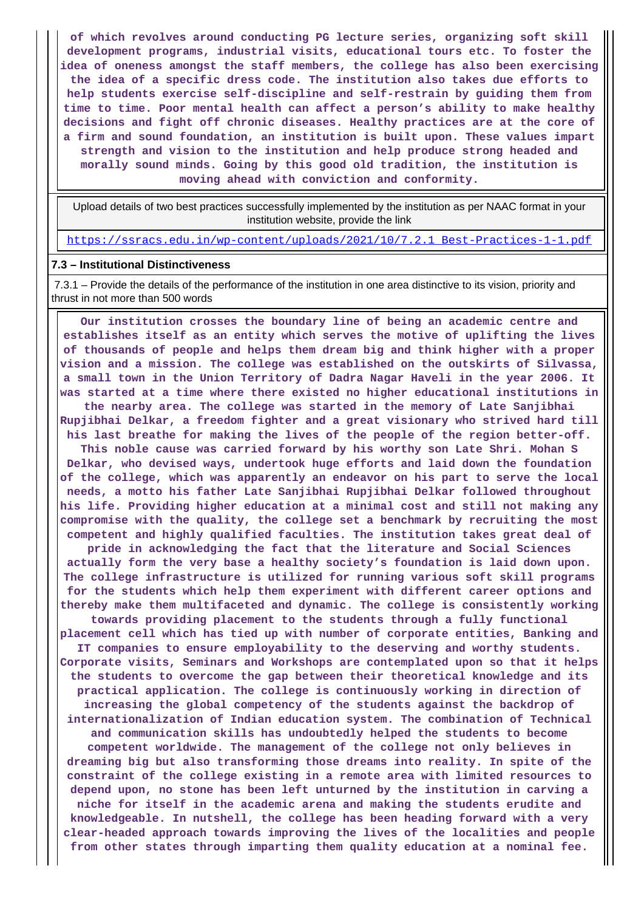**of which revolves around conducting PG lecture series, organizing soft skill development programs, industrial visits, educational tours etc. To foster the idea of oneness amongst the staff members, the college has also been exercising the idea of a specific dress code. The institution also takes due efforts to help students exercise self-discipline and self-restrain by guiding them from time to time. Poor mental health can affect a person's ability to make healthy decisions and fight off chronic diseases. Healthy practices are at the core of a firm and sound foundation, an institution is built upon. These values impart strength and vision to the institution and help produce strong headed and morally sound minds. Going by this good old tradition, the institution is moving ahead with conviction and conformity.**

 Upload details of two best practices successfully implemented by the institution as per NAAC format in your institution website, provide the link

https://ssracs.edu.in/wp-content/uploads/2021/10/7.2.1\_Best-Practices-1-1.pdf

#### **7.3 – Institutional Distinctiveness**

 7.3.1 – Provide the details of the performance of the institution in one area distinctive to its vision, priority and thrust in not more than 500 words

 **Our institution crosses the boundary line of being an academic centre and establishes itself as an entity which serves the motive of uplifting the lives of thousands of people and helps them dream big and think higher with a proper vision and a mission. The college was established on the outskirts of Silvassa, a small town in the Union Territory of Dadra Nagar Haveli in the year 2006. It was started at a time where there existed no higher educational institutions in the nearby area. The college was started in the memory of Late Sanjibhai Rupjibhai Delkar, a freedom fighter and a great visionary who strived hard till his last breathe for making the lives of the people of the region better-off.**

**This noble cause was carried forward by his worthy son Late Shri. Mohan S Delkar, who devised ways, undertook huge efforts and laid down the foundation of the college, which was apparently an endeavor on his part to serve the local needs, a motto his father Late Sanjibhai Rupjibhai Delkar followed throughout his life. Providing higher education at a minimal cost and still not making any compromise with the quality, the college set a benchmark by recruiting the most competent and highly qualified faculties. The institution takes great deal of**

**pride in acknowledging the fact that the literature and Social Sciences actually form the very base a healthy society's foundation is laid down upon. The college infrastructure is utilized for running various soft skill programs for the students which help them experiment with different career options and thereby make them multifaceted and dynamic. The college is consistently working**

**towards providing placement to the students through a fully functional placement cell which has tied up with number of corporate entities, Banking and IT companies to ensure employability to the deserving and worthy students. Corporate visits, Seminars and Workshops are contemplated upon so that it helps the students to overcome the gap between their theoretical knowledge and its practical application. The college is continuously working in direction of increasing the global competency of the students against the backdrop of internationalization of Indian education system. The combination of Technical and communication skills has undoubtedly helped the students to become competent worldwide. The management of the college not only believes in dreaming big but also transforming those dreams into reality. In spite of the constraint of the college existing in a remote area with limited resources to depend upon, no stone has been left unturned by the institution in carving a niche for itself in the academic arena and making the students erudite and knowledgeable. In nutshell, the college has been heading forward with a very clear-headed approach towards improving the lives of the localities and people from other states through imparting them quality education at a nominal fee.**